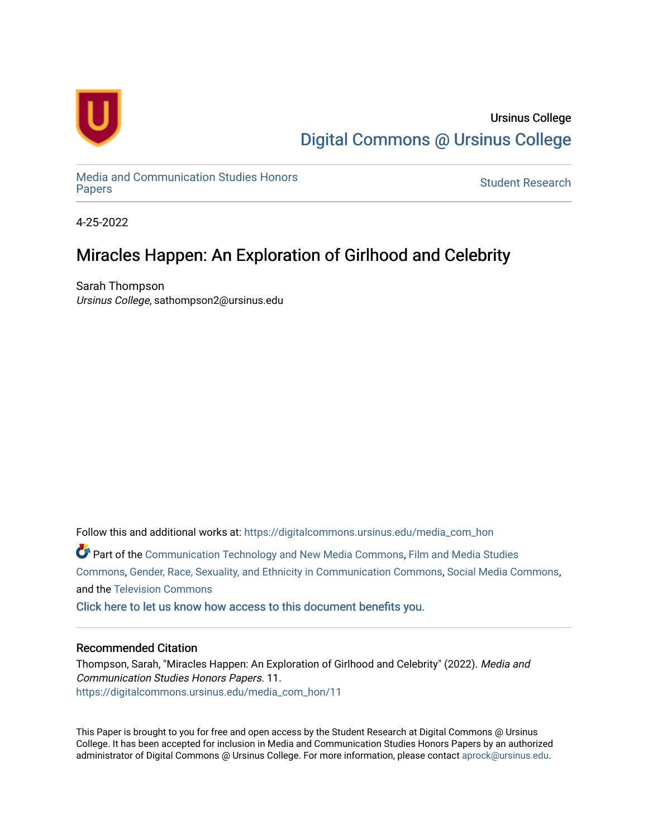

Ursinus College [Digital Commons @ Ursinus College](https://digitalcommons.ursinus.edu/) 

[Media and Communication Studies Honors](https://digitalcommons.ursinus.edu/media_com_hon)  Media and Communication Studies Honors<br>[Papers](https://digitalcommons.ursinus.edu/media_com_hon) Student Research

4-25-2022

# Miracles Happen: An Exploration of Girlhood and Celebrity

Sarah Thompson Ursinus College, sathompson2@ursinus.edu

Follow this and additional works at: [https://digitalcommons.ursinus.edu/media\\_com\\_hon](https://digitalcommons.ursinus.edu/media_com_hon?utm_source=digitalcommons.ursinus.edu%2Fmedia_com_hon%2F11&utm_medium=PDF&utm_campaign=PDFCoverPages) 

Part of the [Communication Technology and New Media Commons,](http://network.bepress.com/hgg/discipline/327?utm_source=digitalcommons.ursinus.edu%2Fmedia_com_hon%2F11&utm_medium=PDF&utm_campaign=PDFCoverPages) [Film and Media Studies](http://network.bepress.com/hgg/discipline/563?utm_source=digitalcommons.ursinus.edu%2Fmedia_com_hon%2F11&utm_medium=PDF&utm_campaign=PDFCoverPages) [Commons](http://network.bepress.com/hgg/discipline/563?utm_source=digitalcommons.ursinus.edu%2Fmedia_com_hon%2F11&utm_medium=PDF&utm_campaign=PDFCoverPages), [Gender, Race, Sexuality, and Ethnicity in Communication Commons](http://network.bepress.com/hgg/discipline/329?utm_source=digitalcommons.ursinus.edu%2Fmedia_com_hon%2F11&utm_medium=PDF&utm_campaign=PDFCoverPages), [Social Media Commons](http://network.bepress.com/hgg/discipline/1249?utm_source=digitalcommons.ursinus.edu%2Fmedia_com_hon%2F11&utm_medium=PDF&utm_campaign=PDFCoverPages), and the [Television Commons](http://network.bepress.com/hgg/discipline/1143?utm_source=digitalcommons.ursinus.edu%2Fmedia_com_hon%2F11&utm_medium=PDF&utm_campaign=PDFCoverPages) 

[Click here to let us know how access to this document benefits you.](https://ursinus.co1.qualtrics.com/jfe/form/SV_1RIyfqzdxsWfMQ5) 

### Recommended Citation

Thompson, Sarah, "Miracles Happen: An Exploration of Girlhood and Celebrity" (2022). Media and Communication Studies Honors Papers. 11. [https://digitalcommons.ursinus.edu/media\\_com\\_hon/11](https://digitalcommons.ursinus.edu/media_com_hon/11?utm_source=digitalcommons.ursinus.edu%2Fmedia_com_hon%2F11&utm_medium=PDF&utm_campaign=PDFCoverPages)

This Paper is brought to you for free and open access by the Student Research at Digital Commons @ Ursinus College. It has been accepted for inclusion in Media and Communication Studies Honors Papers by an authorized administrator of Digital Commons @ Ursinus College. For more information, please contact [aprock@ursinus.edu.](mailto:aprock@ursinus.edu)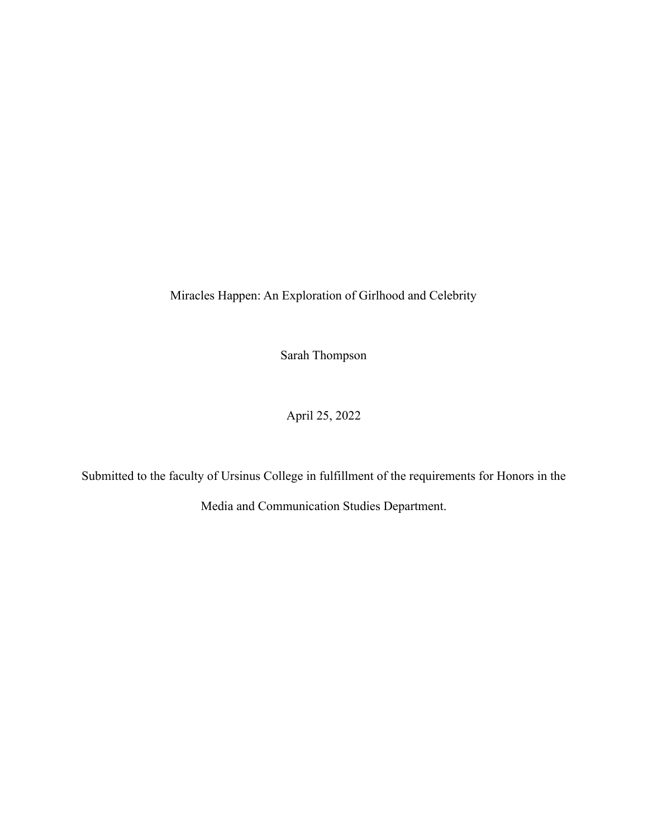Miracles Happen: An Exploration of Girlhood and Celebrity

Sarah Thompson

April 25, 2022

Submitted to the faculty of Ursinus College in fulfillment of the requirements for Honors in the

Media and Communication Studies Department.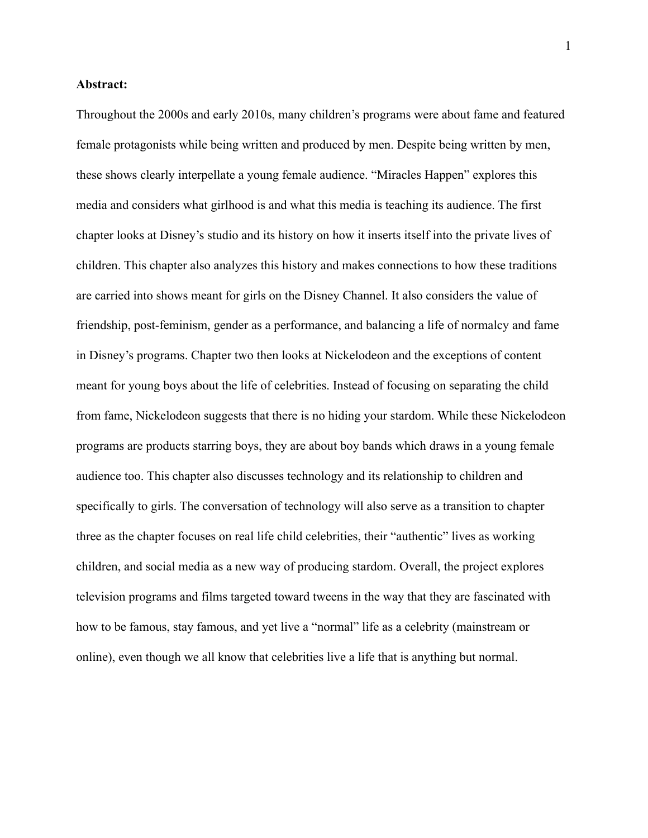## **Abstract:**

Throughout the 2000s and early 2010s, many children's programs were about fame and featured female protagonists while being written and produced by men. Despite being written by men, these shows clearly interpellate a young female audience. "Miracles Happen" explores this media and considers what girlhood is and what this media is teaching its audience. The first chapter looks at Disney's studio and its history on how it inserts itself into the private lives of children. This chapter also analyzes this history and makes connections to how these traditions are carried into shows meant for girls on the Disney Channel. It also considers the value of friendship, post-feminism, gender as a performance, and balancing a life of normalcy and fame in Disney's programs. Chapter two then looks at Nickelodeon and the exceptions of content meant for young boys about the life of celebrities. Instead of focusing on separating the child from fame, Nickelodeon suggests that there is no hiding your stardom. While these Nickelodeon programs are products starring boys, they are about boy bands which draws in a young female audience too. This chapter also discusses technology and its relationship to children and specifically to girls. The conversation of technology will also serve as a transition to chapter three as the chapter focuses on real life child celebrities, their "authentic" lives as working children, and social media as a new way of producing stardom. Overall, the project explores television programs and films targeted toward tweens in the way that they are fascinated with how to be famous, stay famous, and yet live a "normal" life as a celebrity (mainstream or online), even though we all know that celebrities live a life that is anything but normal.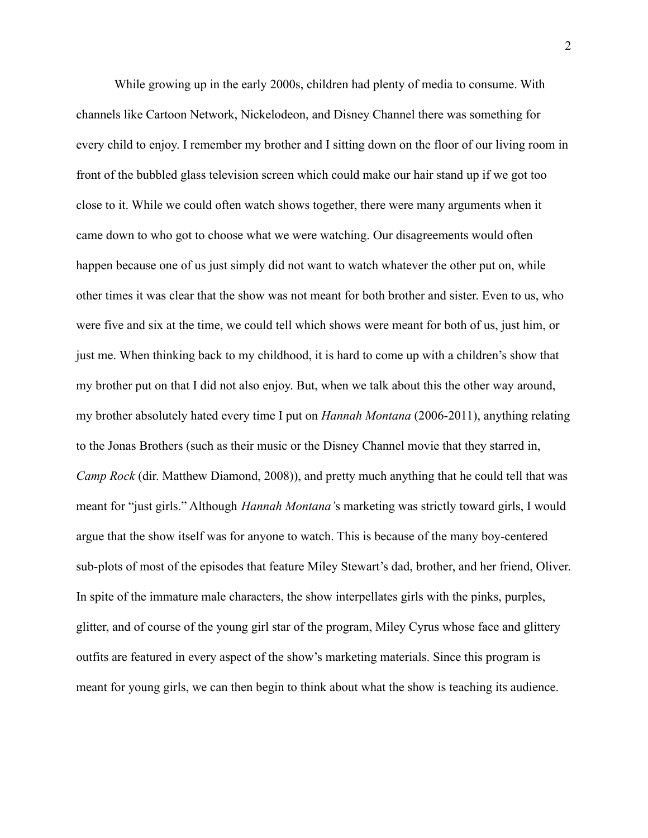While growing up in the early 2000s, children had plenty of media to consume. With channels like Cartoon Network, Nickelodeon, and Disney Channel there was something for every child to enjoy. I remember my brother and I sitting down on the floor of our living room in front of the bubbled glass television screen which could make our hair stand up if we got too close to it. While we could often watch shows together, there were many arguments when it came down to who got to choose what we were watching. Our disagreements would often happen because one of us just simply did not want to watch whatever the other put on, while other times it was clear that the show was not meant for both brother and sister. Even to us, who were five and six at the time, we could tell which shows were meant for both of us, just him, or just me. When thinking back to my childhood, it is hard to come up with a children's show that my brother put on that I did not also enjoy. But, when we talk about this the other way around, my brother absolutely hated every time I put on *Hannah Montana* (2006-2011), anything relating to the Jonas Brothers (such as their music or the Disney Channel movie that they starred in, *Camp Rock* (dir. Matthew Diamond, 2008)), and pretty much anything that he could tell that was meant for "just girls." Although *Hannah Montana'*s marketing was strictly toward girls, I would argue that the show itself was for anyone to watch. This is because of the many boy-centered sub-plots of most of the episodes that feature Miley Stewart's dad, brother, and her friend, Oliver. In spite of the immature male characters, the show interpellates girls with the pinks, purples, glitter, and of course of the young girl star of the program, Miley Cyrus whose face and glittery outfits are featured in every aspect of the show's marketing materials. Since this program is meant for young girls, we can then begin to think about what the show is teaching its audience.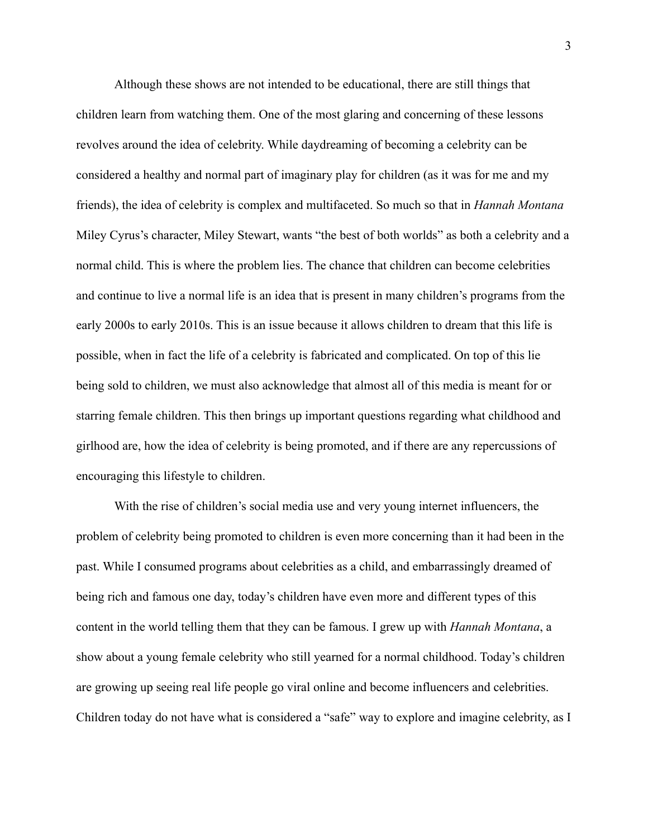Although these shows are not intended to be educational, there are still things that children learn from watching them. One of the most glaring and concerning of these lessons revolves around the idea of celebrity. While daydreaming of becoming a celebrity can be considered a healthy and normal part of imaginary play for children (as it was for me and my friends), the idea of celebrity is complex and multifaceted. So much so that in *Hannah Montana* Miley Cyrus's character, Miley Stewart, wants "the best of both worlds" as both a celebrity and a normal child. This is where the problem lies. The chance that children can become celebrities and continue to live a normal life is an idea that is present in many children's programs from the early 2000s to early 2010s. This is an issue because it allows children to dream that this life is possible, when in fact the life of a celebrity is fabricated and complicated. On top of this lie being sold to children, we must also acknowledge that almost all of this media is meant for or starring female children. This then brings up important questions regarding what childhood and girlhood are, how the idea of celebrity is being promoted, and if there are any repercussions of encouraging this lifestyle to children.

With the rise of children's social media use and very young internet influencers, the problem of celebrity being promoted to children is even more concerning than it had been in the past. While I consumed programs about celebrities as a child, and embarrassingly dreamed of being rich and famous one day, today's children have even more and different types of this content in the world telling them that they can be famous. I grew up with *Hannah Montana*, a show about a young female celebrity who still yearned for a normal childhood. Today's children are growing up seeing real life people go viral online and become influencers and celebrities. Children today do not have what is considered a "safe" way to explore and imagine celebrity, as I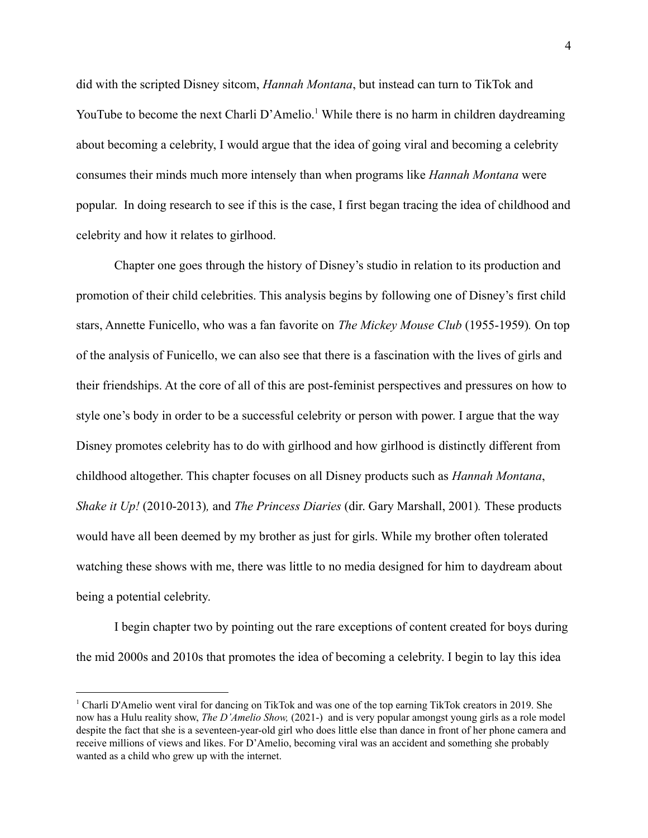did with the scripted Disney sitcom, *Hannah Montana*, but instead can turn to TikTok and YouTube to become the next Charli D'Amelio.<sup>1</sup> While there is no harm in children daydreaming about becoming a celebrity, I would argue that the idea of going viral and becoming a celebrity consumes their minds much more intensely than when programs like *Hannah Montana* were popular. In doing research to see if this is the case, I first began tracing the idea of childhood and celebrity and how it relates to girlhood.

Chapter one goes through the history of Disney's studio in relation to its production and promotion of their child celebrities. This analysis begins by following one of Disney's first child stars, Annette Funicello, who was a fan favorite on *The Mickey Mouse Club* (1955-1959)*.* On top of the analysis of Funicello, we can also see that there is a fascination with the lives of girls and their friendships. At the core of all of this are post-feminist perspectives and pressures on how to style one's body in order to be a successful celebrity or person with power. I argue that the way Disney promotes celebrity has to do with girlhood and how girlhood is distinctly different from childhood altogether. This chapter focuses on all Disney products such as *Hannah Montana*, *Shake it Up!* (2010-2013)*,* and *The Princess Diaries* (dir. Gary Marshall, 2001)*.* These products would have all been deemed by my brother as just for girls. While my brother often tolerated watching these shows with me, there was little to no media designed for him to daydream about being a potential celebrity.

I begin chapter two by pointing out the rare exceptions of content created for boys during the mid 2000s and 2010s that promotes the idea of becoming a celebrity. I begin to lay this idea

<sup>1</sup> Charli D'Amelio went viral for dancing on TikTok and was one of the top earning TikTok creators in 2019. She now has a Hulu reality show, *The D'Amelio Show,* (2021-) and is very popular amongst young girls as a role model despite the fact that she is a seventeen-year-old girl who does little else than dance in front of her phone camera and receive millions of views and likes. For D'Amelio, becoming viral was an accident and something she probably wanted as a child who grew up with the internet.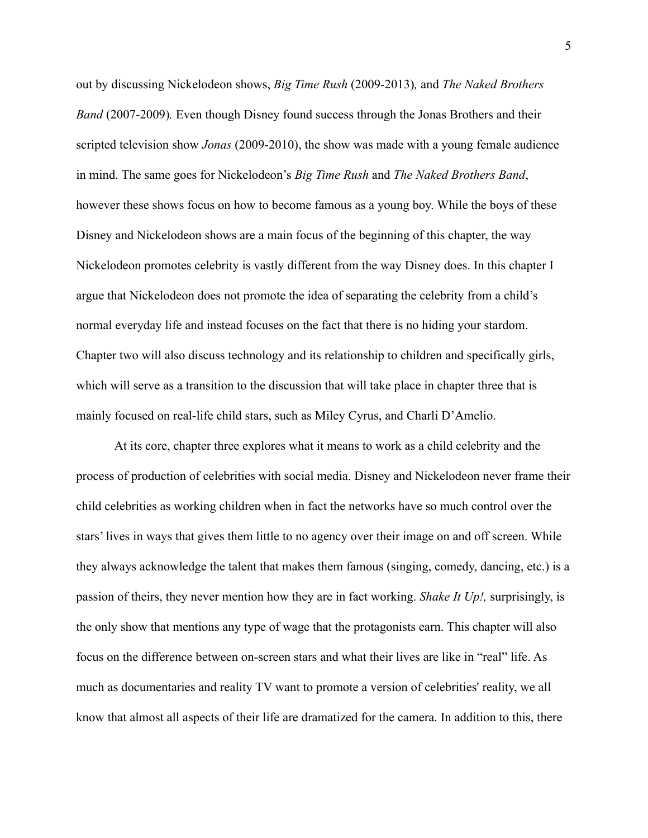out by discussing Nickelodeon shows, *Big Time Rush* (2009-2013)*,* and *The Naked Brothers Band* (2007-2009)*.* Even though Disney found success through the Jonas Brothers and their scripted television show *Jonas* (2009-2010), the show was made with a young female audience in mind. The same goes for Nickelodeon's *Big Time Rush* and *The Naked Brothers Band*, however these shows focus on how to become famous as a young boy. While the boys of these Disney and Nickelodeon shows are a main focus of the beginning of this chapter, the way Nickelodeon promotes celebrity is vastly different from the way Disney does. In this chapter I argue that Nickelodeon does not promote the idea of separating the celebrity from a child's normal everyday life and instead focuses on the fact that there is no hiding your stardom. Chapter two will also discuss technology and its relationship to children and specifically girls, which will serve as a transition to the discussion that will take place in chapter three that is mainly focused on real-life child stars, such as Miley Cyrus, and Charli D'Amelio.

At its core, chapter three explores what it means to work as a child celebrity and the process of production of celebrities with social media. Disney and Nickelodeon never frame their child celebrities as working children when in fact the networks have so much control over the stars' lives in ways that gives them little to no agency over their image on and off screen. While they always acknowledge the talent that makes them famous (singing, comedy, dancing, etc.) is a passion of theirs, they never mention how they are in fact working. *Shake It Up!,* surprisingly, is the only show that mentions any type of wage that the protagonists earn. This chapter will also focus on the difference between on-screen stars and what their lives are like in "real" life. As much as documentaries and reality TV want to promote a version of celebrities' reality, we all know that almost all aspects of their life are dramatized for the camera. In addition to this, there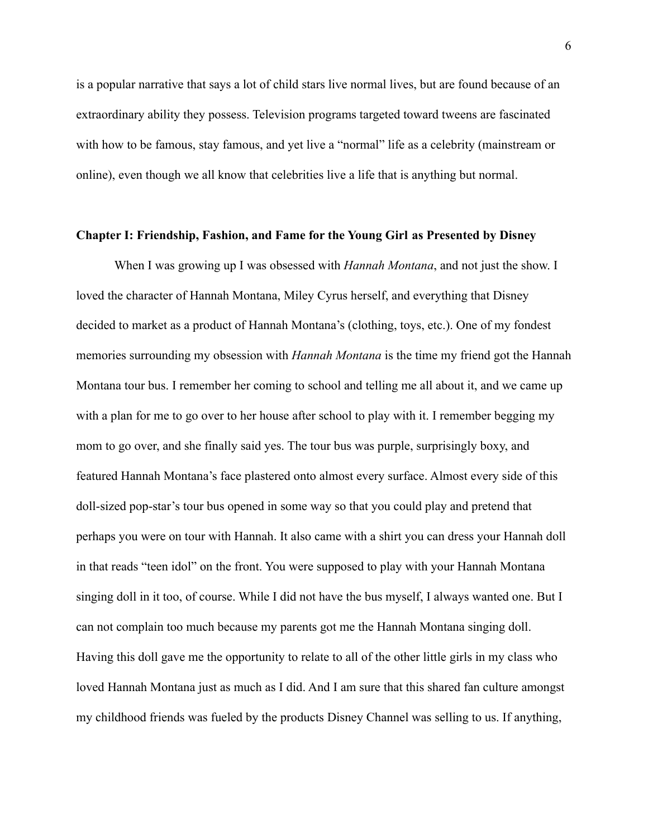is a popular narrative that says a lot of child stars live normal lives, but are found because of an extraordinary ability they possess. Television programs targeted toward tweens are fascinated with how to be famous, stay famous, and yet live a "normal" life as a celebrity (mainstream or online), even though we all know that celebrities live a life that is anything but normal.

#### **Chapter I: Friendship, Fashion, and Fame for the Young Girl as Presented by Disney**

When I was growing up I was obsessed with *Hannah Montana*, and not just the show. I loved the character of Hannah Montana, Miley Cyrus herself, and everything that Disney decided to market as a product of Hannah Montana's (clothing, toys, etc.). One of my fondest memories surrounding my obsession with *Hannah Montana* is the time my friend got the Hannah Montana tour bus. I remember her coming to school and telling me all about it, and we came up with a plan for me to go over to her house after school to play with it. I remember begging my mom to go over, and she finally said yes. The tour bus was purple, surprisingly boxy, and featured Hannah Montana's face plastered onto almost every surface. Almost every side of this doll-sized pop-star's tour bus opened in some way so that you could play and pretend that perhaps you were on tour with Hannah. It also came with a shirt you can dress your Hannah doll in that reads "teen idol" on the front. You were supposed to play with your Hannah Montana singing doll in it too, of course. While I did not have the bus myself, I always wanted one. But I can not complain too much because my parents got me the Hannah Montana singing doll. Having this doll gave me the opportunity to relate to all of the other little girls in my class who loved Hannah Montana just as much as I did. And I am sure that this shared fan culture amongst my childhood friends was fueled by the products Disney Channel was selling to us. If anything,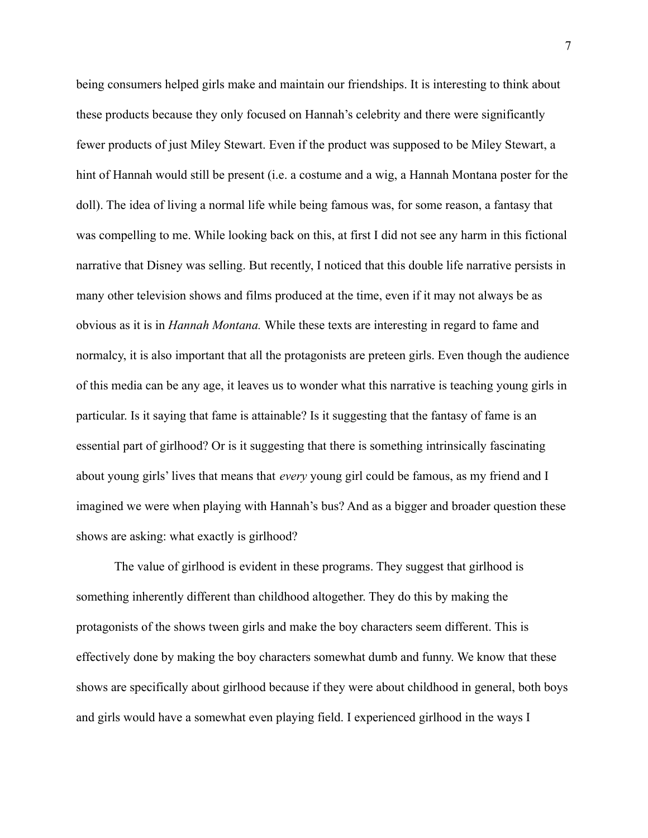being consumers helped girls make and maintain our friendships. It is interesting to think about these products because they only focused on Hannah's celebrity and there were significantly fewer products of just Miley Stewart. Even if the product was supposed to be Miley Stewart, a hint of Hannah would still be present (i.e. a costume and a wig, a Hannah Montana poster for the doll). The idea of living a normal life while being famous was, for some reason, a fantasy that was compelling to me. While looking back on this, at first I did not see any harm in this fictional narrative that Disney was selling. But recently, I noticed that this double life narrative persists in many other television shows and films produced at the time, even if it may not always be as obvious as it is in *Hannah Montana.* While these texts are interesting in regard to fame and normalcy, it is also important that all the protagonists are preteen girls. Even though the audience of this media can be any age, it leaves us to wonder what this narrative is teaching young girls in particular. Is it saying that fame is attainable? Is it suggesting that the fantasy of fame is an essential part of girlhood? Or is it suggesting that there is something intrinsically fascinating about young girls' lives that means that *every* young girl could be famous, as my friend and I imagined we were when playing with Hannah's bus? And as a bigger and broader question these shows are asking: what exactly is girlhood?

The value of girlhood is evident in these programs. They suggest that girlhood is something inherently different than childhood altogether. They do this by making the protagonists of the shows tween girls and make the boy characters seem different. This is effectively done by making the boy characters somewhat dumb and funny. We know that these shows are specifically about girlhood because if they were about childhood in general, both boys and girls would have a somewhat even playing field. I experienced girlhood in the ways I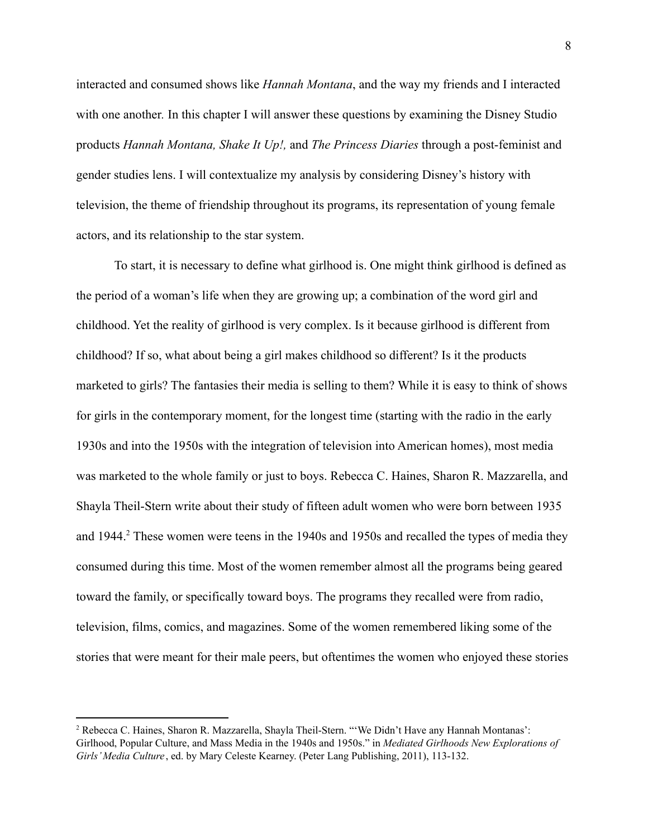interacted and consumed shows like *Hannah Montana*, and the way my friends and I interacted with one another. In this chapter I will answer these questions by examining the Disney Studio products *Hannah Montana, Shake It Up!,* and *The Princess Diaries* through a post-feminist and gender studies lens. I will contextualize my analysis by considering Disney's history with television, the theme of friendship throughout its programs, its representation of young female actors, and its relationship to the star system.

To start, it is necessary to define what girlhood is. One might think girlhood is defined as the period of a woman's life when they are growing up; a combination of the word girl and childhood. Yet the reality of girlhood is very complex. Is it because girlhood is different from childhood? If so, what about being a girl makes childhood so different? Is it the products marketed to girls? The fantasies their media is selling to them? While it is easy to think of shows for girls in the contemporary moment, for the longest time (starting with the radio in the early 1930s and into the 1950s with the integration of television into American homes), most media was marketed to the whole family or just to boys. Rebecca C. Haines, Sharon R. Mazzarella, and Shayla Theil-Stern write about their study of fifteen adult women who were born between 1935 and 1944.<sup>2</sup> These women were teens in the 1940s and 1950s and recalled the types of media they consumed during this time. Most of the women remember almost all the programs being geared toward the family, or specifically toward boys. The programs they recalled were from radio, television, films, comics, and magazines. Some of the women remembered liking some of the stories that were meant for their male peers, but oftentimes the women who enjoyed these stories

<sup>2</sup> Rebecca C. Haines, Sharon R. Mazzarella, Shayla Theil-Stern. "'We Didn't Have any Hannah Montanas': Girlhood, Popular Culture, and Mass Media in the 1940s and 1950s." in *Mediated Girlhoods New Explorations of Girls' Media Culture* , ed. by Mary Celeste Kearney. (Peter Lang Publishing, 2011), 113-132.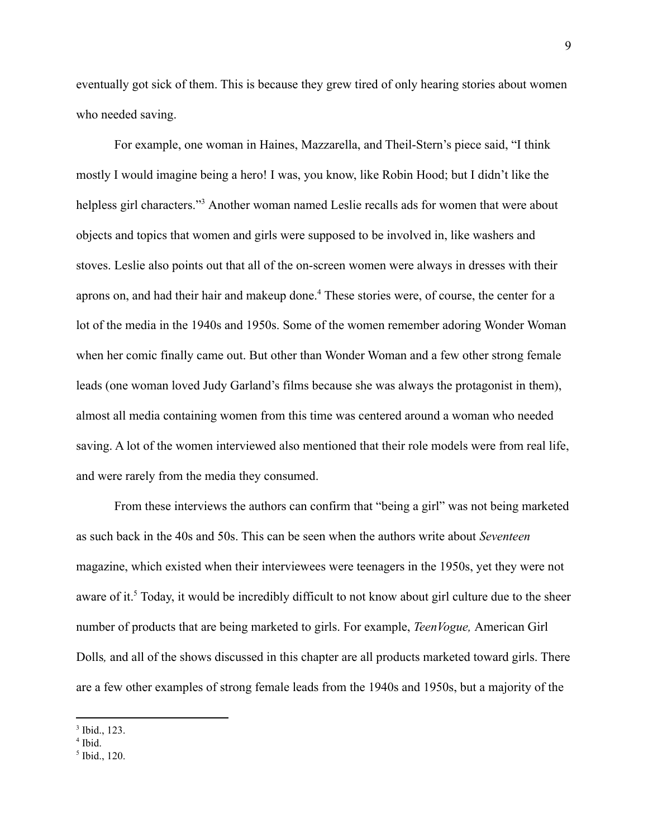eventually got sick of them. This is because they grew tired of only hearing stories about women who needed saving.

For example, one woman in Haines, Mazzarella, and Theil-Stern's piece said, "I think mostly I would imagine being a hero! I was, you know, like Robin Hood; but I didn't like the helpless girl characters."<sup>3</sup> Another woman named Leslie recalls ads for women that were about objects and topics that women and girls were supposed to be involved in, like washers and stoves. Leslie also points out that all of the on-screen women were always in dresses with their aprons on, and had their hair and makeup done.<sup>4</sup> These stories were, of course, the center for a lot of the media in the 1940s and 1950s. Some of the women remember adoring Wonder Woman when her comic finally came out. But other than Wonder Woman and a few other strong female leads (one woman loved Judy Garland's films because she was always the protagonist in them), almost all media containing women from this time was centered around a woman who needed saving. A lot of the women interviewed also mentioned that their role models were from real life, and were rarely from the media they consumed.

From these interviews the authors can confirm that "being a girl" was not being marketed as such back in the 40s and 50s. This can be seen when the authors write about *Seventeen* magazine, which existed when their interviewees were teenagers in the 1950s, yet they were not aware of it.<sup>5</sup> Today, it would be incredibly difficult to not know about girl culture due to the sheer number of products that are being marketed to girls. For example, *TeenVogue,* American Girl Dolls*,* and all of the shows discussed in this chapter are all products marketed toward girls. There are a few other examples of strong female leads from the 1940s and 1950s, but a majority of the

<sup>3</sup> Ibid., 123.

<sup>4</sup> Ibid.

<sup>5</sup> Ibid., 120.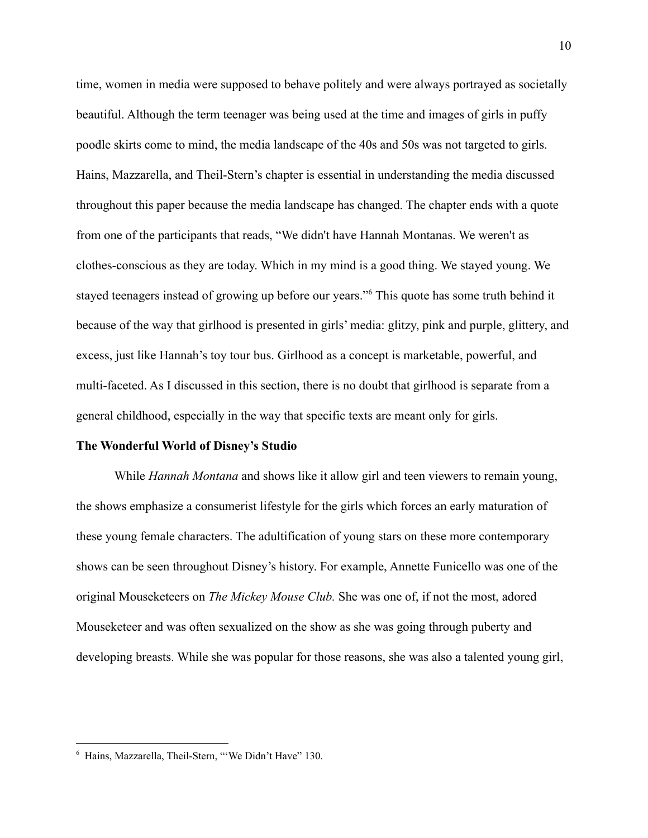time, women in media were supposed to behave politely and were always portrayed as societally beautiful. Although the term teenager was being used at the time and images of girls in puffy poodle skirts come to mind, the media landscape of the 40s and 50s was not targeted to girls. Hains, Mazzarella, and Theil-Stern's chapter is essential in understanding the media discussed throughout this paper because the media landscape has changed. The chapter ends with a quote from one of the participants that reads, "We didn't have Hannah Montanas. We weren't as clothes-conscious as they are today. Which in my mind is a good thing. We stayed young. We stayed teenagers instead of growing up before our years."<sup>6</sup> This quote has some truth behind it because of the way that girlhood is presented in girls' media: glitzy, pink and purple, glittery, and excess, just like Hannah's toy tour bus. Girlhood as a concept is marketable, powerful, and multi-faceted. As I discussed in this section, there is no doubt that girlhood is separate from a general childhood, especially in the way that specific texts are meant only for girls.

#### **The Wonderful World of Disney's Studio**

While *Hannah Montana* and shows like it allow girl and teen viewers to remain young, the shows emphasize a consumerist lifestyle for the girls which forces an early maturation of these young female characters. The adultification of young stars on these more contemporary shows can be seen throughout Disney's history. For example, Annette Funicello was one of the original Mouseketeers on *The Mickey Mouse Club.* She was one of, if not the most, adored Mouseketeer and was often sexualized on the show as she was going through puberty and developing breasts. While she was popular for those reasons, she was also a talented young girl,

<sup>6</sup> Hains, Mazzarella, Theil-Stern, "'We Didn't Have" 130.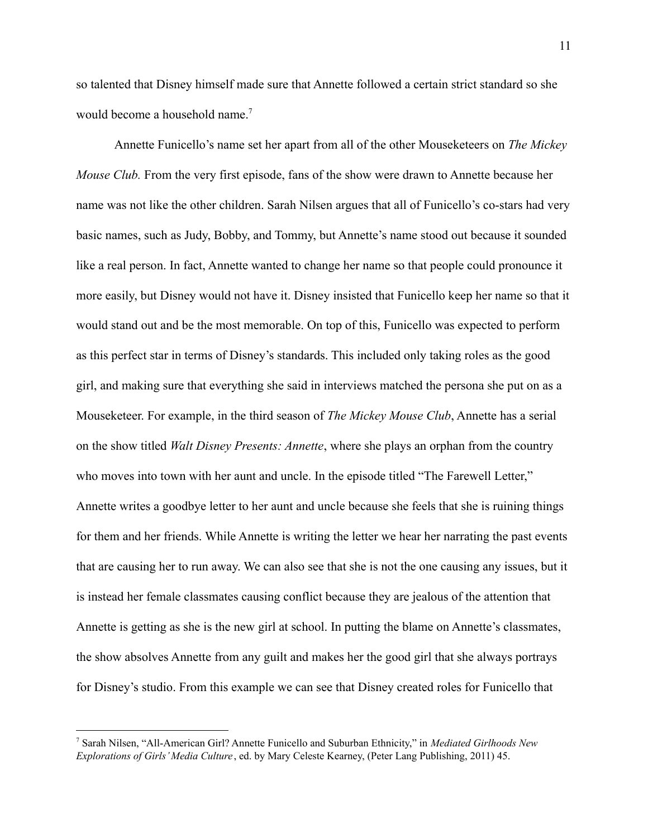so talented that Disney himself made sure that Annette followed a certain strict standard so she would become a household name.<sup>7</sup>

Annette Funicello's name set her apart from all of the other Mouseketeers on *The Mickey Mouse Club.* From the very first episode, fans of the show were drawn to Annette because her name was not like the other children. Sarah Nilsen argues that all of Funicello's co-stars had very basic names, such as Judy, Bobby, and Tommy, but Annette's name stood out because it sounded like a real person. In fact, Annette wanted to change her name so that people could pronounce it more easily, but Disney would not have it. Disney insisted that Funicello keep her name so that it would stand out and be the most memorable. On top of this, Funicello was expected to perform as this perfect star in terms of Disney's standards. This included only taking roles as the good girl, and making sure that everything she said in interviews matched the persona she put on as a Mouseketeer. For example, in the third season of *The Mickey Mouse Club*, Annette has a serial on the show titled *Walt Disney Presents: Annette*, where she plays an orphan from the country who moves into town with her aunt and uncle. In the episode titled "The Farewell Letter," Annette writes a goodbye letter to her aunt and uncle because she feels that she is ruining things for them and her friends. While Annette is writing the letter we hear her narrating the past events that are causing her to run away. We can also see that she is not the one causing any issues, but it is instead her female classmates causing conflict because they are jealous of the attention that Annette is getting as she is the new girl at school. In putting the blame on Annette's classmates, the show absolves Annette from any guilt and makes her the good girl that she always portrays for Disney's studio. From this example we can see that Disney created roles for Funicello that

<sup>7</sup> Sarah Nilsen, "All-American Girl? Annette Funicello and Suburban Ethnicity," in *Mediated Girlhoods New Explorations of Girls' Media Culture* , ed. by Mary Celeste Kearney, (Peter Lang Publishing, 2011) 45.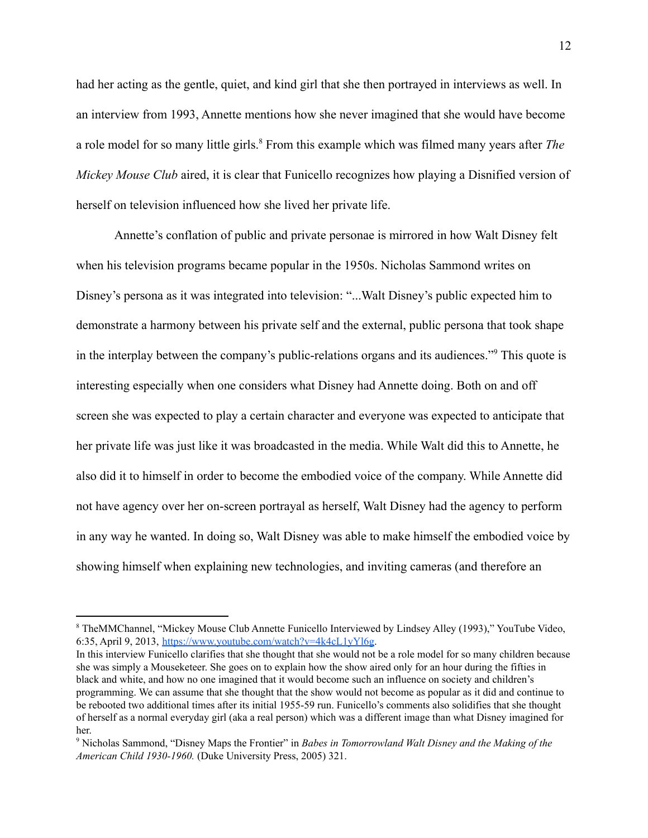had her acting as the gentle, quiet, and kind girl that she then portrayed in interviews as well. In an interview from 1993, Annette mentions how she never imagined that she would have become a role model for so many little girls.<sup>8</sup> From this example which was filmed many years after *The Mickey Mouse Club* aired, it is clear that Funicello recognizes how playing a Disnified version of herself on television influenced how she lived her private life.

Annette's conflation of public and private personae is mirrored in how Walt Disney felt when his television programs became popular in the 1950s. Nicholas Sammond writes on Disney's persona as it was integrated into television: "...Walt Disney's public expected him to demonstrate a harmony between his private self and the external, public persona that took shape in the interplay between the company's public-relations organs and its audiences."<sup>9</sup> This quote is interesting especially when one considers what Disney had Annette doing. Both on and off screen she was expected to play a certain character and everyone was expected to anticipate that her private life was just like it was broadcasted in the media. While Walt did this to Annette, he also did it to himself in order to become the embodied voice of the company. While Annette did not have agency over her on-screen portrayal as herself, Walt Disney had the agency to perform in any way he wanted. In doing so, Walt Disney was able to make himself the embodied voice by showing himself when explaining new technologies, and inviting cameras (and therefore an

<sup>8</sup> TheMMChannel, "Mickey Mouse Club Annette Funicello Interviewed by Lindsey Alley (1993)," YouTube Video, 6:35, April 9, 2013, [https://www.youtube.com/watch?v=4k4cL1yYl6g.](https://www.youtube.com/watch?v=4k4cL1yYl6g)

In this interview Funicello clarifies that she thought that she would not be a role model for so many children because she was simply a Mouseketeer. She goes on to explain how the show aired only for an hour during the fifties in black and white, and how no one imagined that it would become such an influence on society and children's programming. We can assume that she thought that the show would not become as popular as it did and continue to be rebooted two additional times after its initial 1955-59 run. Funicello's comments also solidifies that she thought of herself as a normal everyday girl (aka a real person) which was a different image than what Disney imagined for her.

<sup>9</sup> Nicholas Sammond, "Disney Maps the Frontier" in *Babes in Tomorrowland Walt Disney and the Making of the American Child 1930-1960.* (Duke University Press, 2005) 321.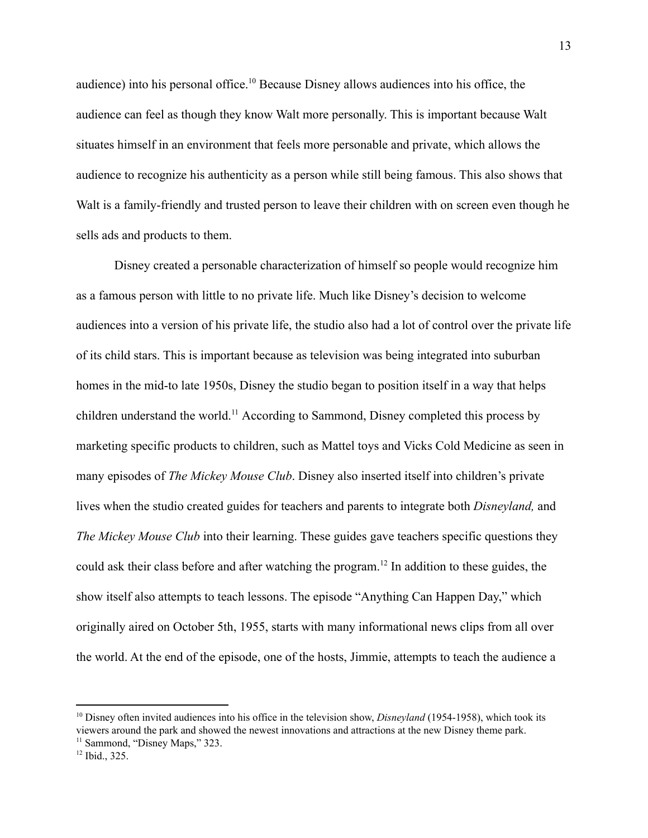audience) into his personal office.  $\frac{10}{10}$  Because Disney allows audiences into his office, the audience can feel as though they know Walt more personally. This is important because Walt situates himself in an environment that feels more personable and private, which allows the audience to recognize his authenticity as a person while still being famous. This also shows that Walt is a family-friendly and trusted person to leave their children with on screen even though he sells ads and products to them.

Disney created a personable characterization of himself so people would recognize him as a famous person with little to no private life. Much like Disney's decision to welcome audiences into a version of his private life, the studio also had a lot of control over the private life of its child stars. This is important because as television was being integrated into suburban homes in the mid-to late 1950s, Disney the studio began to position itself in a way that helps children understand the world.<sup>11</sup> According to Sammond, Disney completed this process by marketing specific products to children, such as Mattel toys and Vicks Cold Medicine as seen in many episodes of *The Mickey Mouse Club*. Disney also inserted itself into children's private lives when the studio created guides for teachers and parents to integrate both *Disneyland,* and *The Mickey Mouse Club* into their learning. These guides gave teachers specific questions they could ask their class before and after watching the program.<sup>12</sup> In addition to these guides, the show itself also attempts to teach lessons. The episode "Anything Can Happen Day," which originally aired on October 5th, 1955, starts with many informational news clips from all over the world. At the end of the episode, one of the hosts, Jimmie, attempts to teach the audience a

<sup>10</sup> Disney often invited audiences into his office in the television show, *Disneyland* (1954-1958), which took its viewers around the park and showed the newest innovations and attractions at the new Disney theme park.

<sup>&</sup>lt;sup>11</sup> Sammond, "Disney Maps," 323.

 $12$  Ibid., 325.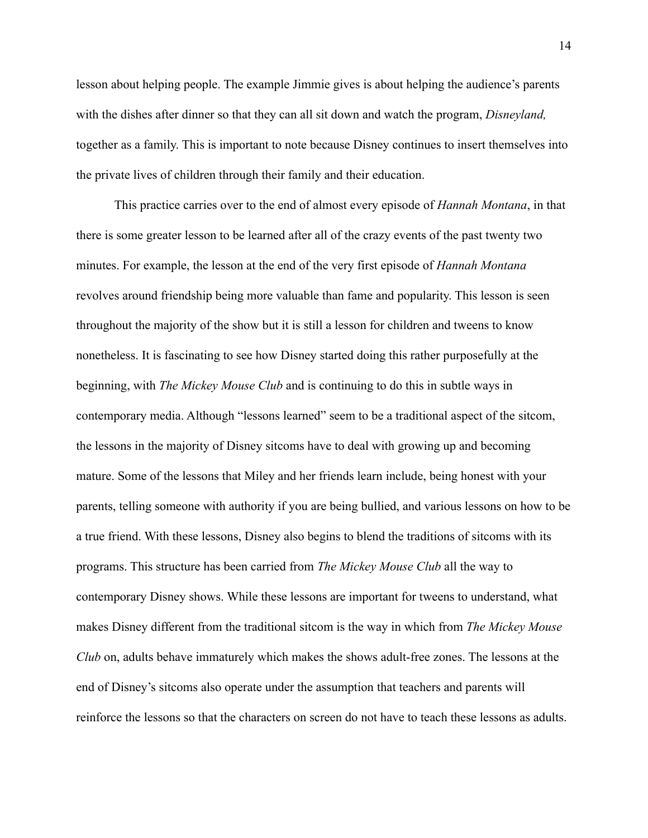lesson about helping people. The example Jimmie gives is about helping the audience's parents with the dishes after dinner so that they can all sit down and watch the program, *Disneyland,* together as a family. This is important to note because Disney continues to insert themselves into the private lives of children through their family and their education.

This practice carries over to the end of almost every episode of *Hannah Montana*, in that there is some greater lesson to be learned after all of the crazy events of the past twenty two minutes. For example, the lesson at the end of the very first episode of *Hannah Montana* revolves around friendship being more valuable than fame and popularity. This lesson is seen throughout the majority of the show but it is still a lesson for children and tweens to know nonetheless. It is fascinating to see how Disney started doing this rather purposefully at the beginning, with *The Mickey Mouse Club* and is continuing to do this in subtle ways in contemporary media. Although "lessons learned" seem to be a traditional aspect of the sitcom, the lessons in the majority of Disney sitcoms have to deal with growing up and becoming mature. Some of the lessons that Miley and her friends learn include, being honest with your parents, telling someone with authority if you are being bullied, and various lessons on how to be a true friend. With these lessons, Disney also begins to blend the traditions of sitcoms with its programs. This structure has been carried from *The Mickey Mouse Club* all the way to contemporary Disney shows. While these lessons are important for tweens to understand, what makes Disney different from the traditional sitcom is the way in which from *The Mickey Mouse Club* on, adults behave immaturely which makes the shows adult-free zones. The lessons at the end of Disney's sitcoms also operate under the assumption that teachers and parents will reinforce the lessons so that the characters on screen do not have to teach these lessons as adults.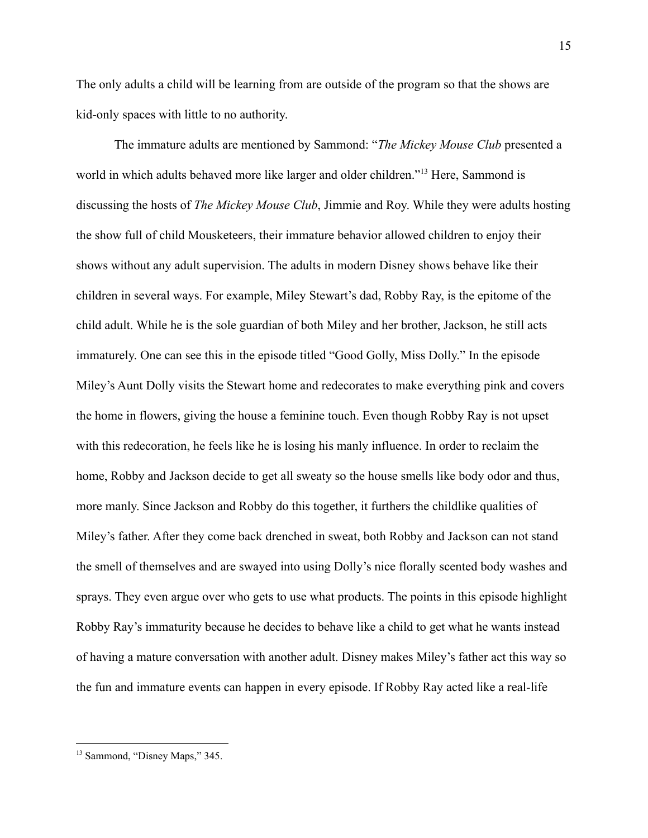The only adults a child will be learning from are outside of the program so that the shows are kid-only spaces with little to no authority.

The immature adults are mentioned by Sammond: "*The Mickey Mouse Club* presented a world in which adults behaved more like larger and older children."<sup>13</sup> Here, Sammond is discussing the hosts of *The Mickey Mouse Club*, Jimmie and Roy. While they were adults hosting the show full of child Mousketeers, their immature behavior allowed children to enjoy their shows without any adult supervision. The adults in modern Disney shows behave like their children in several ways. For example, Miley Stewart's dad, Robby Ray, is the epitome of the child adult. While he is the sole guardian of both Miley and her brother, Jackson, he still acts immaturely. One can see this in the episode titled "Good Golly, Miss Dolly." In the episode Miley's Aunt Dolly visits the Stewart home and redecorates to make everything pink and covers the home in flowers, giving the house a feminine touch. Even though Robby Ray is not upset with this redecoration, he feels like he is losing his manly influence. In order to reclaim the home, Robby and Jackson decide to get all sweaty so the house smells like body odor and thus, more manly. Since Jackson and Robby do this together, it furthers the childlike qualities of Miley's father. After they come back drenched in sweat, both Robby and Jackson can not stand the smell of themselves and are swayed into using Dolly's nice florally scented body washes and sprays. They even argue over who gets to use what products. The points in this episode highlight Robby Ray's immaturity because he decides to behave like a child to get what he wants instead of having a mature conversation with another adult. Disney makes Miley's father act this way so the fun and immature events can happen in every episode. If Robby Ray acted like a real-life

<sup>13</sup> Sammond, "Disney Maps," 345.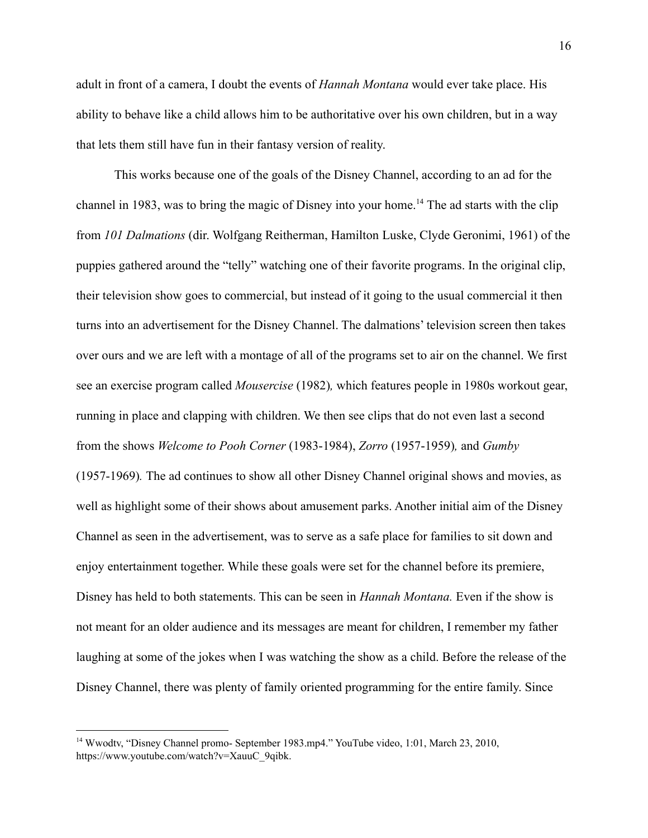adult in front of a camera, I doubt the events of *Hannah Montana* would ever take place. His ability to behave like a child allows him to be authoritative over his own children, but in a way that lets them still have fun in their fantasy version of reality.

This works because one of the goals of the Disney Channel, according to an ad for the channel in 1983, was to bring the magic of Disney into your home.<sup>14</sup> The ad starts with the clip from *101 Dalmations* (dir. Wolfgang Reitherman, Hamilton Luske, Clyde Geronimi, 1961) of the puppies gathered around the "telly" watching one of their favorite programs. In the original clip, their television show goes to commercial, but instead of it going to the usual commercial it then turns into an advertisement for the Disney Channel. The dalmations' television screen then takes over ours and we are left with a montage of all of the programs set to air on the channel. We first see an exercise program called *Mousercise* (1982)*,* which features people in 1980s workout gear, running in place and clapping with children. We then see clips that do not even last a second from the shows *Welcome to Pooh Corner* (1983-1984), *Zorro* (1957-1959)*,* and *Gumby* (1957-1969)*.* The ad continues to show all other Disney Channel original shows and movies, as well as highlight some of their shows about amusement parks. Another initial aim of the Disney Channel as seen in the advertisement, was to serve as a safe place for families to sit down and enjoy entertainment together. While these goals were set for the channel before its premiere, Disney has held to both statements. This can be seen in *Hannah Montana.* Even if the show is not meant for an older audience and its messages are meant for children, I remember my father laughing at some of the jokes when I was watching the show as a child. Before the release of the Disney Channel, there was plenty of family oriented programming for the entire family. Since

<sup>&</sup>lt;sup>14</sup> Wwodtv, "Disney Channel promo- September 1983.mp4." YouTube video, 1:01, March 23, 2010, https://www.youtube.com/watch?v=XauuC\_9qibk.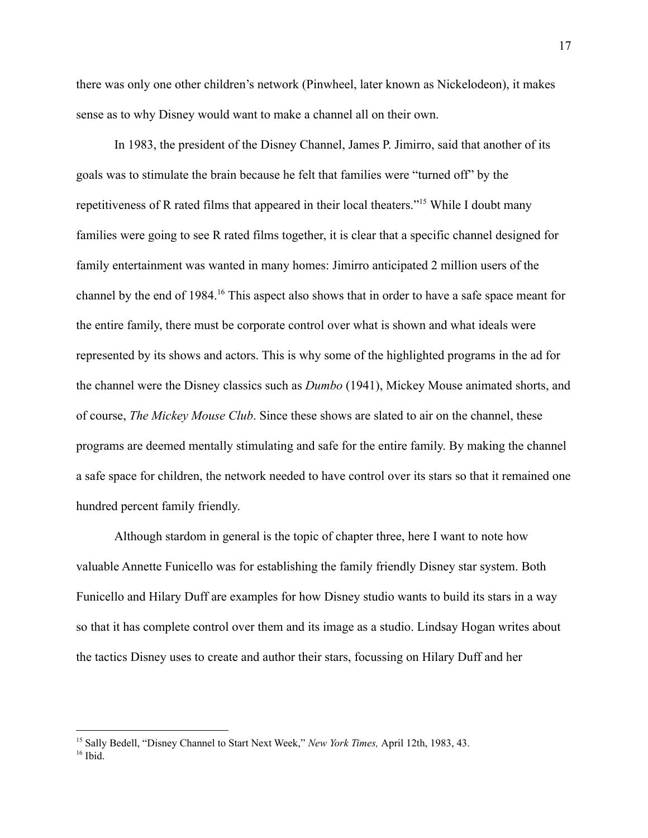there was only one other children's network (Pinwheel, later known as Nickelodeon), it makes sense as to why Disney would want to make a channel all on their own.

In 1983, the president of the Disney Channel, James P. Jimirro, said that another of its goals was to stimulate the brain because he felt that families were "turned off" by the repetitiveness of R rated films that appeared in their local theaters."<sup>15</sup> While I doubt many families were going to see R rated films together, it is clear that a specific channel designed for family entertainment was wanted in many homes: Jimirro anticipated 2 million users of the channel by the end of 1984.<sup>16</sup> This aspect also shows that in order to have a safe space meant for the entire family, there must be corporate control over what is shown and what ideals were represented by its shows and actors. This is why some of the highlighted programs in the ad for the channel were the Disney classics such as *Dumbo* (1941), Mickey Mouse animated shorts, and of course, *The Mickey Mouse Club*. Since these shows are slated to air on the channel, these programs are deemed mentally stimulating and safe for the entire family. By making the channel a safe space for children, the network needed to have control over its stars so that it remained one hundred percent family friendly.

Although stardom in general is the topic of chapter three, here I want to note how valuable Annette Funicello was for establishing the family friendly Disney star system. Both Funicello and Hilary Duff are examples for how Disney studio wants to build its stars in a way so that it has complete control over them and its image as a studio. Lindsay Hogan writes about the tactics Disney uses to create and author their stars, focussing on Hilary Duff and her

 $16$  Ibid. <sup>15</sup> Sally Bedell, "Disney Channel to Start Next Week," *New York Times,* April 12th, 1983, 43.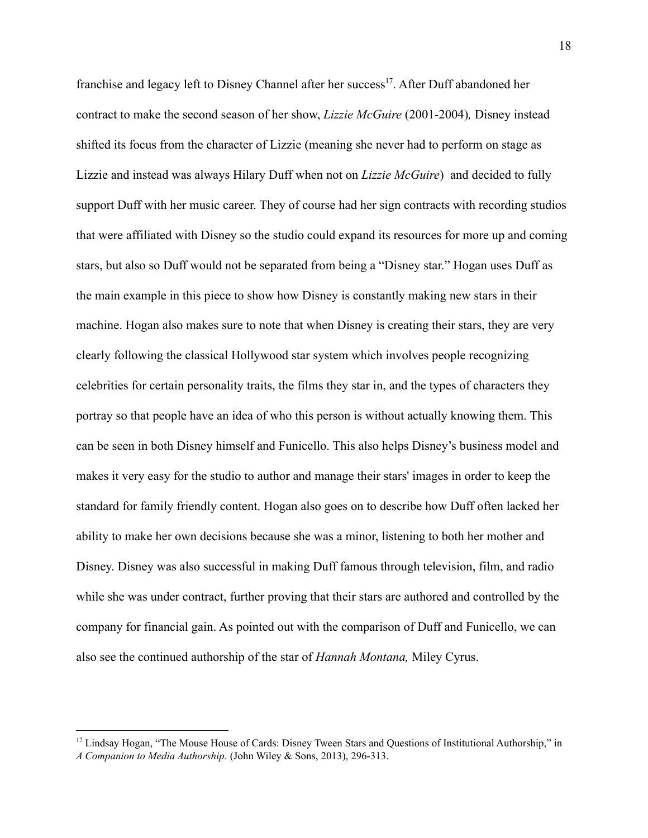franchise and legacy left to Disney Channel after her success<sup>17</sup>. After Duff abandoned her contract to make the second season of her show, *Lizzie McGuire* (2001-2004)*,* Disney instead shifted its focus from the character of Lizzie (meaning she never had to perform on stage as Lizzie and instead was always Hilary Duff when not on *Lizzie McGuire*) and decided to fully support Duff with her music career. They of course had her sign contracts with recording studios that were affiliated with Disney so the studio could expand its resources for more up and coming stars, but also so Duff would not be separated from being a "Disney star." Hogan uses Duff as the main example in this piece to show how Disney is constantly making new stars in their machine. Hogan also makes sure to note that when Disney is creating their stars, they are very clearly following the classical Hollywood star system which involves people recognizing celebrities for certain personality traits, the films they star in, and the types of characters they portray so that people have an idea of who this person is without actually knowing them. This can be seen in both Disney himself and Funicello. This also helps Disney's business model and makes it very easy for the studio to author and manage their stars' images in order to keep the standard for family friendly content. Hogan also goes on to describe how Duff often lacked her ability to make her own decisions because she was a minor, listening to both her mother and Disney. Disney was also successful in making Duff famous through television, film, and radio while she was under contract, further proving that their stars are authored and controlled by the company for financial gain. As pointed out with the comparison of Duff and Funicello, we can also see the continued authorship of the star of *Hannah Montana,* Miley Cyrus.

<sup>&</sup>lt;sup>17</sup> Lindsay Hogan, "The Mouse House of Cards: Disney Tween Stars and Questions of Institutional Authorship," in *A Companion to Media Authorship.* (John Wiley & Sons, 2013), 296-313.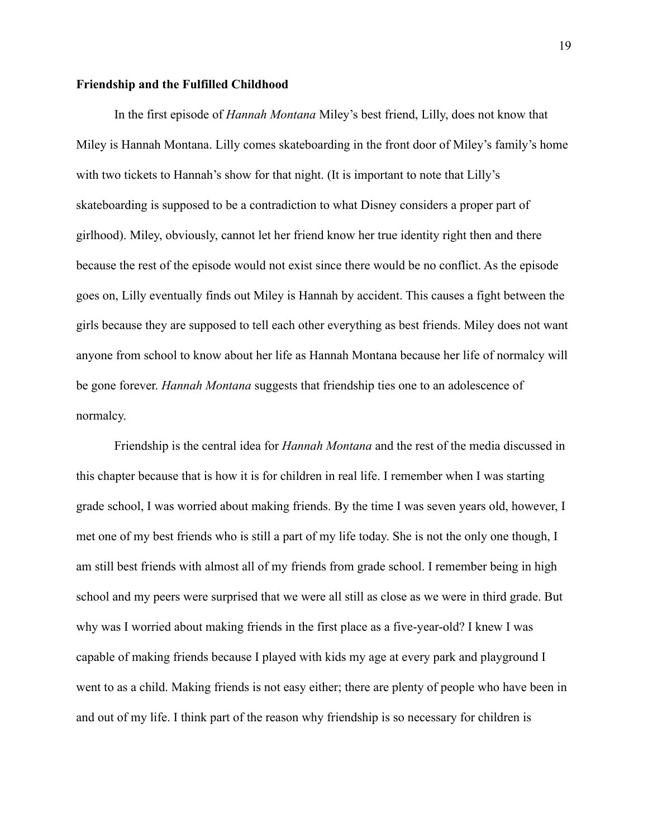### **Friendship and the Fulfilled Childhood**

In the first episode of *Hannah Montana* Miley's best friend, Lilly, does not know that Miley is Hannah Montana. Lilly comes skateboarding in the front door of Miley's family's home with two tickets to Hannah's show for that night. (It is important to note that Lilly's skateboarding is supposed to be a contradiction to what Disney considers a proper part of girlhood). Miley, obviously, cannot let her friend know her true identity right then and there because the rest of the episode would not exist since there would be no conflict. As the episode goes on, Lilly eventually finds out Miley is Hannah by accident. This causes a fight between the girls because they are supposed to tell each other everything as best friends. Miley does not want anyone from school to know about her life as Hannah Montana because her life of normalcy will be gone forever. *Hannah Montana* suggests that friendship ties one to an adolescence of normalcy.

Friendship is the central idea for *Hannah Montana* and the rest of the media discussed in this chapter because that is how it is for children in real life. I remember when I was starting grade school, I was worried about making friends. By the time I was seven years old, however, I met one of my best friends who is still a part of my life today. She is not the only one though, I am still best friends with almost all of my friends from grade school. I remember being in high school and my peers were surprised that we were all still as close as we were in third grade. But why was I worried about making friends in the first place as a five-year-old? I knew I was capable of making friends because I played with kids my age at every park and playground I went to as a child. Making friends is not easy either; there are plenty of people who have been in and out of my life. I think part of the reason why friendship is so necessary for children is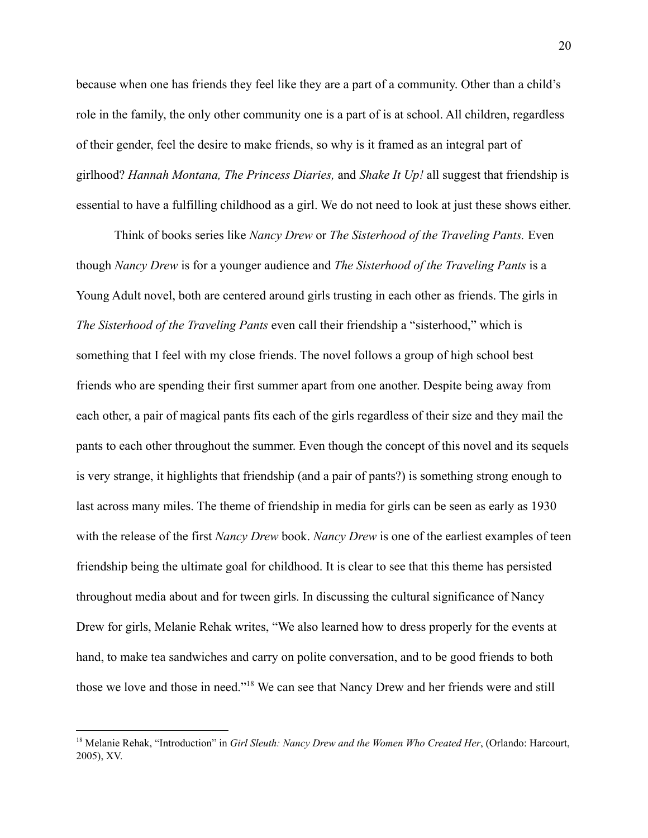because when one has friends they feel like they are a part of a community. Other than a child's role in the family, the only other community one is a part of is at school. All children, regardless of their gender, feel the desire to make friends, so why is it framed as an integral part of girlhood? *Hannah Montana, The Princess Diaries,* and *Shake It Up!* all suggest that friendship is essential to have a fulfilling childhood as a girl. We do not need to look at just these shows either.

Think of books series like *Nancy Drew* or *The Sisterhood of the Traveling Pants.* Even though *Nancy Drew* is for a younger audience and *The Sisterhood of the Traveling Pants* is a Young Adult novel, both are centered around girls trusting in each other as friends. The girls in *The Sisterhood of the Traveling Pants* even call their friendship a "sisterhood," which is something that I feel with my close friends. The novel follows a group of high school best friends who are spending their first summer apart from one another. Despite being away from each other, a pair of magical pants fits each of the girls regardless of their size and they mail the pants to each other throughout the summer. Even though the concept of this novel and its sequels is very strange, it highlights that friendship (and a pair of pants?) is something strong enough to last across many miles. The theme of friendship in media for girls can be seen as early as 1930 with the release of the first *Nancy Drew* book. *Nancy Drew* is one of the earliest examples of teen friendship being the ultimate goal for childhood. It is clear to see that this theme has persisted throughout media about and for tween girls. In discussing the cultural significance of Nancy Drew for girls, Melanie Rehak writes, "We also learned how to dress properly for the events at hand, to make tea sandwiches and carry on polite conversation, and to be good friends to both those we love and those in need."<sup>18</sup> We can see that Nancy Drew and her friends were and still

<sup>18</sup> Melanie Rehak, "Introduction" in *Girl Sleuth: Nancy Drew and the Women Who Created Her*, (Orlando: Harcourt, 2005), XV.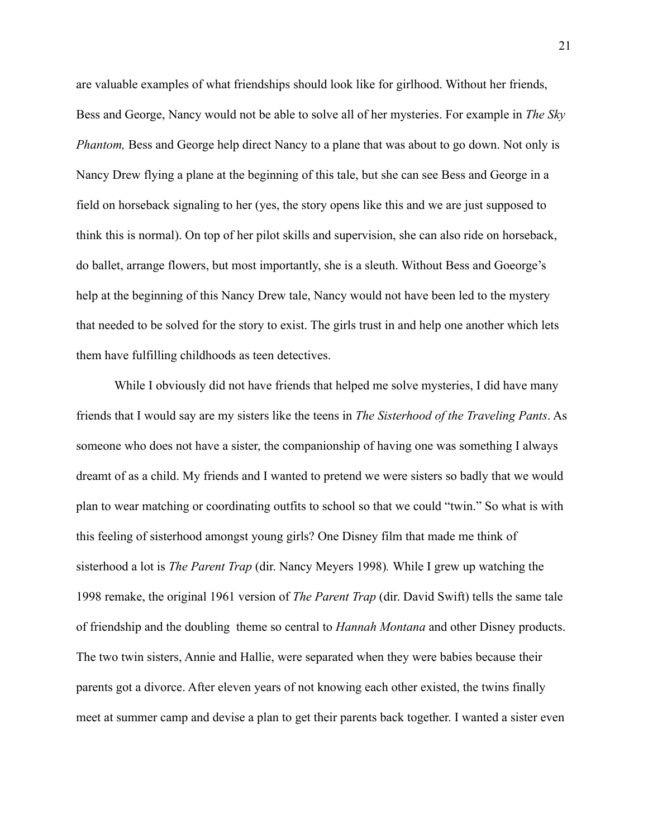are valuable examples of what friendships should look like for girlhood. Without her friends, Bess and George, Nancy would not be able to solve all of her mysteries. For example in *The Sky Phantom,* Bess and George help direct Nancy to a plane that was about to go down. Not only is Nancy Drew flying a plane at the beginning of this tale, but she can see Bess and George in a field on horseback signaling to her (yes, the story opens like this and we are just supposed to think this is normal). On top of her pilot skills and supervision, she can also ride on horseback, do ballet, arrange flowers, but most importantly, she is a sleuth. Without Bess and Goeorge's help at the beginning of this Nancy Drew tale, Nancy would not have been led to the mystery that needed to be solved for the story to exist. The girls trust in and help one another which lets them have fulfilling childhoods as teen detectives.

While I obviously did not have friends that helped me solve mysteries. I did have many friends that I would say are my sisters like the teens in *The Sisterhood of the Traveling Pants*. As someone who does not have a sister, the companionship of having one was something I always dreamt of as a child. My friends and I wanted to pretend we were sisters so badly that we would plan to wear matching or coordinating outfits to school so that we could "twin." So what is with this feeling of sisterhood amongst young girls? One Disney film that made me think of sisterhood a lot is *The Parent Trap* (dir. Nancy Meyers 1998)*.* While I grew up watching the 1998 remake, the original 1961 version of *The Parent Trap* (dir. David Swift) tells the same tale of friendship and the doubling theme so central to *Hannah Montana* and other Disney products. The two twin sisters, Annie and Hallie, were separated when they were babies because their parents got a divorce. After eleven years of not knowing each other existed, the twins finally meet at summer camp and devise a plan to get their parents back together. I wanted a sister even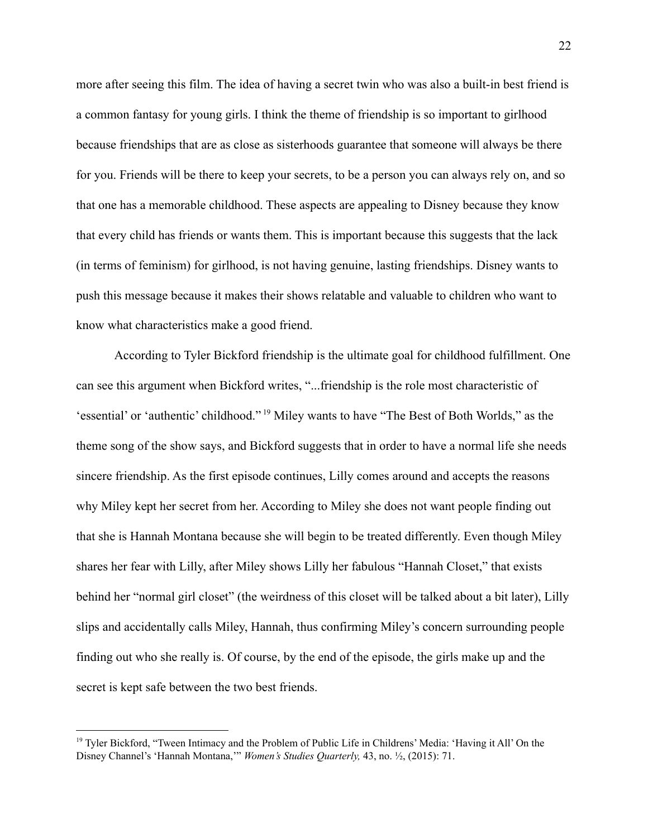more after seeing this film. The idea of having a secret twin who was also a built-in best friend is a common fantasy for young girls. I think the theme of friendship is so important to girlhood because friendships that are as close as sisterhoods guarantee that someone will always be there for you. Friends will be there to keep your secrets, to be a person you can always rely on, and so that one has a memorable childhood. These aspects are appealing to Disney because they know that every child has friends or wants them. This is important because this suggests that the lack (in terms of feminism) for girlhood, is not having genuine, lasting friendships. Disney wants to push this message because it makes their shows relatable and valuable to children who want to know what characteristics make a good friend.

According to Tyler Bickford friendship is the ultimate goal for childhood fulfillment. One can see this argument when Bickford writes, "...friendship is the role most characteristic of 'essential' or 'authentic' childhood." <sup>19</sup> Miley wants to have "The Best of Both Worlds," as the theme song of the show says, and Bickford suggests that in order to have a normal life she needs sincere friendship. As the first episode continues, Lilly comes around and accepts the reasons why Miley kept her secret from her. According to Miley she does not want people finding out that she is Hannah Montana because she will begin to be treated differently. Even though Miley shares her fear with Lilly, after Miley shows Lilly her fabulous "Hannah Closet," that exists behind her "normal girl closet" (the weirdness of this closet will be talked about a bit later), Lilly slips and accidentally calls Miley, Hannah, thus confirming Miley's concern surrounding people finding out who she really is. Of course, by the end of the episode, the girls make up and the secret is kept safe between the two best friends.

<sup>19</sup> Tyler Bickford, "Tween Intimacy and the Problem of Public Life in Childrens' Media: 'Having it All' On the Disney Channel's 'Hannah Montana,'" *Women's Studies Quarterly,* 43, no. ½, (2015): 71.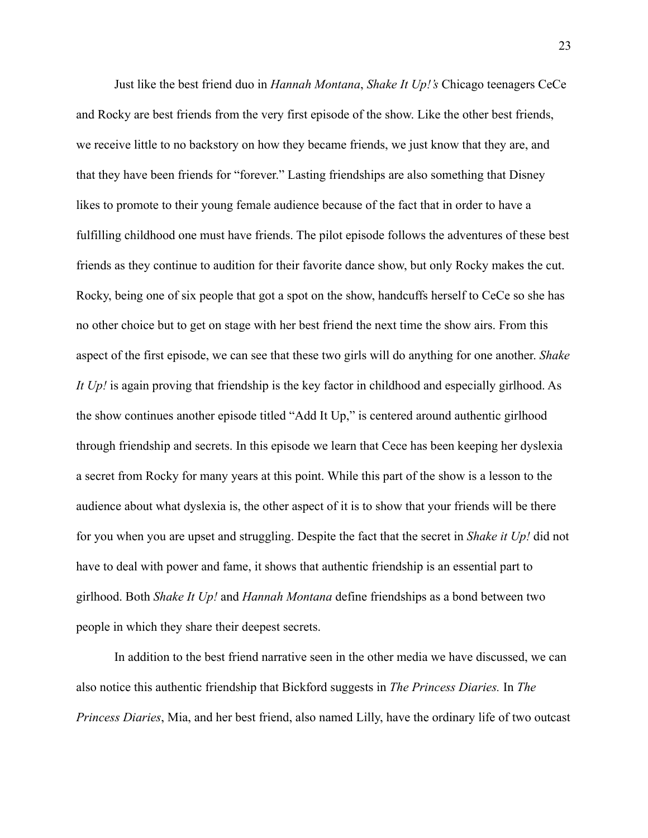Just like the best friend duo in *Hannah Montana*, *Shake It Up!'s* Chicago teenagers CeCe and Rocky are best friends from the very first episode of the show. Like the other best friends, we receive little to no backstory on how they became friends, we just know that they are, and that they have been friends for "forever." Lasting friendships are also something that Disney likes to promote to their young female audience because of the fact that in order to have a fulfilling childhood one must have friends. The pilot episode follows the adventures of these best friends as they continue to audition for their favorite dance show, but only Rocky makes the cut. Rocky, being one of six people that got a spot on the show, handcuffs herself to CeCe so she has no other choice but to get on stage with her best friend the next time the show airs. From this aspect of the first episode, we can see that these two girls will do anything for one another. *Shake It Up!* is again proving that friendship is the key factor in childhood and especially girlhood. As the show continues another episode titled "Add It Up," is centered around authentic girlhood through friendship and secrets. In this episode we learn that Cece has been keeping her dyslexia a secret from Rocky for many years at this point. While this part of the show is a lesson to the audience about what dyslexia is, the other aspect of it is to show that your friends will be there for you when you are upset and struggling. Despite the fact that the secret in *Shake it Up!* did not have to deal with power and fame, it shows that authentic friendship is an essential part to girlhood. Both *Shake It Up!* and *Hannah Montana* define friendships as a bond between two people in which they share their deepest secrets.

In addition to the best friend narrative seen in the other media we have discussed, we can also notice this authentic friendship that Bickford suggests in *The Princess Diaries.* In *The Princess Diaries*, Mia, and her best friend, also named Lilly, have the ordinary life of two outcast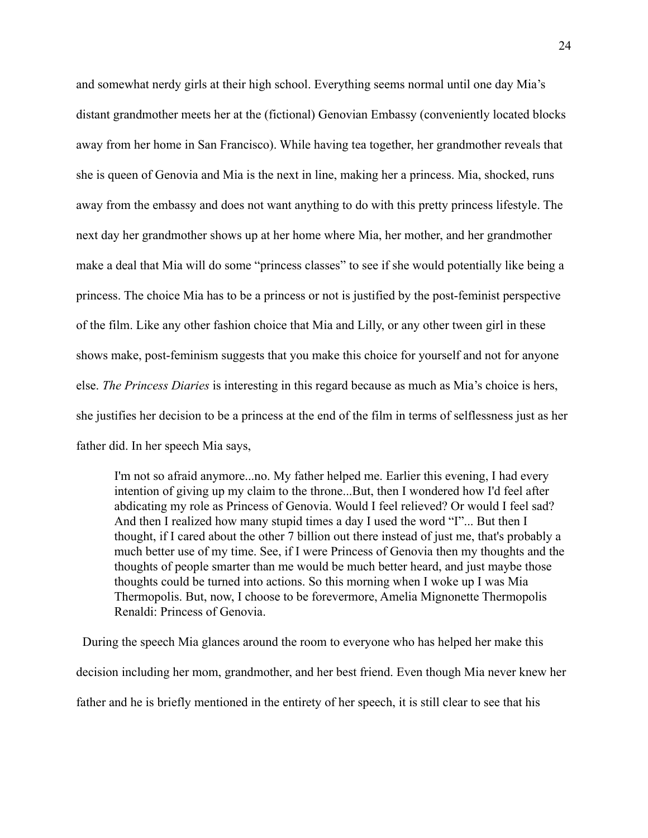and somewhat nerdy girls at their high school. Everything seems normal until one day Mia's distant grandmother meets her at the (fictional) Genovian Embassy (conveniently located blocks away from her home in San Francisco). While having tea together, her grandmother reveals that she is queen of Genovia and Mia is the next in line, making her a princess. Mia, shocked, runs away from the embassy and does not want anything to do with this pretty princess lifestyle. The next day her grandmother shows up at her home where Mia, her mother, and her grandmother make a deal that Mia will do some "princess classes" to see if she would potentially like being a princess. The choice Mia has to be a princess or not is justified by the post-feminist perspective of the film. Like any other fashion choice that Mia and Lilly, or any other tween girl in these shows make, post-feminism suggests that you make this choice for yourself and not for anyone else. *The Princess Diaries* is interesting in this regard because as much as Mia's choice is hers, she justifies her decision to be a princess at the end of the film in terms of selflessness just as her father did. In her speech Mia says,

I'm not so afraid anymore...no. My father helped me. Earlier this evening, I had every intention of giving up my claim to the throne...But, then I wondered how I'd feel after abdicating my role as Princess of Genovia. Would I feel relieved? Or would I feel sad? And then I realized how many stupid times a day I used the word "I"... But then I thought, if I cared about the other 7 billion out there instead of just me, that's probably a much better use of my time. See, if I were Princess of Genovia then my thoughts and the thoughts of people smarter than me would be much better heard, and just maybe those thoughts could be turned into actions. So this morning when I woke up I was Mia Thermopolis. But, now, I choose to be forevermore, Amelia Mignonette Thermopolis Renaldi: Princess of Genovia.

During the speech Mia glances around the room to everyone who has helped her make this decision including her mom, grandmother, and her best friend. Even though Mia never knew her father and he is briefly mentioned in the entirety of her speech, it is still clear to see that his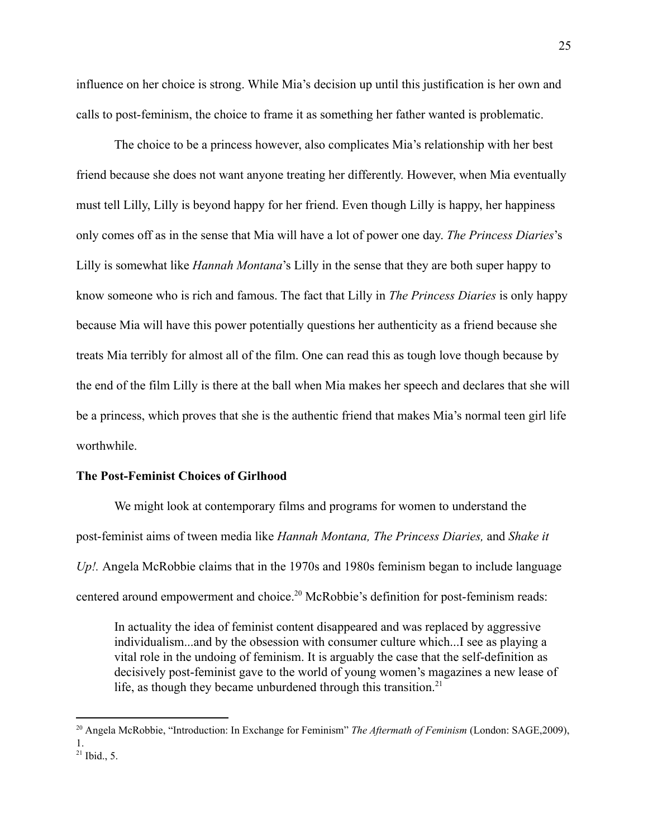influence on her choice is strong. While Mia's decision up until this justification is her own and calls to post-feminism, the choice to frame it as something her father wanted is problematic.

The choice to be a princess however, also complicates Mia's relationship with her best friend because she does not want anyone treating her differently. However, when Mia eventually must tell Lilly, Lilly is beyond happy for her friend. Even though Lilly is happy, her happiness only comes off as in the sense that Mia will have a lot of power one day. *The Princess Diaries*'s Lilly is somewhat like *Hannah Montana*'s Lilly in the sense that they are both super happy to know someone who is rich and famous. The fact that Lilly in *The Princess Diaries* is only happy because Mia will have this power potentially questions her authenticity as a friend because she treats Mia terribly for almost all of the film. One can read this as tough love though because by the end of the film Lilly is there at the ball when Mia makes her speech and declares that she will be a princess, which proves that she is the authentic friend that makes Mia's normal teen girl life worthwhile.

#### **The Post-Feminist Choices of Girlhood**

We might look at contemporary films and programs for women to understand the post-feminist aims of tween media like *Hannah Montana, The Princess Diaries,* and *Shake it Up!.* Angela McRobbie claims that in the 1970s and 1980s feminism began to include language centered around empowerment and choice.<sup>20</sup> McRobbie's definition for post-feminism reads:

In actuality the idea of feminist content disappeared and was replaced by aggressive individualism...and by the obsession with consumer culture which...I see as playing a vital role in the undoing of feminism. It is arguably the case that the self-definition as decisively post-feminist gave to the world of young women's magazines a new lease of life, as though they became unburdened through this transition.<sup>21</sup>

 $^{21}$  Ibid., 5. <sup>20</sup> Angela McRobbie, "Introduction: In Exchange for Feminism" *The Aftermath of Feminism* (London: SAGE,2009), 1.

<sup>25</sup>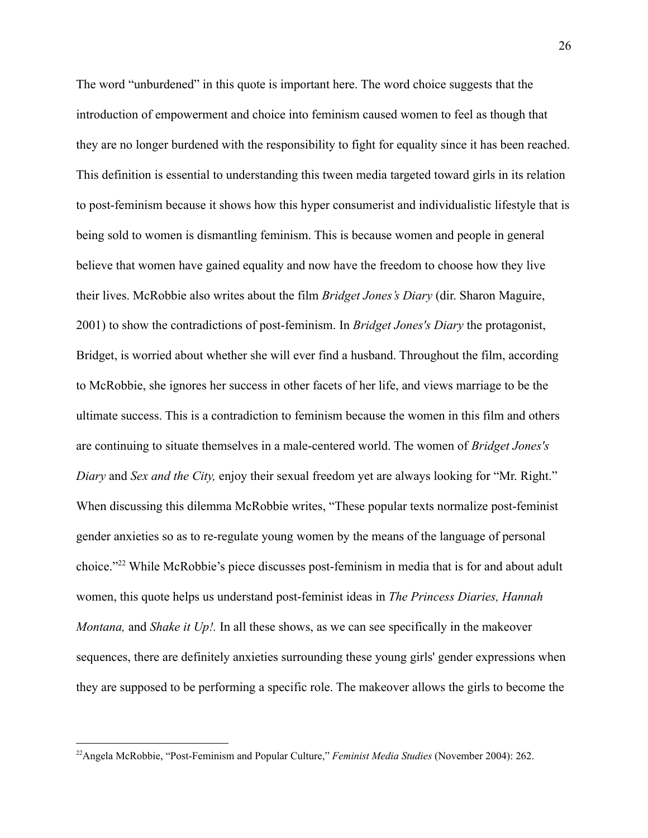The word "unburdened" in this quote is important here. The word choice suggests that the introduction of empowerment and choice into feminism caused women to feel as though that they are no longer burdened with the responsibility to fight for equality since it has been reached. This definition is essential to understanding this tween media targeted toward girls in its relation to post-feminism because it shows how this hyper consumerist and individualistic lifestyle that is being sold to women is dismantling feminism. This is because women and people in general believe that women have gained equality and now have the freedom to choose how they live their lives. McRobbie also writes about the film *Bridget Jones's Diary* (dir. Sharon Maguire, 2001) to show the contradictions of post-feminism. In *Bridget Jones's Diary* the protagonist, Bridget, is worried about whether she will ever find a husband. Throughout the film, according to McRobbie, she ignores her success in other facets of her life, and views marriage to be the ultimate success. This is a contradiction to feminism because the women in this film and others are continuing to situate themselves in a male-centered world. The women of *Bridget Jones's Diary* and *Sex and the City,* enjoy their sexual freedom yet are always looking for "Mr. Right." When discussing this dilemma McRobbie writes, "These popular texts normalize post-feminist gender anxieties so as to re-regulate young women by the means of the language of personal choice."<sup>22</sup> While McRobbie's piece discusses post-feminism in media that is for and about adult women, this quote helps us understand post-feminist ideas in *The Princess Diaries, Hannah Montana,* and *Shake it Up!.* In all these shows, as we can see specifically in the makeover sequences, there are definitely anxieties surrounding these young girls' gender expressions when they are supposed to be performing a specific role. The makeover allows the girls to become the

<sup>22</sup>Angela McRobbie, "Post-Feminism and Popular Culture," *Feminist Media Studies* (November 2004): 262.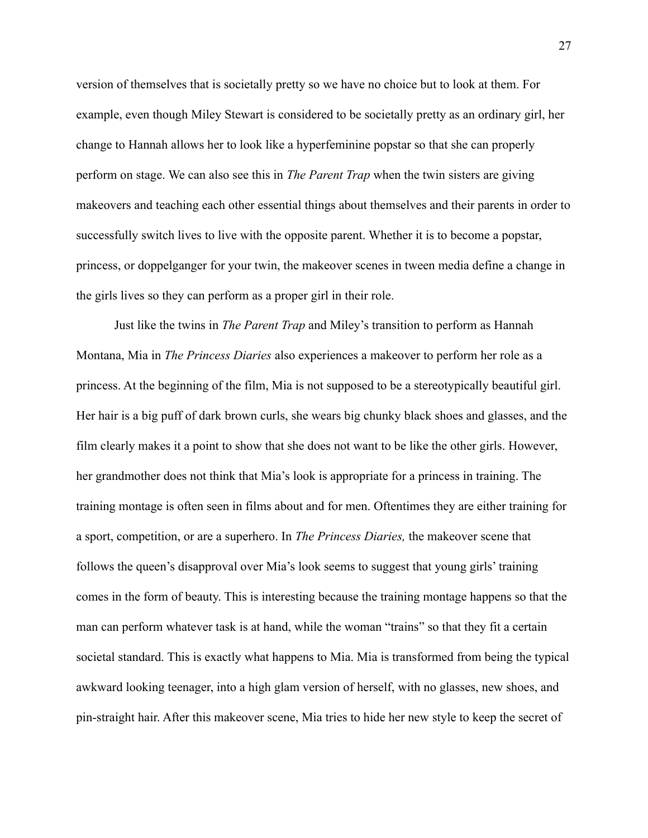version of themselves that is societally pretty so we have no choice but to look at them. For example, even though Miley Stewart is considered to be societally pretty as an ordinary girl, her change to Hannah allows her to look like a hyperfeminine popstar so that she can properly perform on stage. We can also see this in *The Parent Trap* when the twin sisters are giving makeovers and teaching each other essential things about themselves and their parents in order to successfully switch lives to live with the opposite parent. Whether it is to become a popstar, princess, or doppelganger for your twin, the makeover scenes in tween media define a change in the girls lives so they can perform as a proper girl in their role.

Just like the twins in *The Parent Trap* and Miley's transition to perform as Hannah Montana, Mia in *The Princess Diaries* also experiences a makeover to perform her role as a princess. At the beginning of the film, Mia is not supposed to be a stereotypically beautiful girl. Her hair is a big puff of dark brown curls, she wears big chunky black shoes and glasses, and the film clearly makes it a point to show that she does not want to be like the other girls. However, her grandmother does not think that Mia's look is appropriate for a princess in training. The training montage is often seen in films about and for men. Oftentimes they are either training for a sport, competition, or are a superhero. In *The Princess Diaries,* the makeover scene that follows the queen's disapproval over Mia's look seems to suggest that young girls' training comes in the form of beauty. This is interesting because the training montage happens so that the man can perform whatever task is at hand, while the woman "trains" so that they fit a certain societal standard. This is exactly what happens to Mia. Mia is transformed from being the typical awkward looking teenager, into a high glam version of herself, with no glasses, new shoes, and pin-straight hair. After this makeover scene, Mia tries to hide her new style to keep the secret of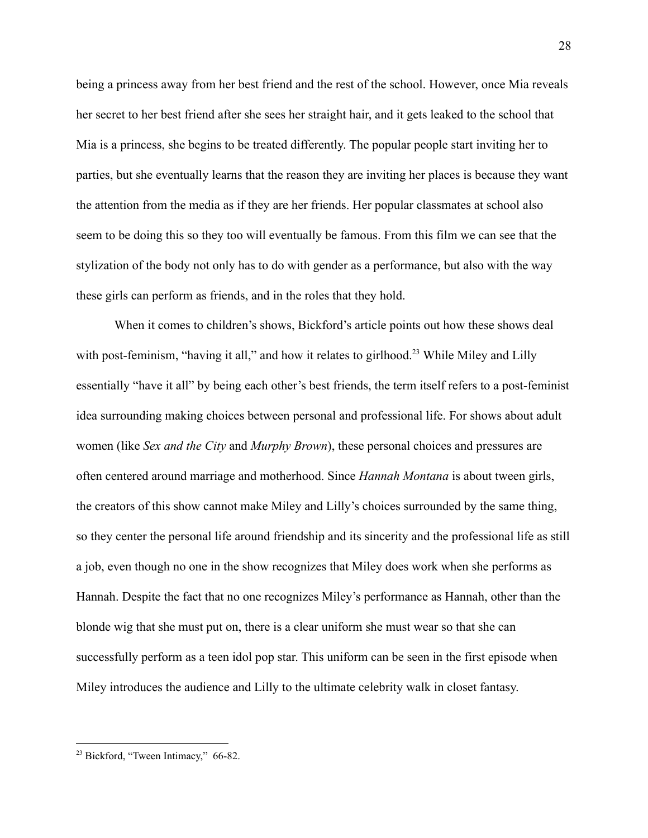being a princess away from her best friend and the rest of the school. However, once Mia reveals her secret to her best friend after she sees her straight hair, and it gets leaked to the school that Mia is a princess, she begins to be treated differently. The popular people start inviting her to parties, but she eventually learns that the reason they are inviting her places is because they want the attention from the media as if they are her friends. Her popular classmates at school also seem to be doing this so they too will eventually be famous. From this film we can see that the stylization of the body not only has to do with gender as a performance, but also with the way these girls can perform as friends, and in the roles that they hold.

When it comes to children's shows, Bickford's article points out how these shows deal with post-feminism, "having it all," and how it relates to girlhood.<sup>23</sup> While Miley and Lilly essentially "have it all" by being each other's best friends, the term itself refers to a post-feminist idea surrounding making choices between personal and professional life. For shows about adult women (like *Sex and the City* and *Murphy Brown*), these personal choices and pressures are often centered around marriage and motherhood. Since *Hannah Montana* is about tween girls, the creators of this show cannot make Miley and Lilly's choices surrounded by the same thing, so they center the personal life around friendship and its sincerity and the professional life as still a job, even though no one in the show recognizes that Miley does work when she performs as Hannah. Despite the fact that no one recognizes Miley's performance as Hannah, other than the blonde wig that she must put on, there is a clear uniform she must wear so that she can successfully perform as a teen idol pop star. This uniform can be seen in the first episode when Miley introduces the audience and Lilly to the ultimate celebrity walk in closet fantasy.

<sup>&</sup>lt;sup>23</sup> Bickford, "Tween Intimacy," 66-82.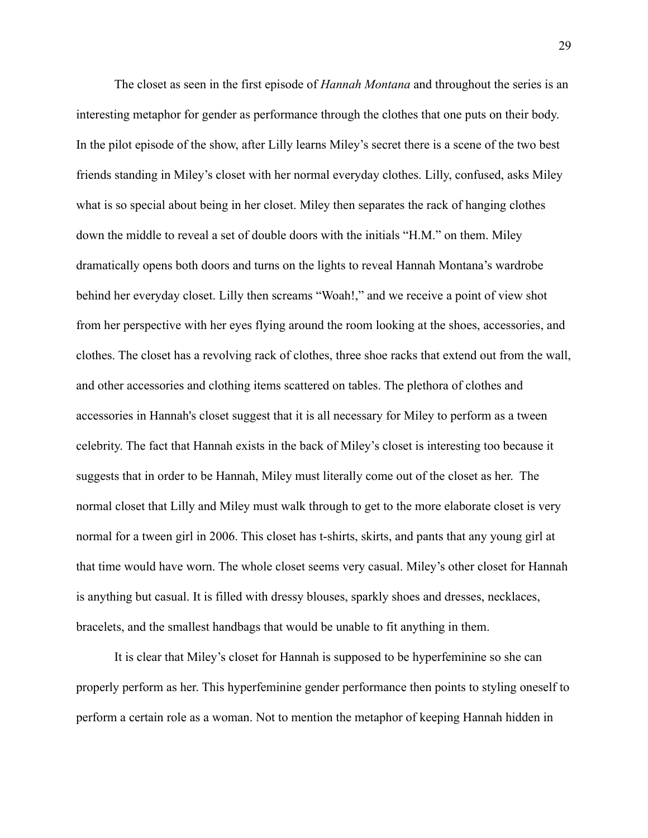The closet as seen in the first episode of *Hannah Montana* and throughout the series is an interesting metaphor for gender as performance through the clothes that one puts on their body. In the pilot episode of the show, after Lilly learns Miley's secret there is a scene of the two best friends standing in Miley's closet with her normal everyday clothes. Lilly, confused, asks Miley what is so special about being in her closet. Miley then separates the rack of hanging clothes down the middle to reveal a set of double doors with the initials "H.M." on them. Miley dramatically opens both doors and turns on the lights to reveal Hannah Montana's wardrobe behind her everyday closet. Lilly then screams "Woah!," and we receive a point of view shot from her perspective with her eyes flying around the room looking at the shoes, accessories, and clothes. The closet has a revolving rack of clothes, three shoe racks that extend out from the wall, and other accessories and clothing items scattered on tables. The plethora of clothes and accessories in Hannah's closet suggest that it is all necessary for Miley to perform as a tween celebrity. The fact that Hannah exists in the back of Miley's closet is interesting too because it suggests that in order to be Hannah, Miley must literally come out of the closet as her. The normal closet that Lilly and Miley must walk through to get to the more elaborate closet is very normal for a tween girl in 2006. This closet has t-shirts, skirts, and pants that any young girl at that time would have worn. The whole closet seems very casual. Miley's other closet for Hannah is anything but casual. It is filled with dressy blouses, sparkly shoes and dresses, necklaces, bracelets, and the smallest handbags that would be unable to fit anything in them.

It is clear that Miley's closet for Hannah is supposed to be hyperfeminine so she can properly perform as her. This hyperfeminine gender performance then points to styling oneself to perform a certain role as a woman. Not to mention the metaphor of keeping Hannah hidden in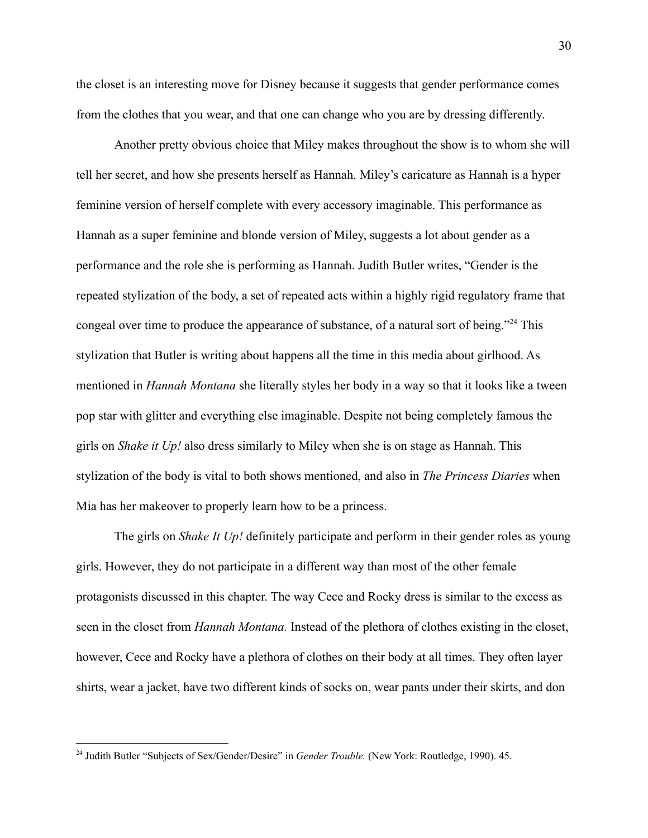the closet is an interesting move for Disney because it suggests that gender performance comes from the clothes that you wear, and that one can change who you are by dressing differently.

Another pretty obvious choice that Miley makes throughout the show is to whom she will tell her secret, and how she presents herself as Hannah. Miley's caricature as Hannah is a hyper feminine version of herself complete with every accessory imaginable. This performance as Hannah as a super feminine and blonde version of Miley, suggests a lot about gender as a performance and the role she is performing as Hannah. Judith Butler writes, "Gender is the repeated stylization of the body, a set of repeated acts within a highly rigid regulatory frame that congeal over time to produce the appearance of substance, of a natural sort of being."<sup>24</sup> This stylization that Butler is writing about happens all the time in this media about girlhood. As mentioned in *Hannah Montana* she literally styles her body in a way so that it looks like a tween pop star with glitter and everything else imaginable. Despite not being completely famous the girls on *Shake it Up!* also dress similarly to Miley when she is on stage as Hannah. This stylization of the body is vital to both shows mentioned, and also in *The Princess Diaries* when Mia has her makeover to properly learn how to be a princess.

The girls on *Shake It Up!* definitely participate and perform in their gender roles as young girls. However, they do not participate in a different way than most of the other female protagonists discussed in this chapter. The way Cece and Rocky dress is similar to the excess as seen in the closet from *Hannah Montana.* Instead of the plethora of clothes existing in the closet, however, Cece and Rocky have a plethora of clothes on their body at all times. They often layer shirts, wear a jacket, have two different kinds of socks on, wear pants under their skirts, and don

<sup>24</sup> Judith Butler "Subjects of Sex/Gender/Desire" in *Gender Trouble.* (New York: Routledge, 1990). 45.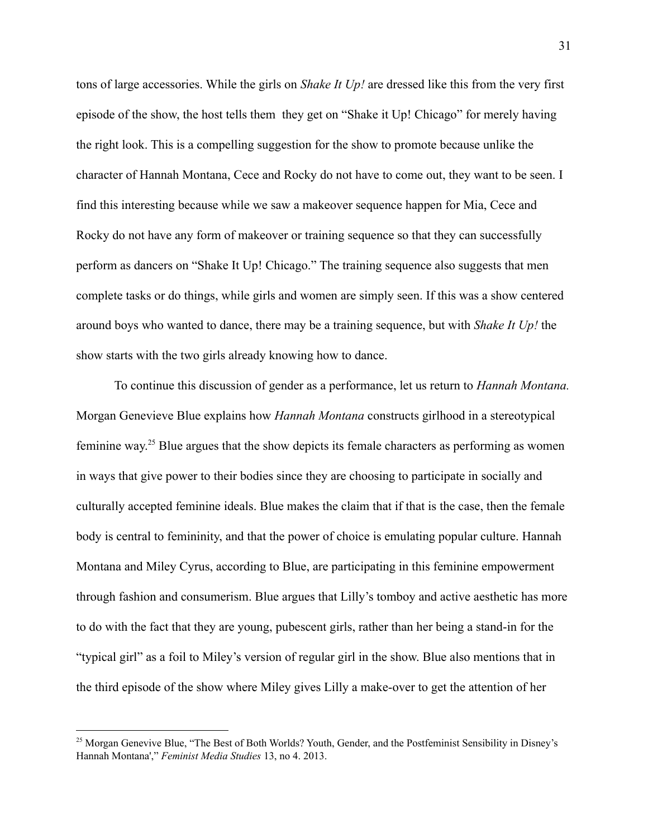tons of large accessories. While the girls on *Shake It Up!* are dressed like this from the very first episode of the show, the host tells them they get on "Shake it Up! Chicago" for merely having the right look. This is a compelling suggestion for the show to promote because unlike the character of Hannah Montana, Cece and Rocky do not have to come out, they want to be seen. I find this interesting because while we saw a makeover sequence happen for Mia, Cece and Rocky do not have any form of makeover or training sequence so that they can successfully perform as dancers on "Shake It Up! Chicago." The training sequence also suggests that men complete tasks or do things, while girls and women are simply seen. If this was a show centered around boys who wanted to dance, there may be a training sequence, but with *Shake It Up!* the show starts with the two girls already knowing how to dance.

To continue this discussion of gender as a performance, let us return to *Hannah Montana.* Morgan Genevieve Blue explains how *Hannah Montana* constructs girlhood in a stereotypical feminine way.<sup>25</sup> Blue argues that the show depicts its female characters as performing as women in ways that give power to their bodies since they are choosing to participate in socially and culturally accepted feminine ideals. Blue makes the claim that if that is the case, then the female body is central to femininity, and that the power of choice is emulating popular culture. Hannah Montana and Miley Cyrus, according to Blue, are participating in this feminine empowerment through fashion and consumerism. Blue argues that Lilly's tomboy and active aesthetic has more to do with the fact that they are young, pubescent girls, rather than her being a stand-in for the "typical girl" as a foil to Miley's version of regular girl in the show. Blue also mentions that in the third episode of the show where Miley gives Lilly a make-over to get the attention of her

<sup>&</sup>lt;sup>25</sup> Morgan Genevive Blue, "The Best of Both Worlds? Youth, Gender, and the Postfeminist Sensibility in Disney's Hannah Montana'," *Feminist Media Studies* 13, no 4. 2013.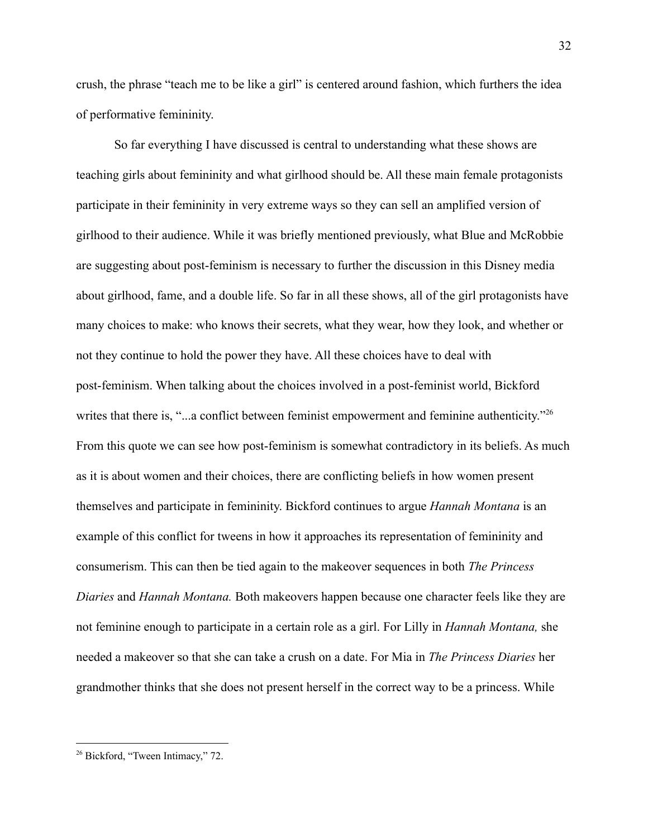crush, the phrase "teach me to be like a girl" is centered around fashion, which furthers the idea of performative femininity.

So far everything I have discussed is central to understanding what these shows are teaching girls about femininity and what girlhood should be. All these main female protagonists participate in their femininity in very extreme ways so they can sell an amplified version of girlhood to their audience. While it was briefly mentioned previously, what Blue and McRobbie are suggesting about post-feminism is necessary to further the discussion in this Disney media about girlhood, fame, and a double life. So far in all these shows, all of the girl protagonists have many choices to make: who knows their secrets, what they wear, how they look, and whether or not they continue to hold the power they have. All these choices have to deal with post-feminism. When talking about the choices involved in a post-feminist world, Bickford writes that there is, "...a conflict between feminist empowerment and feminine authenticity."<sup>26</sup> From this quote we can see how post-feminism is somewhat contradictory in its beliefs. As much as it is about women and their choices, there are conflicting beliefs in how women present themselves and participate in femininity. Bickford continues to argue *Hannah Montana* is an example of this conflict for tweens in how it approaches its representation of femininity and consumerism. This can then be tied again to the makeover sequences in both *The Princess Diaries* and *Hannah Montana.* Both makeovers happen because one character feels like they are not feminine enough to participate in a certain role as a girl. For Lilly in *Hannah Montana,* she needed a makeover so that she can take a crush on a date. For Mia in *The Princess Diaries* her grandmother thinks that she does not present herself in the correct way to be a princess. While

<sup>&</sup>lt;sup>26</sup> Bickford, "Tween Intimacy," 72.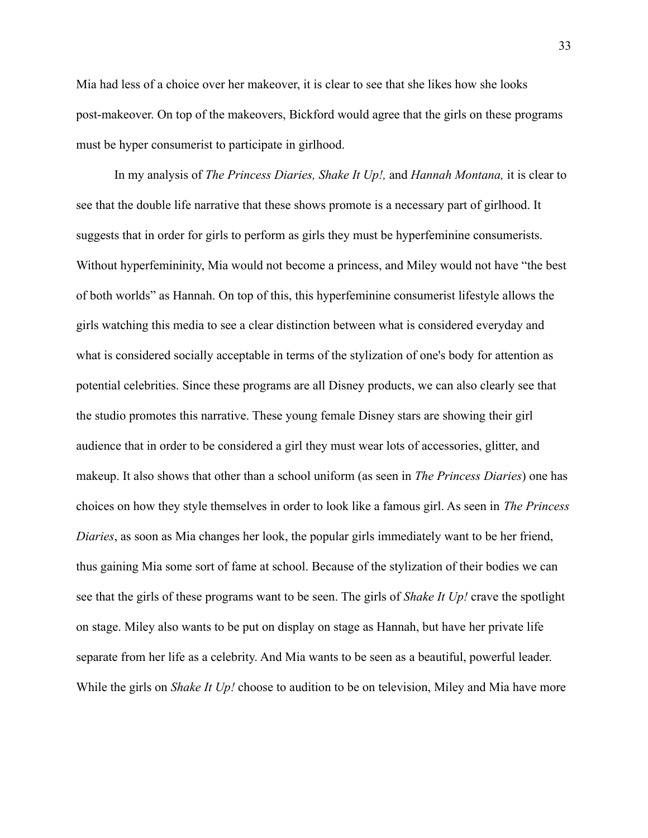Mia had less of a choice over her makeover, it is clear to see that she likes how she looks post-makeover. On top of the makeovers, Bickford would agree that the girls on these programs must be hyper consumerist to participate in girlhood.

In my analysis of *The Princess Diaries, Shake It Up!,* and *Hannah Montana,* it is clear to see that the double life narrative that these shows promote is a necessary part of girlhood. It suggests that in order for girls to perform as girls they must be hyperfeminine consumerists. Without hyperfemininity, Mia would not become a princess, and Miley would not have "the best of both worlds" as Hannah. On top of this, this hyperfeminine consumerist lifestyle allows the girls watching this media to see a clear distinction between what is considered everyday and what is considered socially acceptable in terms of the stylization of one's body for attention as potential celebrities. Since these programs are all Disney products, we can also clearly see that the studio promotes this narrative. These young female Disney stars are showing their girl audience that in order to be considered a girl they must wear lots of accessories, glitter, and makeup. It also shows that other than a school uniform (as seen in *The Princess Diaries*) one has choices on how they style themselves in order to look like a famous girl. As seen in *The Princess Diaries*, as soon as Mia changes her look, the popular girls immediately want to be her friend, thus gaining Mia some sort of fame at school. Because of the stylization of their bodies we can see that the girls of these programs want to be seen. The girls of *Shake It Up!* crave the spotlight on stage. Miley also wants to be put on display on stage as Hannah, but have her private life separate from her life as a celebrity. And Mia wants to be seen as a beautiful, powerful leader. While the girls on *Shake It Up!* choose to audition to be on television, Miley and Mia have more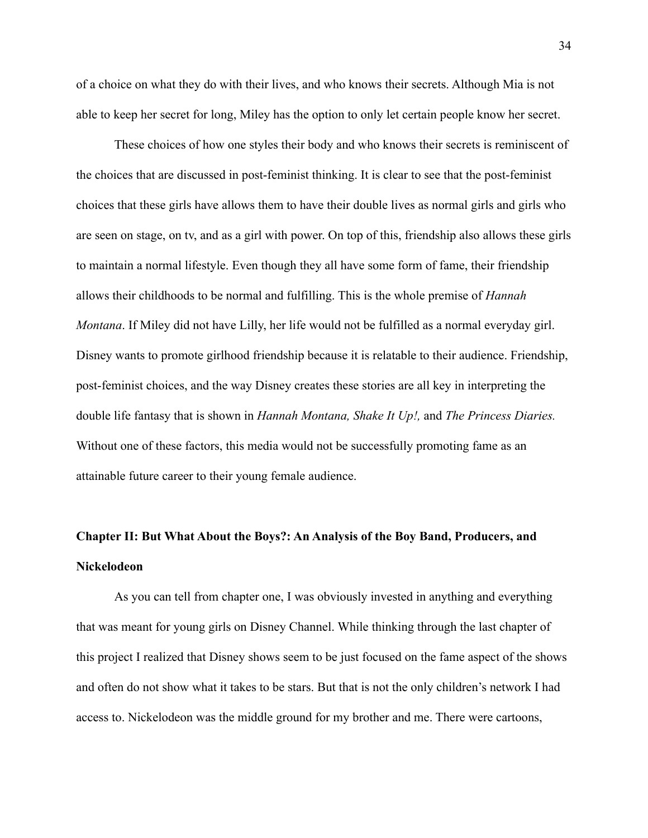of a choice on what they do with their lives, and who knows their secrets. Although Mia is not able to keep her secret for long, Miley has the option to only let certain people know her secret.

These choices of how one styles their body and who knows their secrets is reminiscent of the choices that are discussed in post-feminist thinking. It is clear to see that the post-feminist choices that these girls have allows them to have their double lives as normal girls and girls who are seen on stage, on tv, and as a girl with power. On top of this, friendship also allows these girls to maintain a normal lifestyle. Even though they all have some form of fame, their friendship allows their childhoods to be normal and fulfilling. This is the whole premise of *Hannah Montana*. If Miley did not have Lilly, her life would not be fulfilled as a normal everyday girl. Disney wants to promote girlhood friendship because it is relatable to their audience. Friendship, post-feminist choices, and the way Disney creates these stories are all key in interpreting the double life fantasy that is shown in *Hannah Montana, Shake It Up!,* and *The Princess Diaries.* Without one of these factors, this media would not be successfully promoting fame as an attainable future career to their young female audience.

# **Chapter II: But What About the Boys?: An Analysis of the Boy Band, Producers, and Nickelodeon**

As you can tell from chapter one, I was obviously invested in anything and everything that was meant for young girls on Disney Channel. While thinking through the last chapter of this project I realized that Disney shows seem to be just focused on the fame aspect of the shows and often do not show what it takes to be stars. But that is not the only children's network I had access to. Nickelodeon was the middle ground for my brother and me. There were cartoons,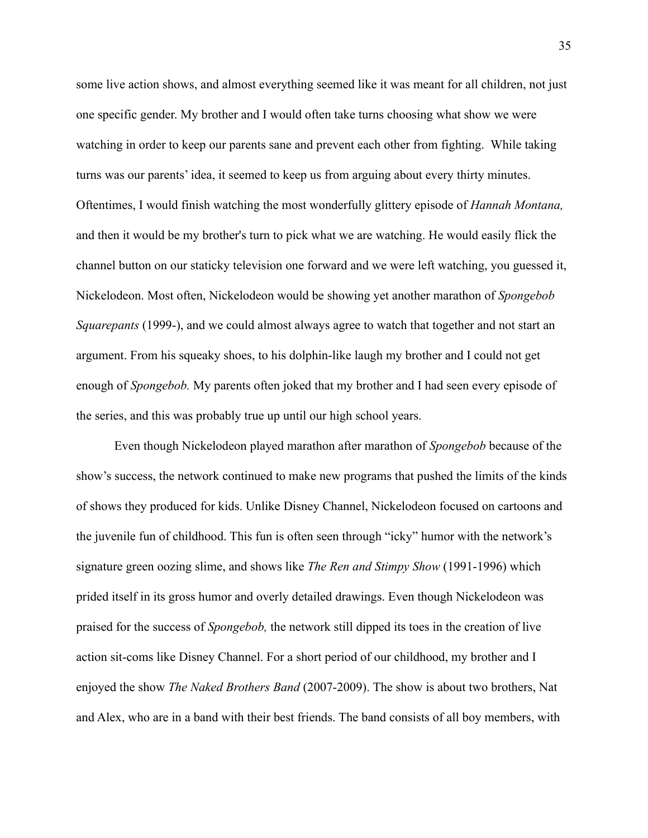some live action shows, and almost everything seemed like it was meant for all children, not just one specific gender. My brother and I would often take turns choosing what show we were watching in order to keep our parents sane and prevent each other from fighting. While taking turns was our parents' idea, it seemed to keep us from arguing about every thirty minutes. Oftentimes, I would finish watching the most wonderfully glittery episode of *Hannah Montana,* and then it would be my brother's turn to pick what we are watching. He would easily flick the channel button on our staticky television one forward and we were left watching, you guessed it, Nickelodeon. Most often, Nickelodeon would be showing yet another marathon of *Spongebob Squarepants* (1999-), and we could almost always agree to watch that together and not start an argument. From his squeaky shoes, to his dolphin-like laugh my brother and I could not get enough of *Spongebob.* My parents often joked that my brother and I had seen every episode of the series, and this was probably true up until our high school years.

Even though Nickelodeon played marathon after marathon of *Spongebob* because of the show's success, the network continued to make new programs that pushed the limits of the kinds of shows they produced for kids. Unlike Disney Channel, Nickelodeon focused on cartoons and the juvenile fun of childhood. This fun is often seen through "icky" humor with the network's signature green oozing slime, and shows like *The Ren and Stimpy Show* (1991-1996) which prided itself in its gross humor and overly detailed drawings. Even though Nickelodeon was praised for the success of *Spongebob,* the network still dipped its toes in the creation of live action sit-coms like Disney Channel. For a short period of our childhood, my brother and I enjoyed the show *The Naked Brothers Band* (2007-2009). The show is about two brothers, Nat and Alex, who are in a band with their best friends. The band consists of all boy members, with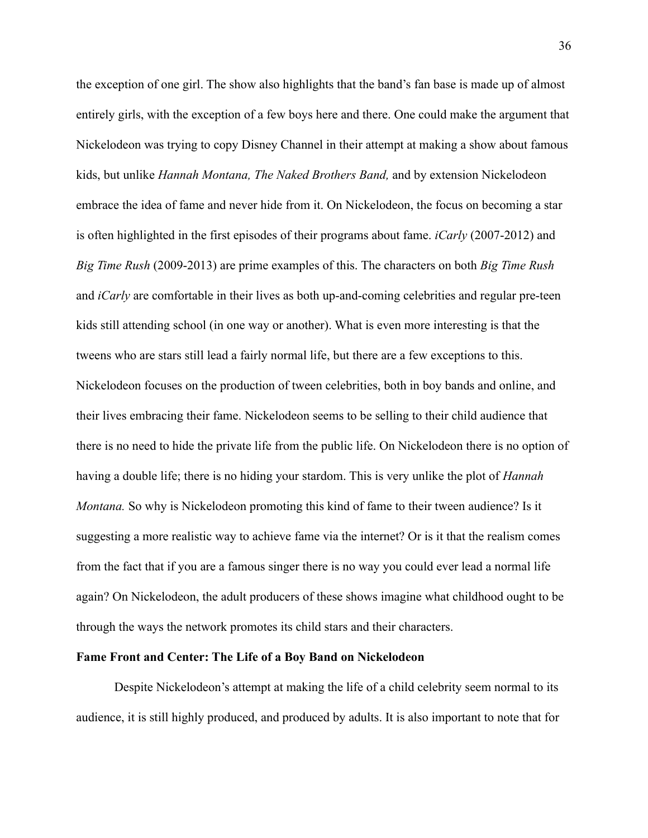the exception of one girl. The show also highlights that the band's fan base is made up of almost entirely girls, with the exception of a few boys here and there. One could make the argument that Nickelodeon was trying to copy Disney Channel in their attempt at making a show about famous kids, but unlike *Hannah Montana, The Naked Brothers Band,* and by extension Nickelodeon embrace the idea of fame and never hide from it. On Nickelodeon, the focus on becoming a star is often highlighted in the first episodes of their programs about fame. *iCarly* (2007-2012) and *Big Time Rush* (2009-2013) are prime examples of this. The characters on both *Big Time Rush* and *iCarly* are comfortable in their lives as both up-and-coming celebrities and regular pre-teen kids still attending school (in one way or another). What is even more interesting is that the tweens who are stars still lead a fairly normal life, but there are a few exceptions to this. Nickelodeon focuses on the production of tween celebrities, both in boy bands and online, and their lives embracing their fame. Nickelodeon seems to be selling to their child audience that there is no need to hide the private life from the public life. On Nickelodeon there is no option of having a double life; there is no hiding your stardom. This is very unlike the plot of *Hannah Montana.* So why is Nickelodeon promoting this kind of fame to their tween audience? Is it suggesting a more realistic way to achieve fame via the internet? Or is it that the realism comes from the fact that if you are a famous singer there is no way you could ever lead a normal life again? On Nickelodeon, the adult producers of these shows imagine what childhood ought to be through the ways the network promotes its child stars and their characters.

### **Fame Front and Center: The Life of a Boy Band on Nickelodeon**

Despite Nickelodeon's attempt at making the life of a child celebrity seem normal to its audience, it is still highly produced, and produced by adults. It is also important to note that for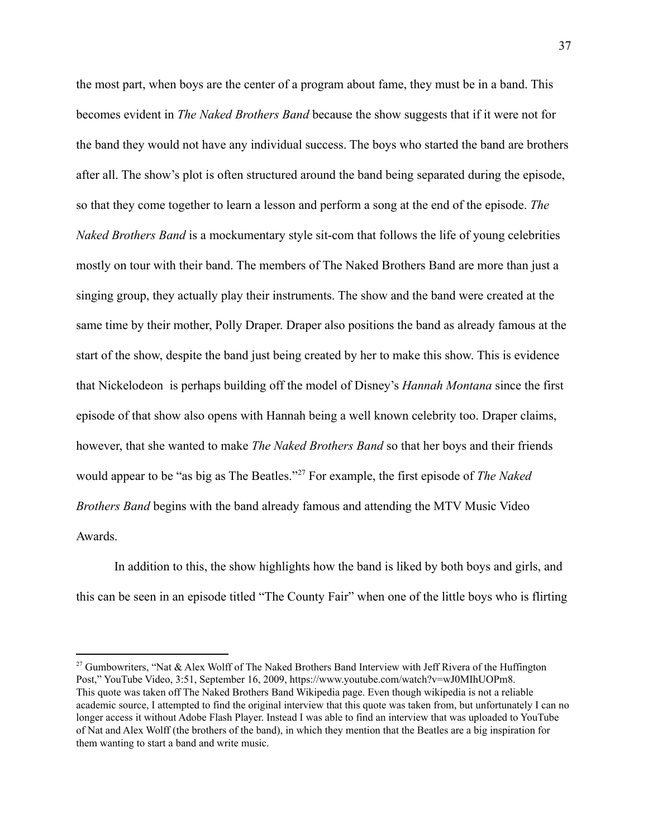the most part, when boys are the center of a program about fame, they must be in a band. This becomes evident in *The Naked Brothers Band* because the show suggests that if it were not for the band they would not have any individual success. The boys who started the band are brothers after all. The show's plot is often structured around the band being separated during the episode, so that they come together to learn a lesson and perform a song at the end of the episode. *The Naked Brothers Band* is a mockumentary style sit-com that follows the life of young celebrities mostly on tour with their band. The members of The Naked Brothers Band are more than just a singing group, they actually play their instruments. The show and the band were created at the same time by their mother, Polly Draper. Draper also positions the band as already famous at the start of the show, despite the band just being created by her to make this show. This is evidence that Nickelodeon is perhaps building off the model of Disney's *Hannah Montana* since the first episode of that show also opens with Hannah being a well known celebrity too. Draper claims, however, that she wanted to make *The Naked Brothers Band* so that her boys and their friends would appear to be "as big as The Beatles."<sup>27</sup> For example, the first episode of *The Naked Brothers Band* begins with the band already famous and attending the MTV Music Video Awards.

In addition to this, the show highlights how the band is liked by both boys and girls, and this can be seen in an episode titled "The County Fair" when one of the little boys who is flirting

<sup>&</sup>lt;sup>27</sup> Gumbowriters, "Nat & Alex Wolff of The Naked Brothers Band Interview with Jeff Rivera of the Huffington Post," YouTube Video, 3:51, September 16, 2009, https://www.youtube.com/watch?v=wJ0MIhUOPm8. This quote was taken off The Naked Brothers Band Wikipedia page. Even though wikipedia is not a reliable academic source, I attempted to find the original interview that this quote was taken from, but unfortunately I can no longer access it without Adobe Flash Player. Instead I was able to find an interview that was uploaded to YouTube of Nat and Alex Wolff (the brothers of the band), in which they mention that the Beatles are a big inspiration for them wanting to start a band and write music.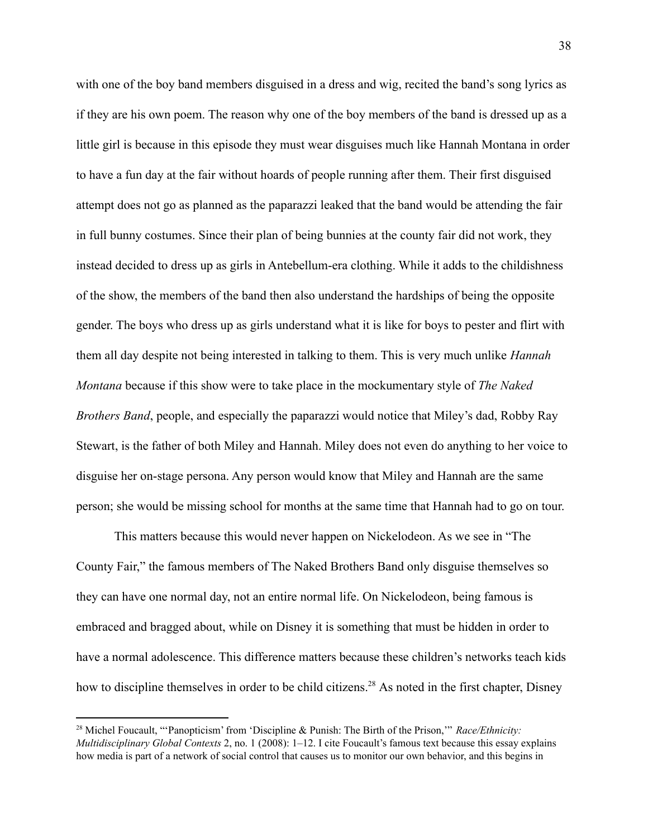with one of the boy band members disguised in a dress and wig, recited the band's song lyrics as if they are his own poem. The reason why one of the boy members of the band is dressed up as a little girl is because in this episode they must wear disguises much like Hannah Montana in order to have a fun day at the fair without hoards of people running after them. Their first disguised attempt does not go as planned as the paparazzi leaked that the band would be attending the fair in full bunny costumes. Since their plan of being bunnies at the county fair did not work, they instead decided to dress up as girls in Antebellum-era clothing. While it adds to the childishness of the show, the members of the band then also understand the hardships of being the opposite gender. The boys who dress up as girls understand what it is like for boys to pester and flirt with them all day despite not being interested in talking to them. This is very much unlike *Hannah Montana* because if this show were to take place in the mockumentary style of *The Naked Brothers Band*, people, and especially the paparazzi would notice that Miley's dad, Robby Ray Stewart, is the father of both Miley and Hannah. Miley does not even do anything to her voice to disguise her on-stage persona. Any person would know that Miley and Hannah are the same person; she would be missing school for months at the same time that Hannah had to go on tour.

This matters because this would never happen on Nickelodeon. As we see in "The County Fair," the famous members of The Naked Brothers Band only disguise themselves so they can have one normal day, not an entire normal life. On Nickelodeon, being famous is embraced and bragged about, while on Disney it is something that must be hidden in order to have a normal adolescence. This difference matters because these children's networks teach kids how to discipline themselves in order to be child citizens.<sup>28</sup> As noted in the first chapter, Disney

<sup>28</sup> Michel Foucault, "'Panopticism' from 'Discipline & Punish: The Birth of the Prison,'" *Race/Ethnicity: Multidisciplinary Global Contexts* 2, no. 1 (2008): 1–12. I cite Foucault's famous text because this essay explains how media is part of a network of social control that causes us to monitor our own behavior, and this begins in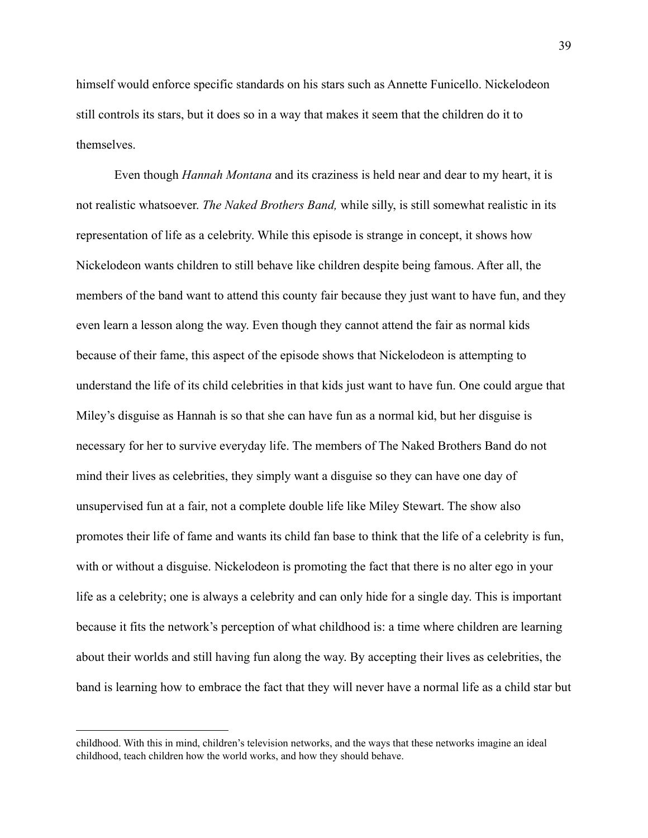himself would enforce specific standards on his stars such as Annette Funicello. Nickelodeon still controls its stars, but it does so in a way that makes it seem that the children do it to themselves.

Even though *Hannah Montana* and its craziness is held near and dear to my heart, it is not realistic whatsoever. *The Naked Brothers Band,* while silly, is still somewhat realistic in its representation of life as a celebrity. While this episode is strange in concept, it shows how Nickelodeon wants children to still behave like children despite being famous. After all, the members of the band want to attend this county fair because they just want to have fun, and they even learn a lesson along the way. Even though they cannot attend the fair as normal kids because of their fame, this aspect of the episode shows that Nickelodeon is attempting to understand the life of its child celebrities in that kids just want to have fun. One could argue that Miley's disguise as Hannah is so that she can have fun as a normal kid, but her disguise is necessary for her to survive everyday life. The members of The Naked Brothers Band do not mind their lives as celebrities, they simply want a disguise so they can have one day of unsupervised fun at a fair, not a complete double life like Miley Stewart. The show also promotes their life of fame and wants its child fan base to think that the life of a celebrity is fun, with or without a disguise. Nickelodeon is promoting the fact that there is no alter ego in your life as a celebrity; one is always a celebrity and can only hide for a single day. This is important because it fits the network's perception of what childhood is: a time where children are learning about their worlds and still having fun along the way. By accepting their lives as celebrities, the band is learning how to embrace the fact that they will never have a normal life as a child star but

childhood. With this in mind, children's television networks, and the ways that these networks imagine an ideal childhood, teach children how the world works, and how they should behave.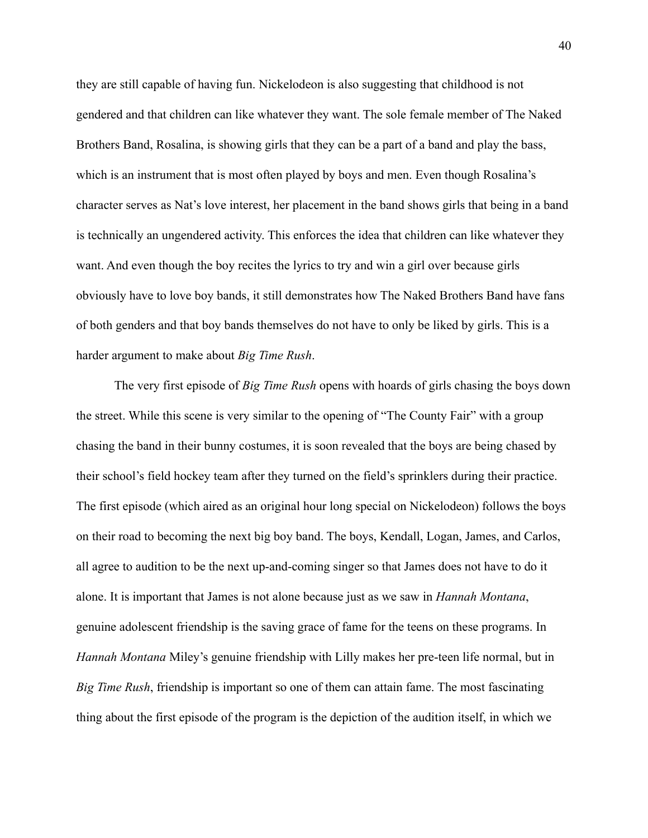they are still capable of having fun. Nickelodeon is also suggesting that childhood is not gendered and that children can like whatever they want. The sole female member of The Naked Brothers Band, Rosalina, is showing girls that they can be a part of a band and play the bass, which is an instrument that is most often played by boys and men. Even though Rosalina's character serves as Nat's love interest, her placement in the band shows girls that being in a band is technically an ungendered activity. This enforces the idea that children can like whatever they want. And even though the boy recites the lyrics to try and win a girl over because girls obviously have to love boy bands, it still demonstrates how The Naked Brothers Band have fans of both genders and that boy bands themselves do not have to only be liked by girls. This is a harder argument to make about *Big Time Rush*.

The very first episode of *Big Time Rush* opens with hoards of girls chasing the boys down the street. While this scene is very similar to the opening of "The County Fair" with a group chasing the band in their bunny costumes, it is soon revealed that the boys are being chased by their school's field hockey team after they turned on the field's sprinklers during their practice. The first episode (which aired as an original hour long special on Nickelodeon) follows the boys on their road to becoming the next big boy band. The boys, Kendall, Logan, James, and Carlos, all agree to audition to be the next up-and-coming singer so that James does not have to do it alone. It is important that James is not alone because just as we saw in *Hannah Montana*, genuine adolescent friendship is the saving grace of fame for the teens on these programs. In *Hannah Montana* Miley's genuine friendship with Lilly makes her pre-teen life normal, but in *Big Time Rush*, friendship is important so one of them can attain fame. The most fascinating thing about the first episode of the program is the depiction of the audition itself, in which we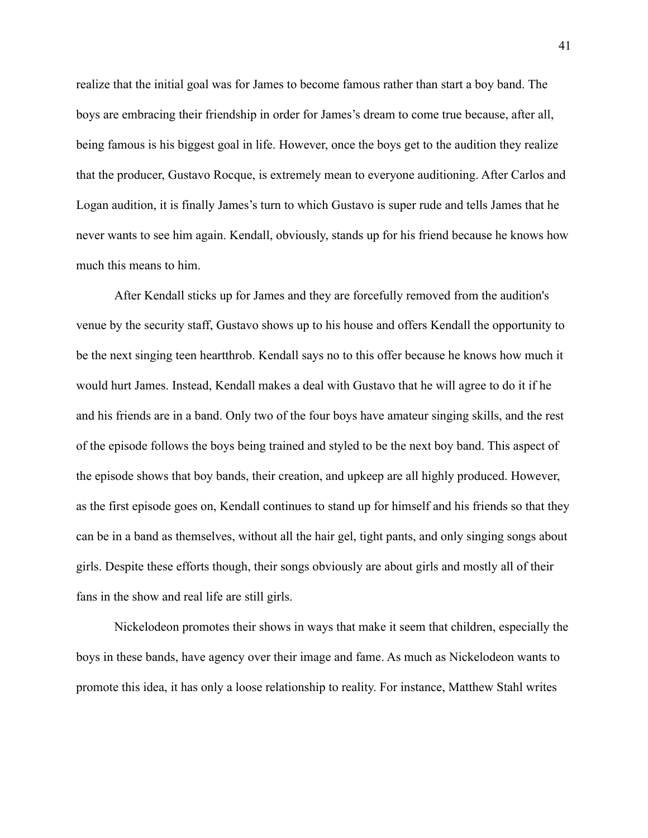realize that the initial goal was for James to become famous rather than start a boy band. The boys are embracing their friendship in order for James's dream to come true because, after all, being famous is his biggest goal in life. However, once the boys get to the audition they realize that the producer, Gustavo Rocque, is extremely mean to everyone auditioning. After Carlos and Logan audition, it is finally James's turn to which Gustavo is super rude and tells James that he never wants to see him again. Kendall, obviously, stands up for his friend because he knows how much this means to him.

After Kendall sticks up for James and they are forcefully removed from the audition's venue by the security staff, Gustavo shows up to his house and offers Kendall the opportunity to be the next singing teen heartthrob. Kendall says no to this offer because he knows how much it would hurt James. Instead, Kendall makes a deal with Gustavo that he will agree to do it if he and his friends are in a band. Only two of the four boys have amateur singing skills, and the rest of the episode follows the boys being trained and styled to be the next boy band. This aspect of the episode shows that boy bands, their creation, and upkeep are all highly produced. However, as the first episode goes on, Kendall continues to stand up for himself and his friends so that they can be in a band as themselves, without all the hair gel, tight pants, and only singing songs about girls. Despite these efforts though, their songs obviously are about girls and mostly all of their fans in the show and real life are still girls.

Nickelodeon promotes their shows in ways that make it seem that children, especially the boys in these bands, have agency over their image and fame. As much as Nickelodeon wants to promote this idea, it has only a loose relationship to reality. For instance, Matthew Stahl writes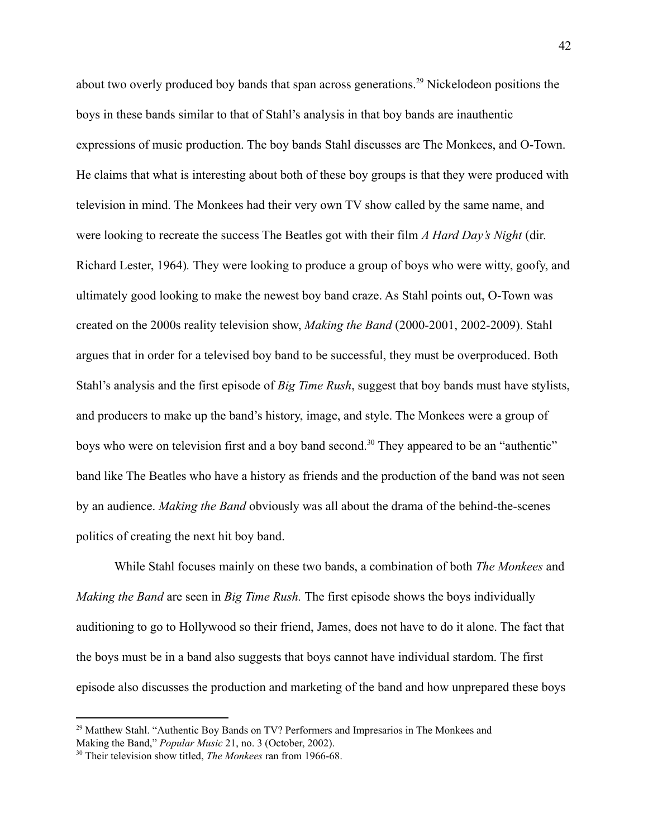about two overly produced boy bands that span across generations.<sup>29</sup> Nickelodeon positions the boys in these bands similar to that of Stahl's analysis in that boy bands are inauthentic expressions of music production. The boy bands Stahl discusses are The Monkees, and O-Town. He claims that what is interesting about both of these boy groups is that they were produced with television in mind. The Monkees had their very own TV show called by the same name, and were looking to recreate the success The Beatles got with their film *A Hard Day's Night* (dir. Richard Lester, 1964)*.* They were looking to produce a group of boys who were witty, goofy, and ultimately good looking to make the newest boy band craze. As Stahl points out, O-Town was created on the 2000s reality television show, *Making the Band* (2000-2001, 2002-2009). Stahl argues that in order for a televised boy band to be successful, they must be overproduced. Both Stahl's analysis and the first episode of *Big Time Rush*, suggest that boy bands must have stylists, and producers to make up the band's history, image, and style. The Monkees were a group of boys who were on television first and a boy band second.<sup>30</sup> They appeared to be an "authentic" band like The Beatles who have a history as friends and the production of the band was not seen by an audience. *Making the Band* obviously was all about the drama of the behind-the-scenes politics of creating the next hit boy band.

While Stahl focuses mainly on these two bands, a combination of both *The Monkees* and *Making the Band* are seen in *Big Time Rush.* The first episode shows the boys individually auditioning to go to Hollywood so their friend, James, does not have to do it alone. The fact that the boys must be in a band also suggests that boys cannot have individual stardom. The first episode also discusses the production and marketing of the band and how unprepared these boys

 $29$  Matthew Stahl. "Authentic Boy Bands on TV? Performers and Impresarios in The Monkees and Making the Band," *Popular Music* 21, no. 3 (October, 2002).

<sup>30</sup> Their television show titled, *The Monkees* ran from 1966-68.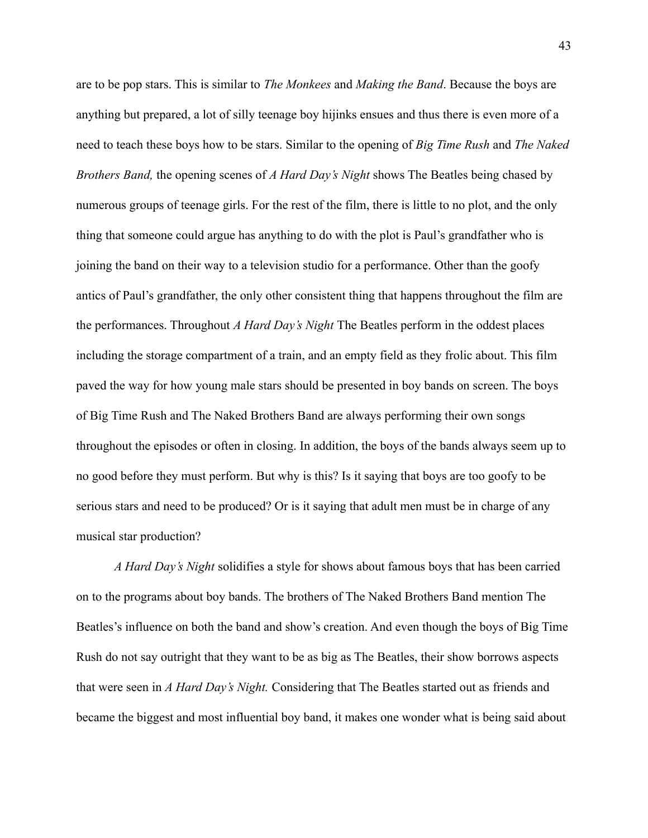are to be pop stars. This is similar to *The Monkees* and *Making the Band*. Because the boys are anything but prepared, a lot of silly teenage boy hijinks ensues and thus there is even more of a need to teach these boys how to be stars. Similar to the opening of *Big Time Rush* and *The Naked Brothers Band,* the opening scenes of *A Hard Day's Night* shows The Beatles being chased by numerous groups of teenage girls. For the rest of the film, there is little to no plot, and the only thing that someone could argue has anything to do with the plot is Paul's grandfather who is joining the band on their way to a television studio for a performance. Other than the goofy antics of Paul's grandfather, the only other consistent thing that happens throughout the film are the performances. Throughout *A Hard Day's Night* The Beatles perform in the oddest places including the storage compartment of a train, and an empty field as they frolic about. This film paved the way for how young male stars should be presented in boy bands on screen. The boys of Big Time Rush and The Naked Brothers Band are always performing their own songs throughout the episodes or often in closing. In addition, the boys of the bands always seem up to no good before they must perform. But why is this? Is it saying that boys are too goofy to be serious stars and need to be produced? Or is it saying that adult men must be in charge of any musical star production?

*A Hard Day's Night* solidifies a style for shows about famous boys that has been carried on to the programs about boy bands. The brothers of The Naked Brothers Band mention The Beatles's influence on both the band and show's creation. And even though the boys of Big Time Rush do not say outright that they want to be as big as The Beatles, their show borrows aspects that were seen in *A Hard Day's Night.* Considering that The Beatles started out as friends and became the biggest and most influential boy band, it makes one wonder what is being said about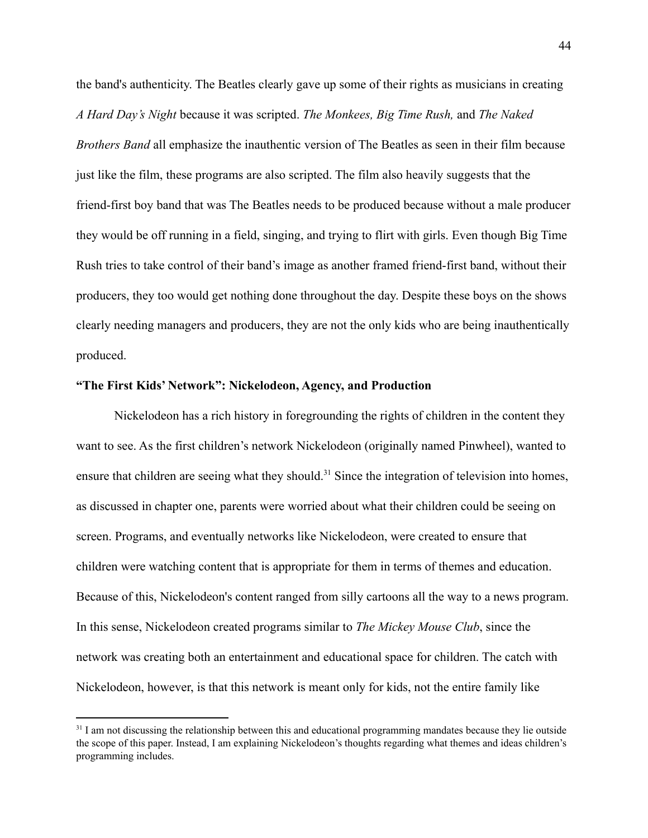the band's authenticity. The Beatles clearly gave up some of their rights as musicians in creating *A Hard Day's Night* because it was scripted. *The Monkees, Big Time Rush,* and *The Naked Brothers Band* all emphasize the inauthentic version of The Beatles as seen in their film because just like the film, these programs are also scripted. The film also heavily suggests that the friend-first boy band that was The Beatles needs to be produced because without a male producer they would be off running in a field, singing, and trying to flirt with girls. Even though Big Time Rush tries to take control of their band's image as another framed friend-first band, without their producers, they too would get nothing done throughout the day. Despite these boys on the shows clearly needing managers and producers, they are not the only kids who are being inauthentically produced.

### **"The First Kids' Network": Nickelodeon, Agency, and Production**

Nickelodeon has a rich history in foregrounding the rights of children in the content they want to see. As the first children's network Nickelodeon (originally named Pinwheel), wanted to ensure that children are seeing what they should.<sup>31</sup> Since the integration of television into homes, as discussed in chapter one, parents were worried about what their children could be seeing on screen. Programs, and eventually networks like Nickelodeon, were created to ensure that children were watching content that is appropriate for them in terms of themes and education. Because of this, Nickelodeon's content ranged from silly cartoons all the way to a news program. In this sense, Nickelodeon created programs similar to *The Mickey Mouse Club*, since the network was creating both an entertainment and educational space for children. The catch with Nickelodeon, however, is that this network is meant only for kids, not the entire family like

 $31$  I am not discussing the relationship between this and educational programming mandates because they lie outside the scope of this paper. Instead, I am explaining Nickelodeon's thoughts regarding what themes and ideas children's programming includes.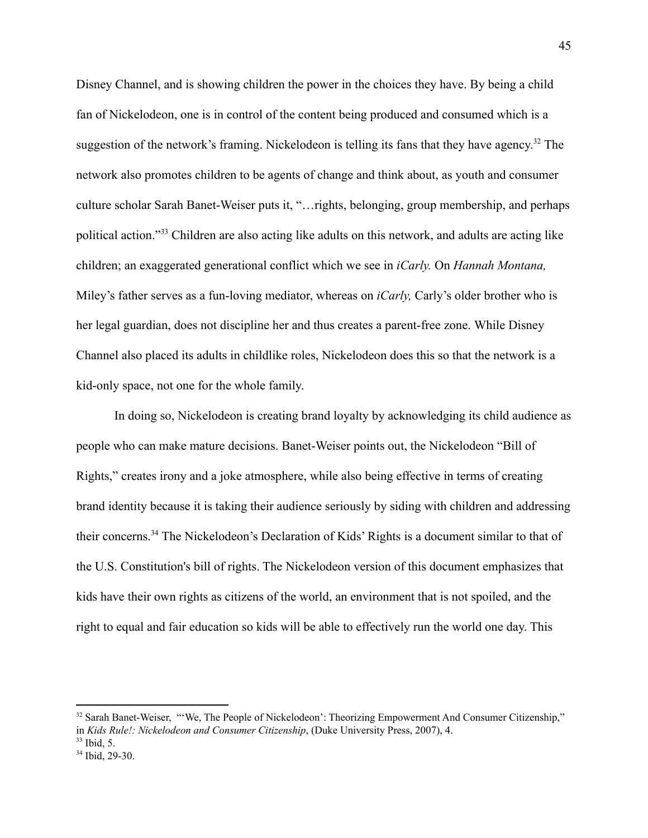Disney Channel, and is showing children the power in the choices they have. By being a child fan of Nickelodeon, one is in control of the content being produced and consumed which is a suggestion of the network's framing. Nickelodeon is telling its fans that they have agency.<sup>32</sup> The network also promotes children to be agents of change and think about, as youth and consumer culture scholar Sarah Banet-Weiser puts it, "…rights, belonging, group membership, and perhaps political action."<sup>33</sup> Children are also acting like adults on this network, and adults are acting like children; an exaggerated generational conflict which we see in *iCarly.* On *Hannah Montana,* Miley's father serves as a fun-loving mediator, whereas on *iCarly,* Carly's older brother who is her legal guardian, does not discipline her and thus creates a parent-free zone. While Disney Channel also placed its adults in childlike roles, Nickelodeon does this so that the network is a kid-only space, not one for the whole family.

In doing so, Nickelodeon is creating brand loyalty by acknowledging its child audience as people who can make mature decisions. Banet-Weiser points out, the Nickelodeon "Bill of Rights," creates irony and a joke atmosphere, while also being effective in terms of creating brand identity because it is taking their audience seriously by siding with children and addressing their concerns.<sup>34</sup> The Nickelodeon's Declaration of Kids' Rights is a document similar to that of the U.S. Constitution's bill of rights. The Nickelodeon version of this document emphasizes that kids have their own rights as citizens of the world, an environment that is not spoiled, and the right to equal and fair education so kids will be able to effectively run the world one day. This

 $32$  Sarah Banet-Weiser, "We. The People of Nickelodeon': Theorizing Empowerment And Consumer Citizenship." in *Kids Rule!: Nickelodeon and Consumer Citizenship*, (Duke University Press, 2007), 4.

 $33$  Ibid, 5.

<sup>34</sup> Ibid, 29-30.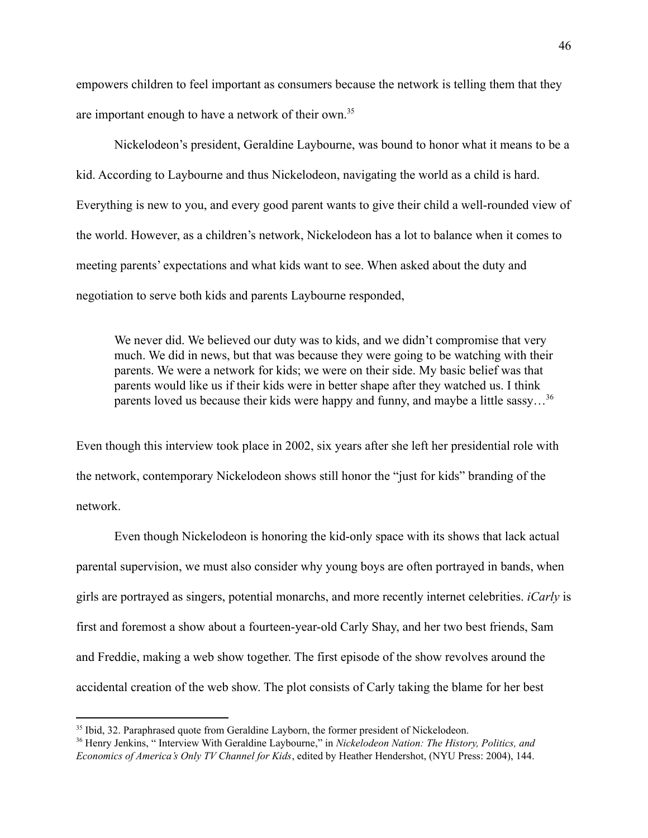empowers children to feel important as consumers because the network is telling them that they are important enough to have a network of their own.<sup>35</sup>

Nickelodeon's president, Geraldine Laybourne, was bound to honor what it means to be a kid. According to Laybourne and thus Nickelodeon, navigating the world as a child is hard. Everything is new to you, and every good parent wants to give their child a well-rounded view of the world. However, as a children's network, Nickelodeon has a lot to balance when it comes to meeting parents' expectations and what kids want to see. When asked about the duty and negotiation to serve both kids and parents Laybourne responded,

We never did. We believed our duty was to kids, and we didn't compromise that very much. We did in news, but that was because they were going to be watching with their parents. We were a network for kids; we were on their side. My basic belief was that parents would like us if their kids were in better shape after they watched us. I think parents loved us because their kids were happy and funny, and maybe a little sassy...<sup>36</sup>

Even though this interview took place in 2002, six years after she left her presidential role with the network, contemporary Nickelodeon shows still honor the "just for kids" branding of the network.

Even though Nickelodeon is honoring the kid-only space with its shows that lack actual parental supervision, we must also consider why young boys are often portrayed in bands, when girls are portrayed as singers, potential monarchs, and more recently internet celebrities. *iCarly* is first and foremost a show about a fourteen-year-old Carly Shay, and her two best friends, Sam and Freddie, making a web show together. The first episode of the show revolves around the accidental creation of the web show. The plot consists of Carly taking the blame for her best

<sup>&</sup>lt;sup>35</sup> Ibid, 32. Paraphrased quote from Geraldine Layborn, the former president of Nickelodeon.

<sup>36</sup> Henry Jenkins, " Interview With Geraldine Laybourne," in *Nickelodeon Nation: The History, Politics, and Economics of America's Only TV Channel for Kids*, edited by Heather Hendershot, (NYU Press: 2004), 144.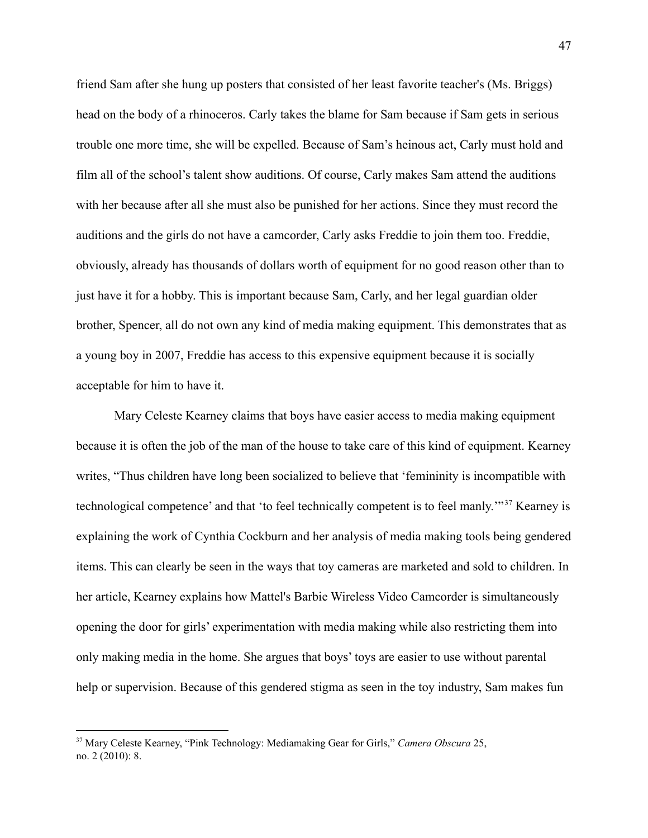friend Sam after she hung up posters that consisted of her least favorite teacher's (Ms. Briggs) head on the body of a rhinoceros. Carly takes the blame for Sam because if Sam gets in serious trouble one more time, she will be expelled. Because of Sam's heinous act, Carly must hold and film all of the school's talent show auditions. Of course, Carly makes Sam attend the auditions with her because after all she must also be punished for her actions. Since they must record the auditions and the girls do not have a camcorder, Carly asks Freddie to join them too. Freddie, obviously, already has thousands of dollars worth of equipment for no good reason other than to just have it for a hobby. This is important because Sam, Carly, and her legal guardian older brother, Spencer, all do not own any kind of media making equipment. This demonstrates that as a young boy in 2007, Freddie has access to this expensive equipment because it is socially acceptable for him to have it.

Mary Celeste Kearney claims that boys have easier access to media making equipment because it is often the job of the man of the house to take care of this kind of equipment. Kearney writes, "Thus children have long been socialized to believe that 'femininity is incompatible with technological competence' and that 'to feel technically competent is to feel manly.'"<sup>37</sup> Kearney is explaining the work of Cynthia Cockburn and her analysis of media making tools being gendered items. This can clearly be seen in the ways that toy cameras are marketed and sold to children. In her article, Kearney explains how Mattel's Barbie Wireless Video Camcorder is simultaneously opening the door for girls' experimentation with media making while also restricting them into only making media in the home. She argues that boys' toys are easier to use without parental help or supervision. Because of this gendered stigma as seen in the toy industry, Sam makes fun

<sup>37</sup> Mary Celeste Kearney, "Pink Technology: Mediamaking Gear for Girls," *Camera Obscura* 25, no. 2 (2010): 8.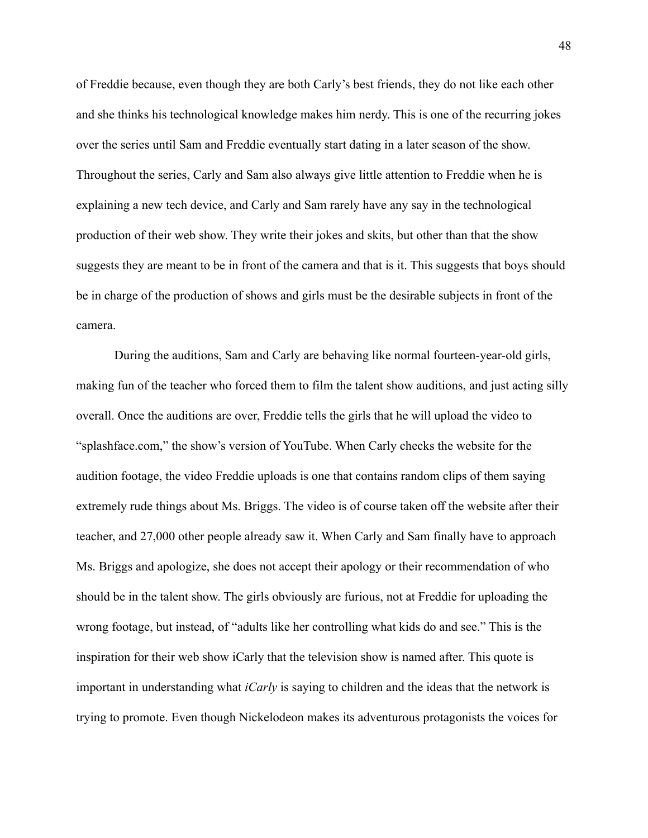of Freddie because, even though they are both Carly's best friends, they do not like each other and she thinks his technological knowledge makes him nerdy. This is one of the recurring jokes over the series until Sam and Freddie eventually start dating in a later season of the show. Throughout the series, Carly and Sam also always give little attention to Freddie when he is explaining a new tech device, and Carly and Sam rarely have any say in the technological production of their web show. They write their jokes and skits, but other than that the show suggests they are meant to be in front of the camera and that is it. This suggests that boys should be in charge of the production of shows and girls must be the desirable subjects in front of the camera.

During the auditions, Sam and Carly are behaving like normal fourteen-year-old girls, making fun of the teacher who forced them to film the talent show auditions, and just acting silly overall. Once the auditions are over, Freddie tells the girls that he will upload the video to "splashface.com," the show's version of YouTube. When Carly checks the website for the audition footage, the video Freddie uploads is one that contains random clips of them saying extremely rude things about Ms. Briggs. The video is of course taken off the website after their teacher, and 27,000 other people already saw it. When Carly and Sam finally have to approach Ms. Briggs and apologize, she does not accept their apology or their recommendation of who should be in the talent show. The girls obviously are furious, not at Freddie for uploading the wrong footage, but instead, of "adults like her controlling what kids do and see." This is the inspiration for their web show iCarly that the television show is named after. This quote is important in understanding what *iCarly* is saying to children and the ideas that the network is trying to promote. Even though Nickelodeon makes its adventurous protagonists the voices for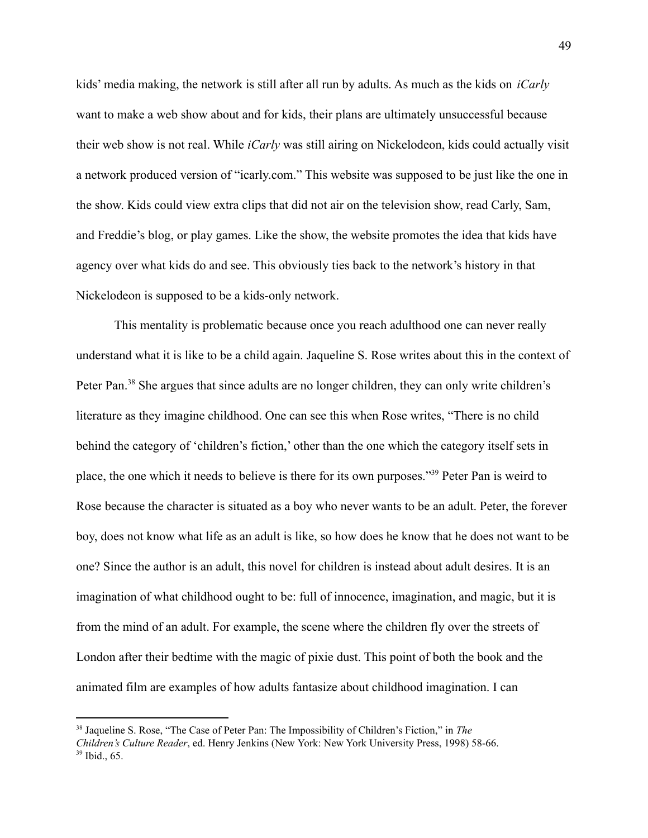kids' media making, the network is still after all run by adults. As much as the kids on *iCarly* want to make a web show about and for kids, their plans are ultimately unsuccessful because their web show is not real. While *iCarly* was still airing on Nickelodeon, kids could actually visit a network produced version of "icarly.com." This website was supposed to be just like the one in the show. Kids could view extra clips that did not air on the television show, read Carly, Sam, and Freddie's blog, or play games. Like the show, the website promotes the idea that kids have agency over what kids do and see. This obviously ties back to the network's history in that Nickelodeon is supposed to be a kids-only network.

This mentality is problematic because once you reach adulthood one can never really understand what it is like to be a child again. Jaqueline S. Rose writes about this in the context of Peter Pan.<sup>38</sup> She argues that since adults are no longer children, they can only write children's literature as they imagine childhood. One can see this when Rose writes, "There is no child behind the category of 'children's fiction,' other than the one which the category itself sets in place, the one which it needs to believe is there for its own purposes."<sup>39</sup> Peter Pan is weird to Rose because the character is situated as a boy who never wants to be an adult. Peter, the forever boy, does not know what life as an adult is like, so how does he know that he does not want to be one? Since the author is an adult, this novel for children is instead about adult desires. It is an imagination of what childhood ought to be: full of innocence, imagination, and magic, but it is from the mind of an adult. For example, the scene where the children fly over the streets of London after their bedtime with the magic of pixie dust. This point of both the book and the animated film are examples of how adults fantasize about childhood imagination. I can

 $39$  Ibid., 65. <sup>38</sup> Jaqueline S. Rose, "The Case of Peter Pan: The Impossibility of Children's Fiction," in *The Children's Culture Reader*, ed. Henry Jenkins (New York: New York University Press, 1998) 58-66.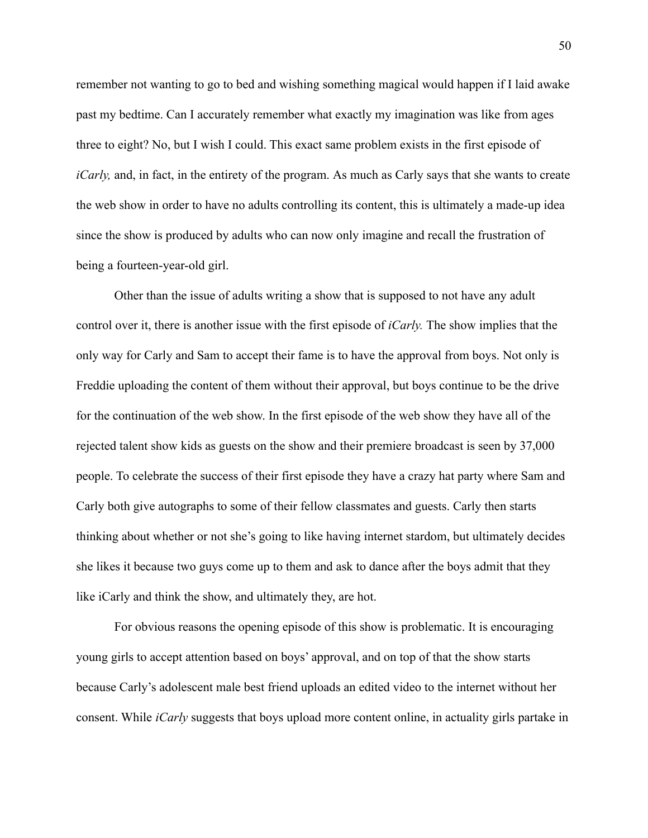remember not wanting to go to bed and wishing something magical would happen if I laid awake past my bedtime. Can I accurately remember what exactly my imagination was like from ages three to eight? No, but I wish I could. This exact same problem exists in the first episode of *iCarly*, and, in fact, in the entirety of the program. As much as Carly says that she wants to create the web show in order to have no adults controlling its content, this is ultimately a made-up idea since the show is produced by adults who can now only imagine and recall the frustration of being a fourteen-year-old girl.

Other than the issue of adults writing a show that is supposed to not have any adult control over it, there is another issue with the first episode of *iCarly.* The show implies that the only way for Carly and Sam to accept their fame is to have the approval from boys. Not only is Freddie uploading the content of them without their approval, but boys continue to be the drive for the continuation of the web show. In the first episode of the web show they have all of the rejected talent show kids as guests on the show and their premiere broadcast is seen by 37,000 people. To celebrate the success of their first episode they have a crazy hat party where Sam and Carly both give autographs to some of their fellow classmates and guests. Carly then starts thinking about whether or not she's going to like having internet stardom, but ultimately decides she likes it because two guys come up to them and ask to dance after the boys admit that they like iCarly and think the show, and ultimately they, are hot.

For obvious reasons the opening episode of this show is problematic. It is encouraging young girls to accept attention based on boys' approval, and on top of that the show starts because Carly's adolescent male best friend uploads an edited video to the internet without her consent. While *iCarly* suggests that boys upload more content online, in actuality girls partake in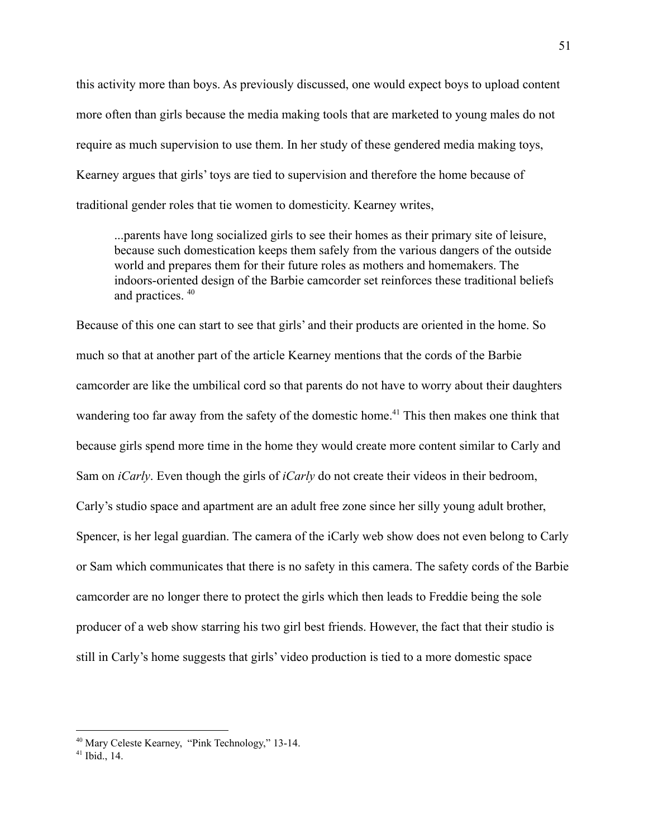this activity more than boys. As previously discussed, one would expect boys to upload content more often than girls because the media making tools that are marketed to young males do not require as much supervision to use them. In her study of these gendered media making toys, Kearney argues that girls' toys are tied to supervision and therefore the home because of traditional gender roles that tie women to domesticity. Kearney writes,

...parents have long socialized girls to see their homes as their primary site of leisure, because such domestication keeps them safely from the various dangers of the outside world and prepares them for their future roles as mothers and homemakers. The indoors-oriented design of the Barbie camcorder set reinforces these traditional beliefs and practices. <sup>40</sup>

Because of this one can start to see that girls' and their products are oriented in the home. So much so that at another part of the article Kearney mentions that the cords of the Barbie camcorder are like the umbilical cord so that parents do not have to worry about their daughters wandering too far away from the safety of the domestic home.<sup> $41$ </sup> This then makes one think that because girls spend more time in the home they would create more content similar to Carly and Sam on *iCarly*. Even though the girls of *iCarly* do not create their videos in their bedroom, Carly's studio space and apartment are an adult free zone since her silly young adult brother, Spencer, is her legal guardian. The camera of the iCarly web show does not even belong to Carly or Sam which communicates that there is no safety in this camera. The safety cords of the Barbie camcorder are no longer there to protect the girls which then leads to Freddie being the sole producer of a web show starring his two girl best friends. However, the fact that their studio is still in Carly's home suggests that girls' video production is tied to a more domestic space

<sup>40</sup> Mary Celeste Kearney, "Pink Technology," 13-14.

 $41$  Ibid., 14.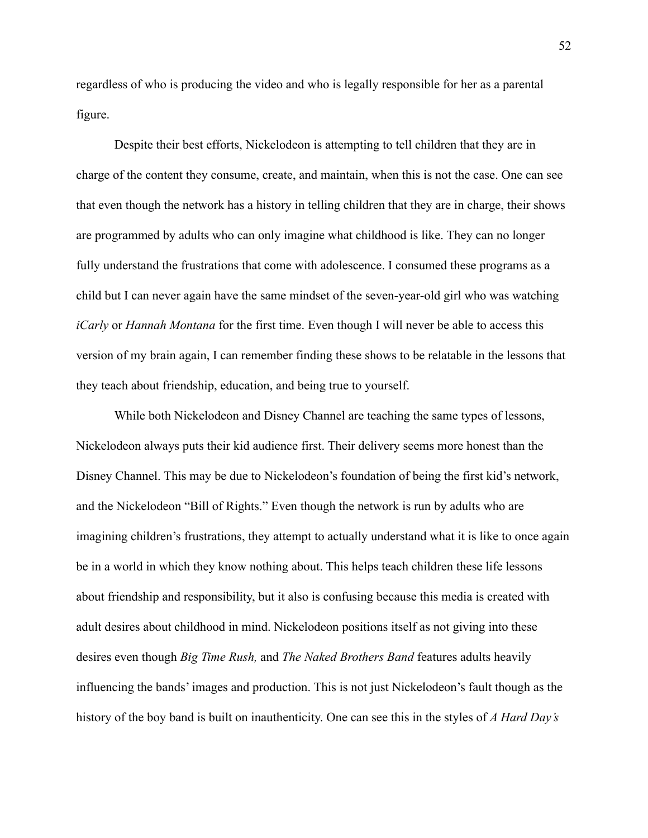regardless of who is producing the video and who is legally responsible for her as a parental figure.

Despite their best efforts, Nickelodeon is attempting to tell children that they are in charge of the content they consume, create, and maintain, when this is not the case. One can see that even though the network has a history in telling children that they are in charge, their shows are programmed by adults who can only imagine what childhood is like. They can no longer fully understand the frustrations that come with adolescence. I consumed these programs as a child but I can never again have the same mindset of the seven-year-old girl who was watching *iCarly* or *Hannah Montana* for the first time. Even though I will never be able to access this version of my brain again, I can remember finding these shows to be relatable in the lessons that they teach about friendship, education, and being true to yourself.

While both Nickelodeon and Disney Channel are teaching the same types of lessons, Nickelodeon always puts their kid audience first. Their delivery seems more honest than the Disney Channel. This may be due to Nickelodeon's foundation of being the first kid's network, and the Nickelodeon "Bill of Rights." Even though the network is run by adults who are imagining children's frustrations, they attempt to actually understand what it is like to once again be in a world in which they know nothing about. This helps teach children these life lessons about friendship and responsibility, but it also is confusing because this media is created with adult desires about childhood in mind. Nickelodeon positions itself as not giving into these desires even though *Big Time Rush,* and *The Naked Brothers Band* features adults heavily influencing the bands' images and production. This is not just Nickelodeon's fault though as the history of the boy band is built on inauthenticity. One can see this in the styles of *A Hard Day's*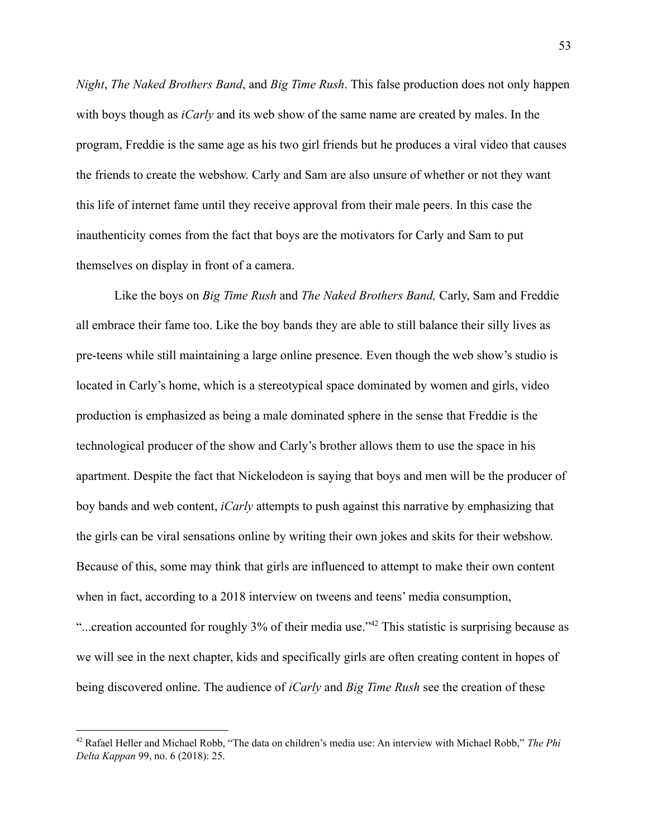*Night*, *The Naked Brothers Band*, and *Big Time Rush*. This false production does not only happen with boys though as *iCarly* and its web show of the same name are created by males. In the program, Freddie is the same age as his two girl friends but he produces a viral video that causes the friends to create the webshow. Carly and Sam are also unsure of whether or not they want this life of internet fame until they receive approval from their male peers. In this case the inauthenticity comes from the fact that boys are the motivators for Carly and Sam to put themselves on display in front of a camera.

Like the boys on *Big Time Rush* and *The Naked Brothers Band,* Carly, Sam and Freddie all embrace their fame too. Like the boy bands they are able to still balance their silly lives as pre-teens while still maintaining a large online presence. Even though the web show's studio is located in Carly's home, which is a stereotypical space dominated by women and girls, video production is emphasized as being a male dominated sphere in the sense that Freddie is the technological producer of the show and Carly's brother allows them to use the space in his apartment. Despite the fact that Nickelodeon is saying that boys and men will be the producer of boy bands and web content, *iCarly* attempts to push against this narrative by emphasizing that the girls can be viral sensations online by writing their own jokes and skits for their webshow. Because of this, some may think that girls are influenced to attempt to make their own content when in fact, according to a 2018 interview on tweens and teens' media consumption,

"...creation accounted for roughly 3% of their media use."<sup>42</sup> This statistic is surprising because as we will see in the next chapter, kids and specifically girls are often creating content in hopes of being discovered online. The audience of *iCarly* and *Big Time Rush* see the creation of these

<sup>42</sup> Rafael Heller and Michael Robb, "The data on children's media use: An interview with Michael Robb," *The Phi Delta Kappan* 99, no. 6 (2018): 25.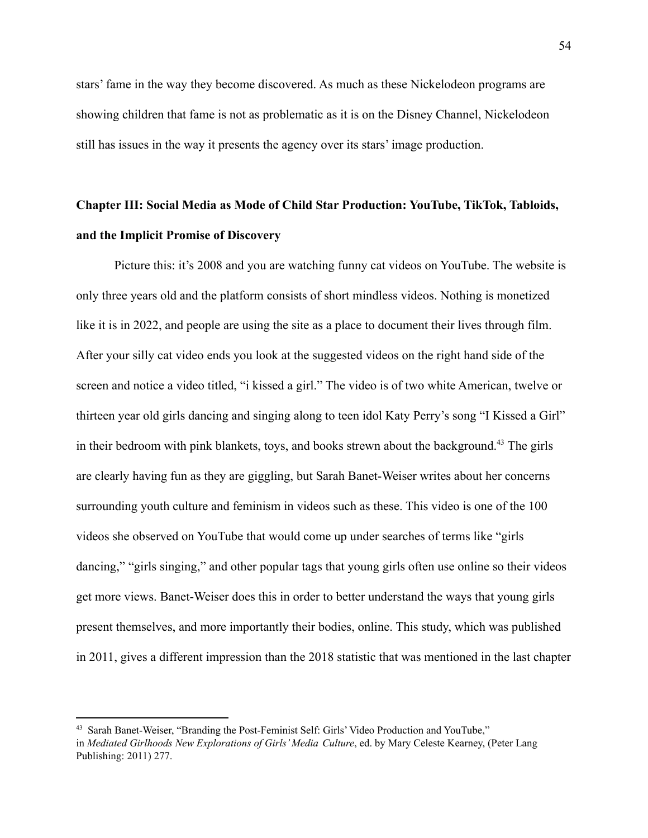stars' fame in the way they become discovered. As much as these Nickelodeon programs are showing children that fame is not as problematic as it is on the Disney Channel, Nickelodeon still has issues in the way it presents the agency over its stars' image production.

# **Chapter III: Social Media as Mode of Child Star Production: YouTube, TikTok, Tabloids, and the Implicit Promise of Discovery**

Picture this: it's 2008 and you are watching funny cat videos on YouTube. The website is only three years old and the platform consists of short mindless videos. Nothing is monetized like it is in 2022, and people are using the site as a place to document their lives through film. After your silly cat video ends you look at the suggested videos on the right hand side of the screen and notice a video titled, "i kissed a girl." The video is of two white American, twelve or thirteen year old girls dancing and singing along to teen idol Katy Perry's song "I Kissed a Girl" in their bedroom with pink blankets, toys, and books strewn about the background.<sup>43</sup> The girls are clearly having fun as they are giggling, but Sarah Banet-Weiser writes about her concerns surrounding youth culture and feminism in videos such as these. This video is one of the 100 videos she observed on YouTube that would come up under searches of terms like "girls dancing," "girls singing," and other popular tags that young girls often use online so their videos get more views. Banet-Weiser does this in order to better understand the ways that young girls present themselves, and more importantly their bodies, online. This study, which was published in 2011, gives a different impression than the 2018 statistic that was mentioned in the last chapter

<sup>43</sup> Sarah Banet-Weiser, "Branding the Post-Feminist Self: Girls' Video Production and YouTube," in *Mediated Girlhoods New Explorations of Girls' Media Culture*, ed. by Mary Celeste Kearney, (Peter Lang Publishing: 2011) 277.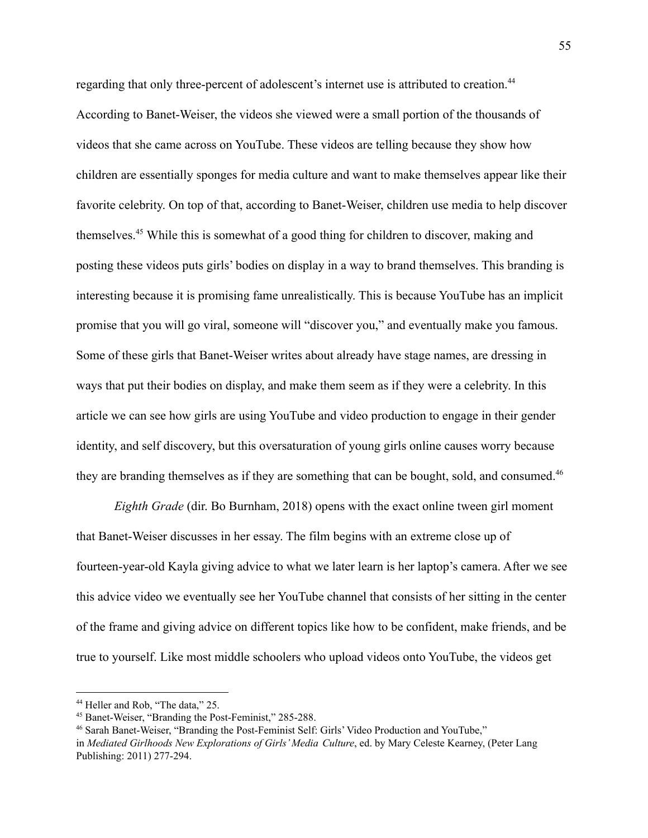regarding that only three-percent of adolescent's internet use is attributed to creation.<sup>44</sup> According to Banet-Weiser, the videos she viewed were a small portion of the thousands of videos that she came across on YouTube. These videos are telling because they show how children are essentially sponges for media culture and want to make themselves appear like their favorite celebrity. On top of that, according to Banet-Weiser, children use media to help discover themselves.<sup>45</sup> While this is somewhat of a good thing for children to discover, making and posting these videos puts girls' bodies on display in a way to brand themselves. This branding is interesting because it is promising fame unrealistically. This is because YouTube has an implicit promise that you will go viral, someone will "discover you," and eventually make you famous. Some of these girls that Banet-Weiser writes about already have stage names, are dressing in ways that put their bodies on display, and make them seem as if they were a celebrity. In this article we can see how girls are using YouTube and video production to engage in their gender identity, and self discovery, but this oversaturation of young girls online causes worry because they are branding themselves as if they are something that can be bought, sold, and consumed.<sup>46</sup>

*Eighth Grade* (dir. Bo Burnham, 2018) opens with the exact online tween girl moment that Banet-Weiser discusses in her essay. The film begins with an extreme close up of fourteen-year-old Kayla giving advice to what we later learn is her laptop's camera. After we see this advice video we eventually see her YouTube channel that consists of her sitting in the center of the frame and giving advice on different topics like how to be confident, make friends, and be true to yourself. Like most middle schoolers who upload videos onto YouTube, the videos get

<sup>&</sup>lt;sup>44</sup> Heller and Rob, "The data," 25.

<sup>45</sup> Banet-Weiser, "Branding the Post-Feminist," 285-288.

<sup>46</sup> Sarah Banet-Weiser, "Branding the Post-Feminist Self: Girls' Video Production and YouTube,"

in *Mediated Girlhoods New Explorations of Girls' Media Culture*, ed. by Mary Celeste Kearney, (Peter Lang Publishing: 2011) 277-294.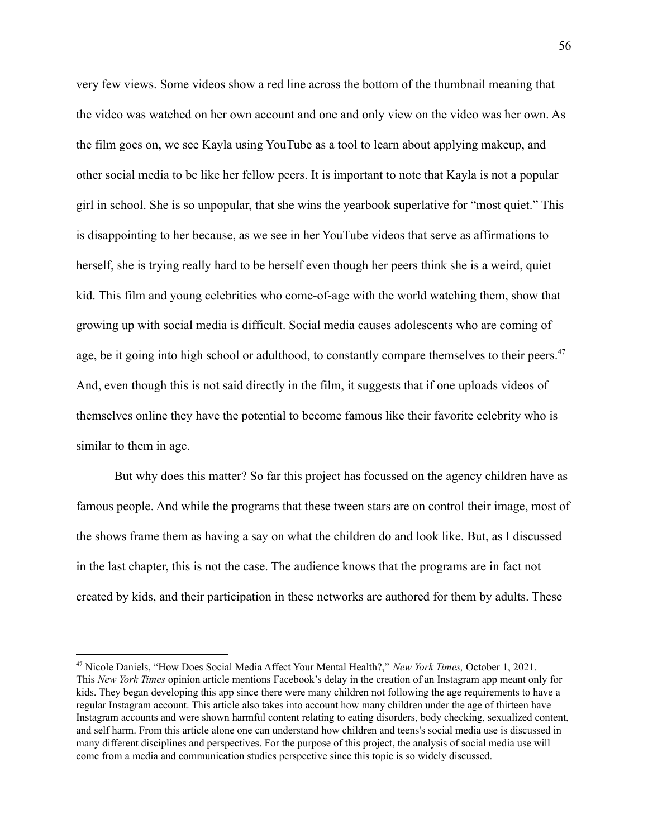very few views. Some videos show a red line across the bottom of the thumbnail meaning that the video was watched on her own account and one and only view on the video was her own. As the film goes on, we see Kayla using YouTube as a tool to learn about applying makeup, and other social media to be like her fellow peers. It is important to note that Kayla is not a popular girl in school. She is so unpopular, that she wins the yearbook superlative for "most quiet." This is disappointing to her because, as we see in her YouTube videos that serve as affirmations to herself, she is trying really hard to be herself even though her peers think she is a weird, quiet kid. This film and young celebrities who come-of-age with the world watching them, show that growing up with social media is difficult. Social media causes adolescents who are coming of age, be it going into high school or adulthood, to constantly compare themselves to their peers.<sup>47</sup> And, even though this is not said directly in the film, it suggests that if one uploads videos of themselves online they have the potential to become famous like their favorite celebrity who is similar to them in age.

But why does this matter? So far this project has focussed on the agency children have as famous people. And while the programs that these tween stars are on control their image, most of the shows frame them as having a say on what the children do and look like. But, as I discussed in the last chapter, this is not the case. The audience knows that the programs are in fact not created by kids, and their participation in these networks are authored for them by adults. These

<sup>47</sup> Nicole Daniels, "How Does Social Media Affect Your Mental Health?," *New York Times,* October 1, 2021. This *New York Times* opinion article mentions Facebook's delay in the creation of an Instagram app meant only for kids. They began developing this app since there were many children not following the age requirements to have a regular Instagram account. This article also takes into account how many children under the age of thirteen have Instagram accounts and were shown harmful content relating to eating disorders, body checking, sexualized content, and self harm. From this article alone one can understand how children and teens's social media use is discussed in many different disciplines and perspectives. For the purpose of this project, the analysis of social media use will come from a media and communication studies perspective since this topic is so widely discussed.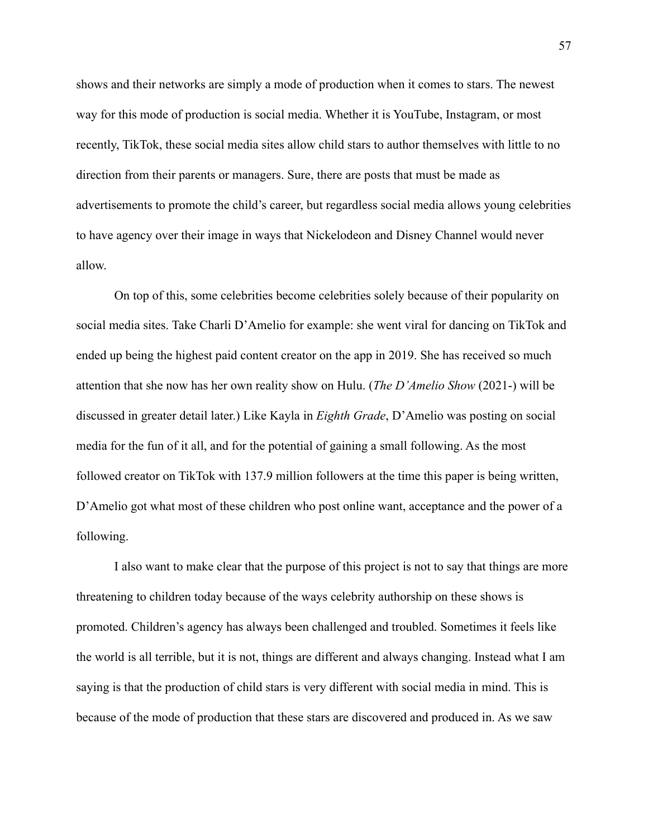shows and their networks are simply a mode of production when it comes to stars. The newest way for this mode of production is social media. Whether it is YouTube, Instagram, or most recently, TikTok, these social media sites allow child stars to author themselves with little to no direction from their parents or managers. Sure, there are posts that must be made as advertisements to promote the child's career, but regardless social media allows young celebrities to have agency over their image in ways that Nickelodeon and Disney Channel would never allow.

On top of this, some celebrities become celebrities solely because of their popularity on social media sites. Take Charli D'Amelio for example: she went viral for dancing on TikTok and ended up being the highest paid content creator on the app in 2019. She has received so much attention that she now has her own reality show on Hulu. (*The D'Amelio Show* (2021-) will be discussed in greater detail later.) Like Kayla in *Eighth Grade*, D'Amelio was posting on social media for the fun of it all, and for the potential of gaining a small following. As the most followed creator on TikTok with 137.9 million followers at the time this paper is being written, D'Amelio got what most of these children who post online want, acceptance and the power of a following.

I also want to make clear that the purpose of this project is not to say that things are more threatening to children today because of the ways celebrity authorship on these shows is promoted. Children's agency has always been challenged and troubled. Sometimes it feels like the world is all terrible, but it is not, things are different and always changing. Instead what I am saying is that the production of child stars is very different with social media in mind. This is because of the mode of production that these stars are discovered and produced in. As we saw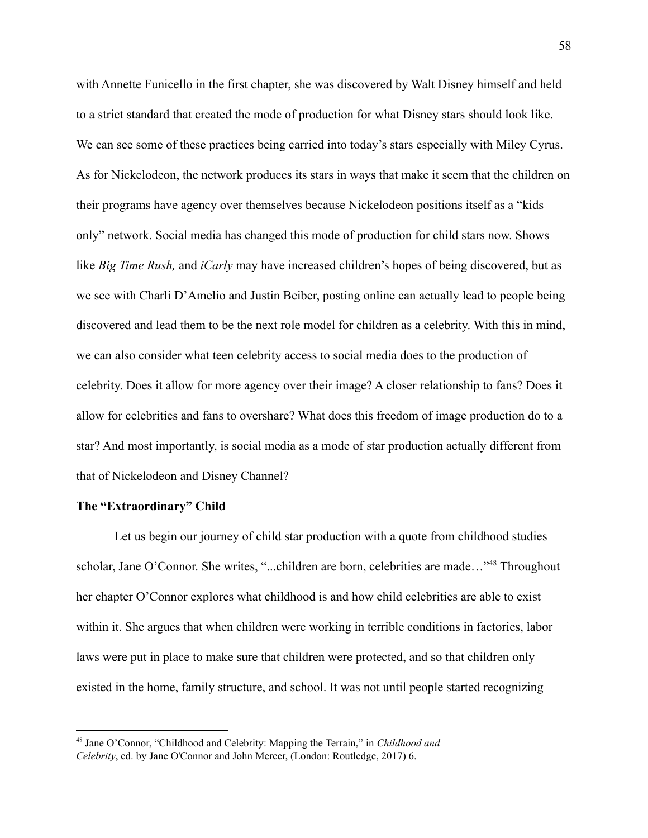with Annette Funicello in the first chapter, she was discovered by Walt Disney himself and held to a strict standard that created the mode of production for what Disney stars should look like. We can see some of these practices being carried into today's stars especially with Miley Cyrus. As for Nickelodeon, the network produces its stars in ways that make it seem that the children on their programs have agency over themselves because Nickelodeon positions itself as a "kids only" network. Social media has changed this mode of production for child stars now. Shows like *Big Time Rush,* and *iCarly* may have increased children's hopes of being discovered, but as we see with Charli D'Amelio and Justin Beiber, posting online can actually lead to people being discovered and lead them to be the next role model for children as a celebrity. With this in mind, we can also consider what teen celebrity access to social media does to the production of celebrity. Does it allow for more agency over their image? A closer relationship to fans? Does it allow for celebrities and fans to overshare? What does this freedom of image production do to a star? And most importantly, is social media as a mode of star production actually different from that of Nickelodeon and Disney Channel?

## **The "Extraordinary" Child**

Let us begin our journey of child star production with a quote from childhood studies scholar, Jane O'Connor. She writes, "...children are born, celebrities are made..."<sup>48</sup> Throughout her chapter O'Connor explores what childhood is and how child celebrities are able to exist within it. She argues that when children were working in terrible conditions in factories, labor laws were put in place to make sure that children were protected, and so that children only existed in the home, family structure, and school. It was not until people started recognizing

<sup>48</sup> Jane O'Connor, "Childhood and Celebrity: Mapping the Terrain," in *Childhood and Celebrity*, ed. by Jane O'Connor and John Mercer, (London: Routledge, 2017) 6.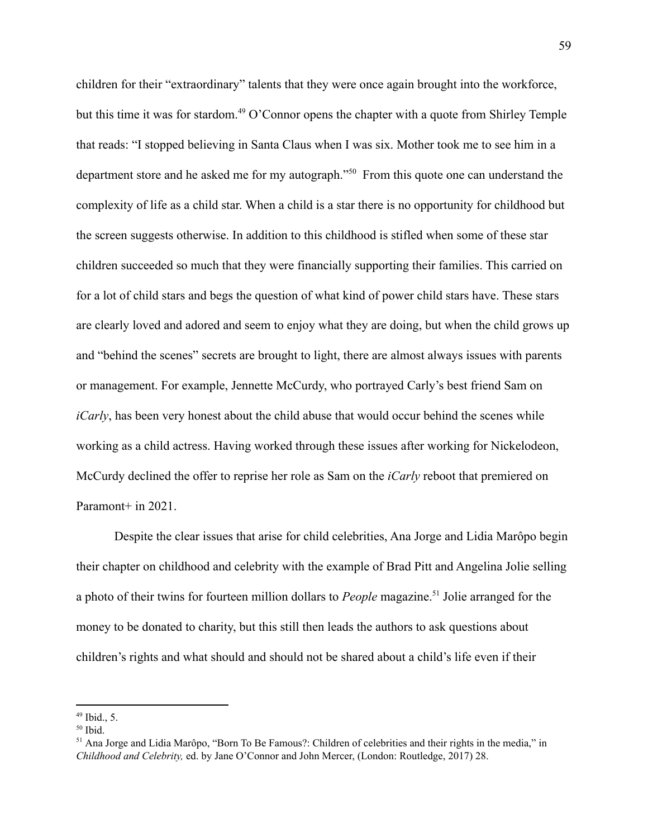children for their "extraordinary" talents that they were once again brought into the workforce, but this time it was for stardom.<sup> $49$ </sup> O'Connor opens the chapter with a quote from Shirley Temple that reads: "I stopped believing in Santa Claus when I was six. Mother took me to see him in a department store and he asked me for my autograph." $50$  From this quote one can understand the complexity of life as a child star. When a child is a star there is no opportunity for childhood but the screen suggests otherwise. In addition to this childhood is stifled when some of these star children succeeded so much that they were financially supporting their families. This carried on for a lot of child stars and begs the question of what kind of power child stars have. These stars are clearly loved and adored and seem to enjoy what they are doing, but when the child grows up and "behind the scenes" secrets are brought to light, there are almost always issues with parents or management. For example, Jennette McCurdy, who portrayed Carly's best friend Sam on *iCarly*, has been very honest about the child abuse that would occur behind the scenes while working as a child actress. Having worked through these issues after working for Nickelodeon, McCurdy declined the offer to reprise her role as Sam on the *iCarly* reboot that premiered on Paramont+ in 2021.

Despite the clear issues that arise for child celebrities, Ana Jorge and Lidia Marôpo begin their chapter on childhood and celebrity with the example of Brad Pitt and Angelina Jolie selling a photo of their twins for fourteen million dollars to *People* magazine.<sup>51</sup> Jolie arranged for the money to be donated to charity, but this still then leads the authors to ask questions about children's rights and what should and should not be shared about a child's life even if their

 $49$  Ibid., 5.

 $50$  Ibid.

<sup>51</sup> Ana Jorge and Lidia Marôpo, "Born To Be Famous?: Children of celebrities and their rights in the media," in *Childhood and Celebrity,* ed. by Jane O'Connor and John Mercer, (London: Routledge, 2017) 28.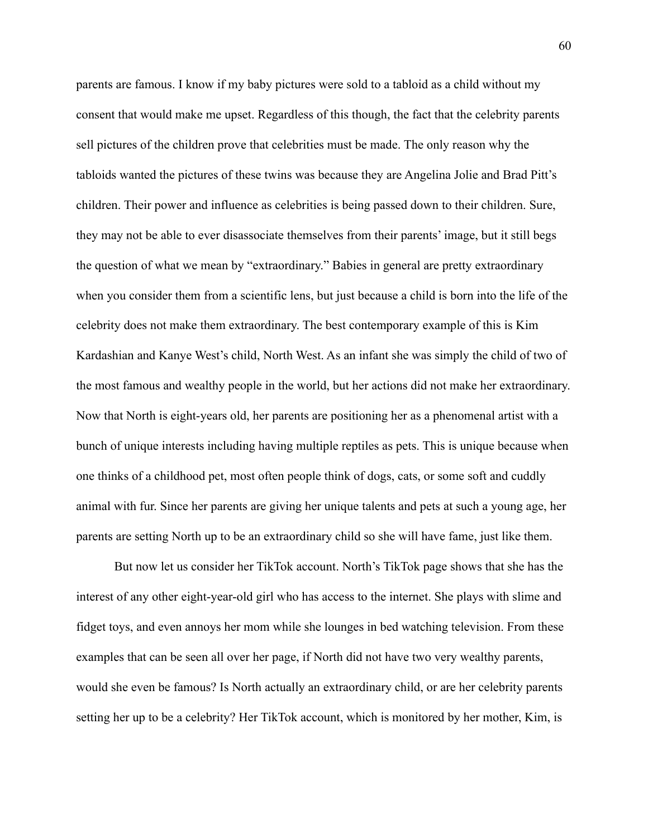parents are famous. I know if my baby pictures were sold to a tabloid as a child without my consent that would make me upset. Regardless of this though, the fact that the celebrity parents sell pictures of the children prove that celebrities must be made. The only reason why the tabloids wanted the pictures of these twins was because they are Angelina Jolie and Brad Pitt's children. Their power and influence as celebrities is being passed down to their children. Sure, they may not be able to ever disassociate themselves from their parents' image, but it still begs the question of what we mean by "extraordinary." Babies in general are pretty extraordinary when you consider them from a scientific lens, but just because a child is born into the life of the celebrity does not make them extraordinary. The best contemporary example of this is Kim Kardashian and Kanye West's child, North West. As an infant she was simply the child of two of the most famous and wealthy people in the world, but her actions did not make her extraordinary. Now that North is eight-years old, her parents are positioning her as a phenomenal artist with a bunch of unique interests including having multiple reptiles as pets. This is unique because when one thinks of a childhood pet, most often people think of dogs, cats, or some soft and cuddly animal with fur. Since her parents are giving her unique talents and pets at such a young age, her parents are setting North up to be an extraordinary child so she will have fame, just like them.

But now let us consider her TikTok account. North's TikTok page shows that she has the interest of any other eight-year-old girl who has access to the internet. She plays with slime and fidget toys, and even annoys her mom while she lounges in bed watching television. From these examples that can be seen all over her page, if North did not have two very wealthy parents, would she even be famous? Is North actually an extraordinary child, or are her celebrity parents setting her up to be a celebrity? Her TikTok account, which is monitored by her mother, Kim, is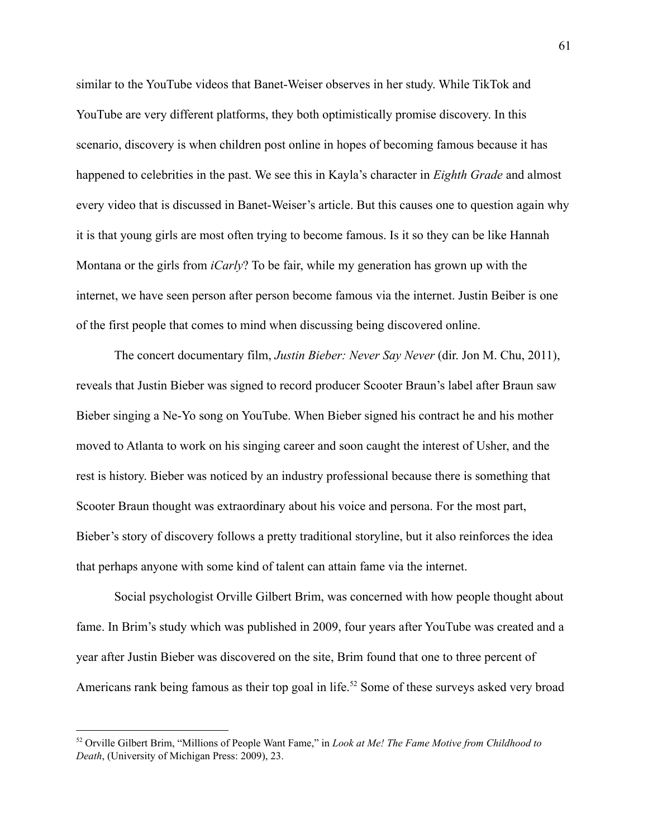similar to the YouTube videos that Banet-Weiser observes in her study. While TikTok and YouTube are very different platforms, they both optimistically promise discovery. In this scenario, discovery is when children post online in hopes of becoming famous because it has happened to celebrities in the past. We see this in Kayla's character in *Eighth Grade* and almost every video that is discussed in Banet-Weiser's article. But this causes one to question again why it is that young girls are most often trying to become famous. Is it so they can be like Hannah Montana or the girls from *iCarly*? To be fair, while my generation has grown up with the internet, we have seen person after person become famous via the internet. Justin Beiber is one of the first people that comes to mind when discussing being discovered online.

The concert documentary film, *Justin Bieber: Never Say Never* (dir. Jon M. Chu, 2011), reveals that Justin Bieber was signed to record producer Scooter Braun's label after Braun saw Bieber singing a Ne-Yo song on YouTube. When Bieber signed his contract he and his mother moved to Atlanta to work on his singing career and soon caught the interest of Usher, and the rest is history. Bieber was noticed by an industry professional because there is something that Scooter Braun thought was extraordinary about his voice and persona. For the most part, Bieber's story of discovery follows a pretty traditional storyline, but it also reinforces the idea that perhaps anyone with some kind of talent can attain fame via the internet.

Social psychologist Orville Gilbert Brim, was concerned with how people thought about fame. In Brim's study which was published in 2009, four years after YouTube was created and a year after Justin Bieber was discovered on the site, Brim found that one to three percent of Americans rank being famous as their top goal in life.<sup>52</sup> Some of these surveys asked very broad

<sup>52</sup> Orville Gilbert Brim, "Millions of People Want Fame," in *Look at Me! The Fame Motive from Childhood to Death*, (University of Michigan Press: 2009), 23.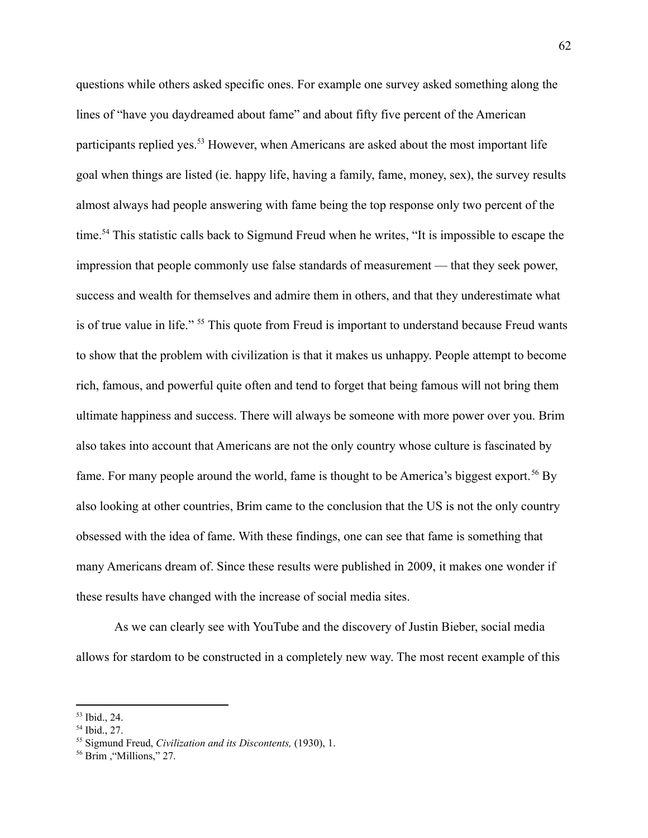questions while others asked specific ones. For example one survey asked something along the lines of "have you daydreamed about fame" and about fifty five percent of the American participants replied yes.<sup>53</sup> However, when Americans are asked about the most important life goal when things are listed (ie. happy life, having a family, fame, money, sex), the survey results almost always had people answering with fame being the top response only two percent of the time.<sup>54</sup> This statistic calls back to Sigmund Freud when he writes, "It is impossible to escape the impression that people commonly use false standards of measurement — that they seek power, success and wealth for themselves and admire them in others, and that they underestimate what is of true value in life." <sup>55</sup> This quote from Freud is important to understand because Freud wants to show that the problem with civilization is that it makes us unhappy. People attempt to become rich, famous, and powerful quite often and tend to forget that being famous will not bring them ultimate happiness and success. There will always be someone with more power over you. Brim also takes into account that Americans are not the only country whose culture is fascinated by fame. For many people around the world, fame is thought to be America's biggest export.<sup>56</sup> By also looking at other countries, Brim came to the conclusion that the US is not the only country obsessed with the idea of fame. With these findings, one can see that fame is something that many Americans dream of. Since these results were published in 2009, it makes one wonder if these results have changed with the increase of social media sites.

As we can clearly see with YouTube and the discovery of Justin Bieber, social media allows for stardom to be constructed in a completely new way. The most recent example of this

<sup>53</sup> Ibid., 24.

<sup>54</sup> Ibid., 27.

<sup>55</sup> Sigmund Freud, *Civilization and its Discontents,* (1930), 1.

<sup>56</sup> Brim ,"Millions," 27.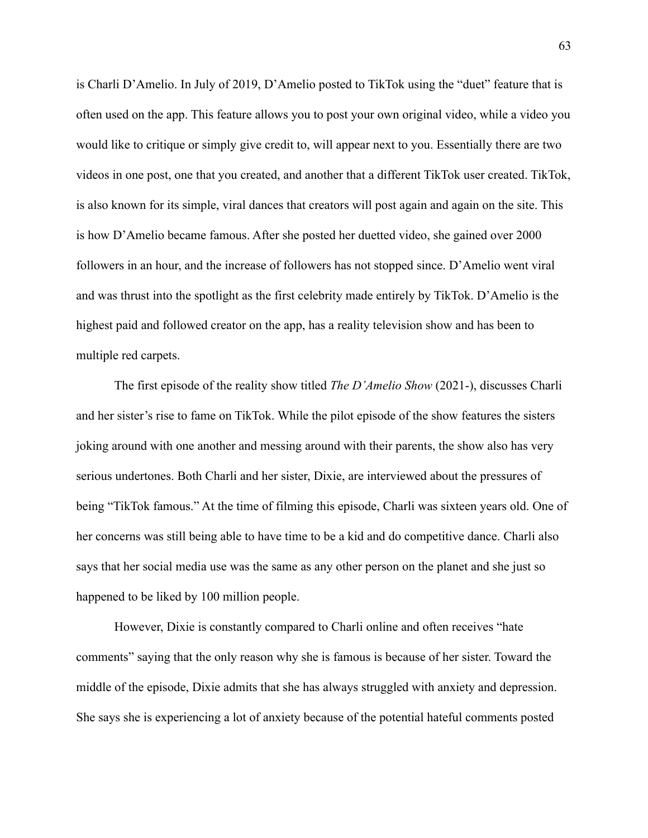is Charli D'Amelio. In July of 2019, D'Amelio posted to TikTok using the "duet" feature that is often used on the app. This feature allows you to post your own original video, while a video you would like to critique or simply give credit to, will appear next to you. Essentially there are two videos in one post, one that you created, and another that a different TikTok user created. TikTok, is also known for its simple, viral dances that creators will post again and again on the site. This is how D'Amelio became famous. After she posted her duetted video, she gained over 2000 followers in an hour, and the increase of followers has not stopped since. D'Amelio went viral and was thrust into the spotlight as the first celebrity made entirely by TikTok. D'Amelio is the highest paid and followed creator on the app, has a reality television show and has been to multiple red carpets.

The first episode of the reality show titled *The D'Amelio Show* (2021-), discusses Charli and her sister's rise to fame on TikTok. While the pilot episode of the show features the sisters joking around with one another and messing around with their parents, the show also has very serious undertones. Both Charli and her sister, Dixie, are interviewed about the pressures of being "TikTok famous." At the time of filming this episode, Charli was sixteen years old. One of her concerns was still being able to have time to be a kid and do competitive dance. Charli also says that her social media use was the same as any other person on the planet and she just so happened to be liked by 100 million people.

However, Dixie is constantly compared to Charli online and often receives "hate comments" saying that the only reason why she is famous is because of her sister. Toward the middle of the episode, Dixie admits that she has always struggled with anxiety and depression. She says she is experiencing a lot of anxiety because of the potential hateful comments posted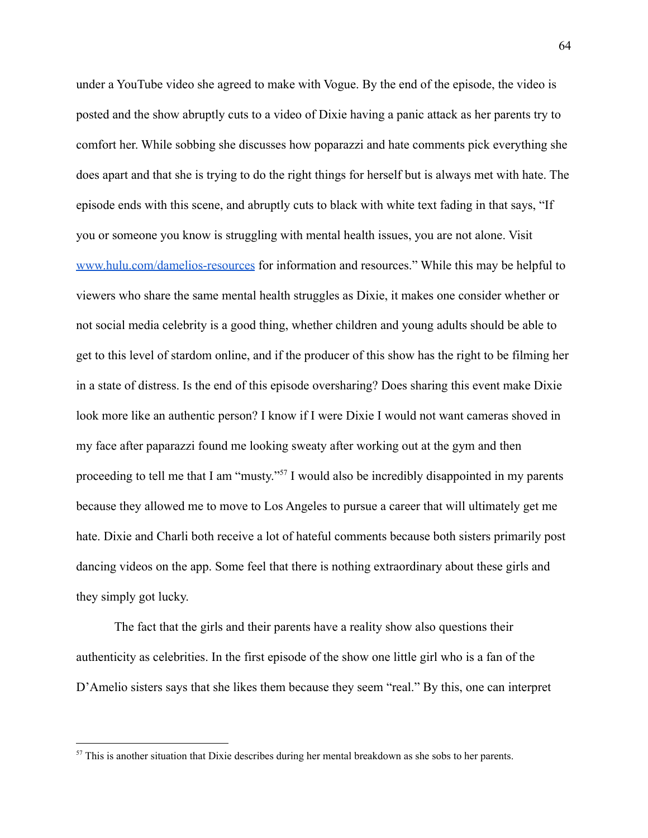under a YouTube video she agreed to make with Vogue. By the end of the episode, the video is posted and the show abruptly cuts to a video of Dixie having a panic attack as her parents try to comfort her. While sobbing she discusses how poparazzi and hate comments pick everything she does apart and that she is trying to do the right things for herself but is always met with hate. The episode ends with this scene, and abruptly cuts to black with white text fading in that says, "If you or someone you know is struggling with mental health issues, you are not alone. Visit [www.hulu.com/damelios-resources](http://www.hulu.com/damelios-resources) for information and resources." While this may be helpful to viewers who share the same mental health struggles as Dixie, it makes one consider whether or not social media celebrity is a good thing, whether children and young adults should be able to get to this level of stardom online, and if the producer of this show has the right to be filming her in a state of distress. Is the end of this episode oversharing? Does sharing this event make Dixie look more like an authentic person? I know if I were Dixie I would not want cameras shoved in my face after paparazzi found me looking sweaty after working out at the gym and then proceeding to tell me that I am "musty."<sup> $57$ </sup> I would also be incredibly disappointed in my parents because they allowed me to move to Los Angeles to pursue a career that will ultimately get me hate. Dixie and Charli both receive a lot of hateful comments because both sisters primarily post dancing videos on the app. Some feel that there is nothing extraordinary about these girls and they simply got lucky.

The fact that the girls and their parents have a reality show also questions their authenticity as celebrities. In the first episode of the show one little girl who is a fan of the D'Amelio sisters says that she likes them because they seem "real." By this, one can interpret

<sup>&</sup>lt;sup>57</sup> This is another situation that Dixie describes during her mental breakdown as she sobs to her parents.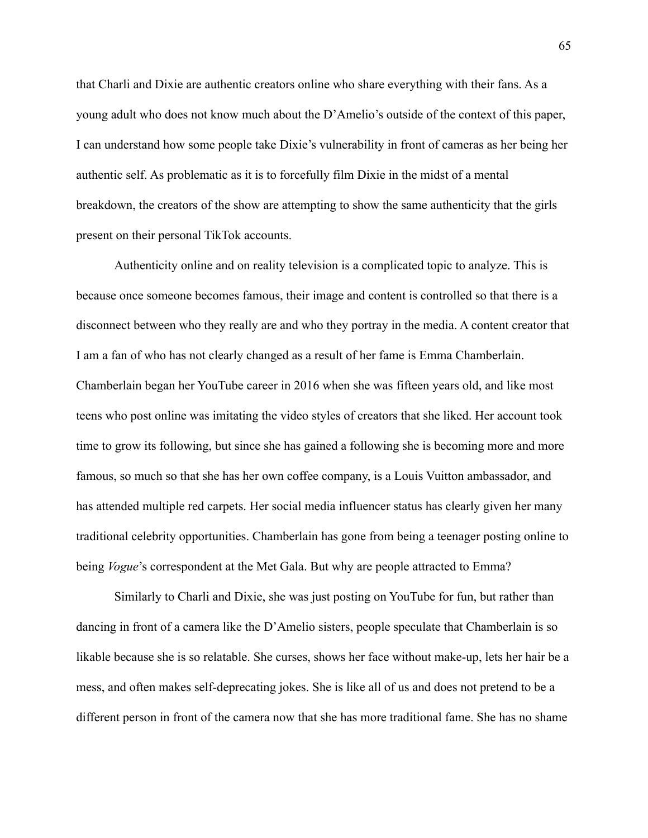that Charli and Dixie are authentic creators online who share everything with their fans. As a young adult who does not know much about the D'Amelio's outside of the context of this paper, I can understand how some people take Dixie's vulnerability in front of cameras as her being her authentic self. As problematic as it is to forcefully film Dixie in the midst of a mental breakdown, the creators of the show are attempting to show the same authenticity that the girls present on their personal TikTok accounts.

Authenticity online and on reality television is a complicated topic to analyze. This is because once someone becomes famous, their image and content is controlled so that there is a disconnect between who they really are and who they portray in the media. A content creator that I am a fan of who has not clearly changed as a result of her fame is Emma Chamberlain. Chamberlain began her YouTube career in 2016 when she was fifteen years old, and like most teens who post online was imitating the video styles of creators that she liked. Her account took time to grow its following, but since she has gained a following she is becoming more and more famous, so much so that she has her own coffee company, is a Louis Vuitton ambassador, and has attended multiple red carpets. Her social media influencer status has clearly given her many traditional celebrity opportunities. Chamberlain has gone from being a teenager posting online to being *Vogue*'s correspondent at the Met Gala. But why are people attracted to Emma?

Similarly to Charli and Dixie, she was just posting on YouTube for fun, but rather than dancing in front of a camera like the D'Amelio sisters, people speculate that Chamberlain is so likable because she is so relatable. She curses, shows her face without make-up, lets her hair be a mess, and often makes self-deprecating jokes. She is like all of us and does not pretend to be a different person in front of the camera now that she has more traditional fame. She has no shame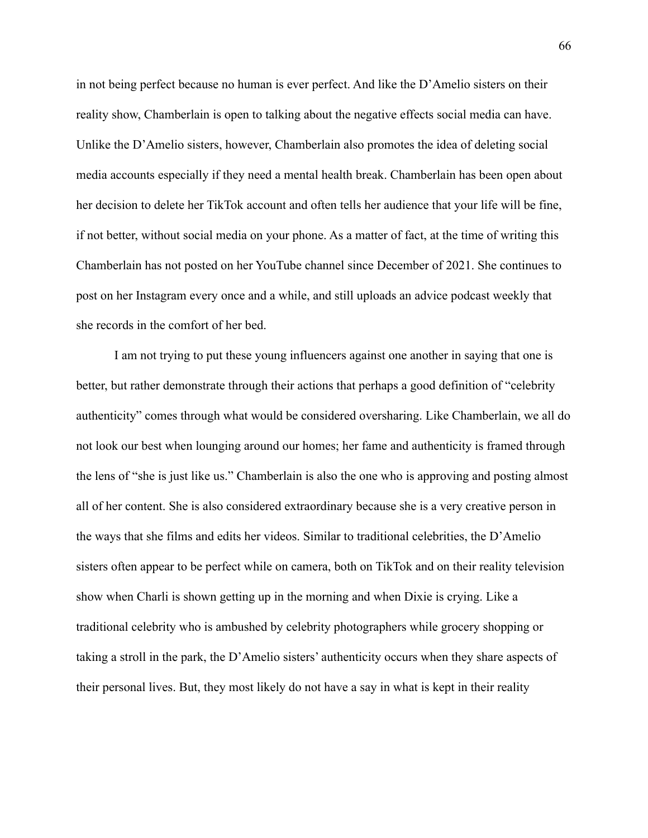in not being perfect because no human is ever perfect. And like the D'Amelio sisters on their reality show, Chamberlain is open to talking about the negative effects social media can have. Unlike the D'Amelio sisters, however, Chamberlain also promotes the idea of deleting social media accounts especially if they need a mental health break. Chamberlain has been open about her decision to delete her TikTok account and often tells her audience that your life will be fine, if not better, without social media on your phone. As a matter of fact, at the time of writing this Chamberlain has not posted on her YouTube channel since December of 2021. She continues to post on her Instagram every once and a while, and still uploads an advice podcast weekly that she records in the comfort of her bed.

I am not trying to put these young influencers against one another in saying that one is better, but rather demonstrate through their actions that perhaps a good definition of "celebrity authenticity" comes through what would be considered oversharing. Like Chamberlain, we all do not look our best when lounging around our homes; her fame and authenticity is framed through the lens of "she is just like us." Chamberlain is also the one who is approving and posting almost all of her content. She is also considered extraordinary because she is a very creative person in the ways that she films and edits her videos. Similar to traditional celebrities, the D'Amelio sisters often appear to be perfect while on camera, both on TikTok and on their reality television show when Charli is shown getting up in the morning and when Dixie is crying. Like a traditional celebrity who is ambushed by celebrity photographers while grocery shopping or taking a stroll in the park, the D'Amelio sisters' authenticity occurs when they share aspects of their personal lives. But, they most likely do not have a say in what is kept in their reality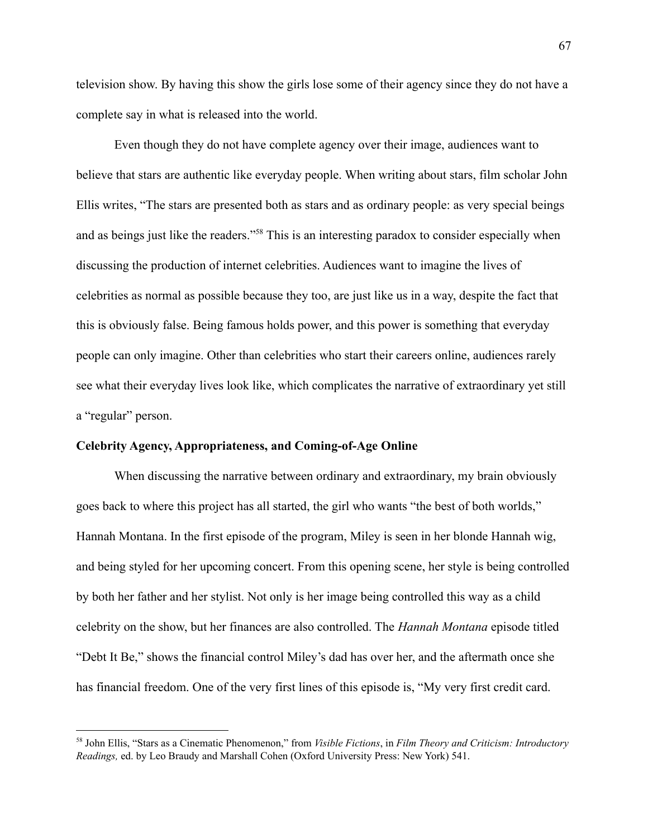television show. By having this show the girls lose some of their agency since they do not have a complete say in what is released into the world.

Even though they do not have complete agency over their image, audiences want to believe that stars are authentic like everyday people. When writing about stars, film scholar John Ellis writes, "The stars are presented both as stars and as ordinary people: as very special beings and as beings just like the readers."<sup>58</sup> This is an interesting paradox to consider especially when discussing the production of internet celebrities. Audiences want to imagine the lives of celebrities as normal as possible because they too, are just like us in a way, despite the fact that this is obviously false. Being famous holds power, and this power is something that everyday people can only imagine. Other than celebrities who start their careers online, audiences rarely see what their everyday lives look like, which complicates the narrative of extraordinary yet still a "regular" person.

### **Celebrity Agency, Appropriateness, and Coming-of-Age Online**

When discussing the narrative between ordinary and extraordinary, my brain obviously goes back to where this project has all started, the girl who wants "the best of both worlds," Hannah Montana. In the first episode of the program, Miley is seen in her blonde Hannah wig, and being styled for her upcoming concert. From this opening scene, her style is being controlled by both her father and her stylist. Not only is her image being controlled this way as a child celebrity on the show, but her finances are also controlled. The *Hannah Montana* episode titled "Debt It Be," shows the financial control Miley's dad has over her, and the aftermath once she has financial freedom. One of the very first lines of this episode is, "My very first credit card.

<sup>58</sup> John Ellis, "Stars as a Cinematic Phenomenon," from *Visible Fictions*, in *Film Theory and Criticism: Introductory Readings,* ed. by Leo Braudy and Marshall Cohen (Oxford University Press: New York) 541.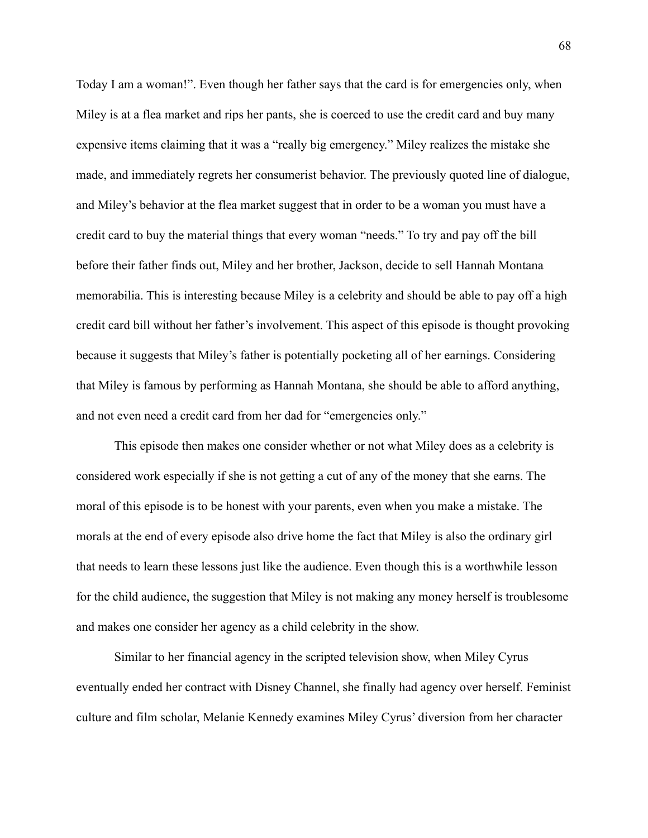Today I am a woman!". Even though her father says that the card is for emergencies only, when Miley is at a flea market and rips her pants, she is coerced to use the credit card and buy many expensive items claiming that it was a "really big emergency." Miley realizes the mistake she made, and immediately regrets her consumerist behavior. The previously quoted line of dialogue, and Miley's behavior at the flea market suggest that in order to be a woman you must have a credit card to buy the material things that every woman "needs." To try and pay off the bill before their father finds out, Miley and her brother, Jackson, decide to sell Hannah Montana memorabilia. This is interesting because Miley is a celebrity and should be able to pay off a high credit card bill without her father's involvement. This aspect of this episode is thought provoking because it suggests that Miley's father is potentially pocketing all of her earnings. Considering that Miley is famous by performing as Hannah Montana, she should be able to afford anything, and not even need a credit card from her dad for "emergencies only."

This episode then makes one consider whether or not what Miley does as a celebrity is considered work especially if she is not getting a cut of any of the money that she earns. The moral of this episode is to be honest with your parents, even when you make a mistake. The morals at the end of every episode also drive home the fact that Miley is also the ordinary girl that needs to learn these lessons just like the audience. Even though this is a worthwhile lesson for the child audience, the suggestion that Miley is not making any money herself is troublesome and makes one consider her agency as a child celebrity in the show.

Similar to her financial agency in the scripted television show, when Miley Cyrus eventually ended her contract with Disney Channel, she finally had agency over herself. Feminist culture and film scholar, Melanie Kennedy examines Miley Cyrus' diversion from her character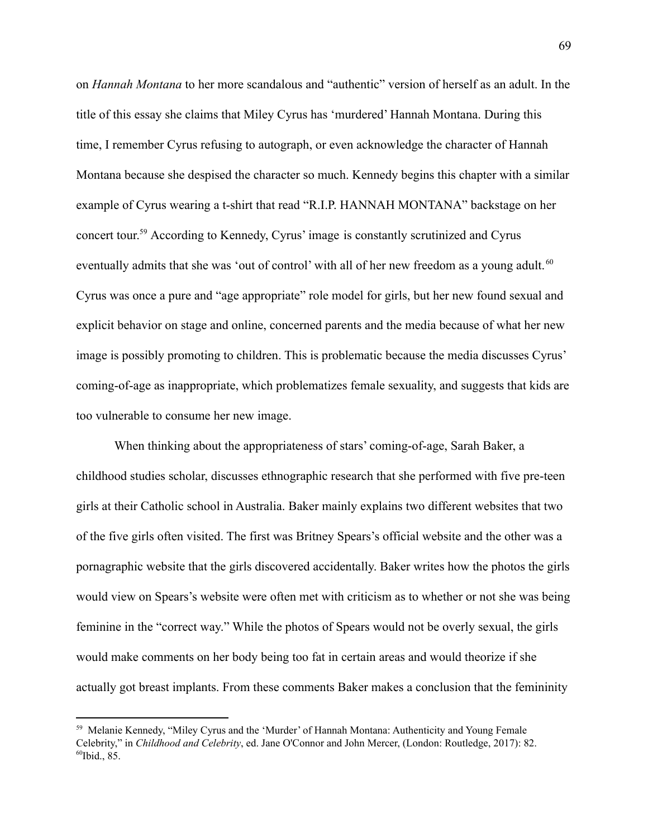on *Hannah Montana* to her more scandalous and "authentic" version of herself as an adult. In the title of this essay she claims that Miley Cyrus has 'murdered' Hannah Montana. During this time, I remember Cyrus refusing to autograph, or even acknowledge the character of Hannah Montana because she despised the character so much. Kennedy begins this chapter with a similar example of Cyrus wearing a t-shirt that read "R.I.P. HANNAH MONTANA" backstage on her concert tour.<sup>59</sup> According to Kennedy, Cyrus' image is constantly scrutinized and Cyrus eventually admits that she was 'out of control' with all of her new freedom as a young adult.<sup>60</sup> Cyrus was once a pure and "age appropriate" role model for girls, but her new found sexual and explicit behavior on stage and online, concerned parents and the media because of what her new image is possibly promoting to children. This is problematic because the media discusses Cyrus' coming-of-age as inappropriate, which problematizes female sexuality, and suggests that kids are too vulnerable to consume her new image.

When thinking about the appropriateness of stars' coming-of-age, Sarah Baker, a childhood studies scholar, discusses ethnographic research that she performed with five pre-teen girls at their Catholic school in Australia. Baker mainly explains two different websites that two of the five girls often visited. The first was Britney Spears's official website and the other was a pornagraphic website that the girls discovered accidentally. Baker writes how the photos the girls would view on Spears's website were often met with criticism as to whether or not she was being feminine in the "correct way." While the photos of Spears would not be overly sexual, the girls would make comments on her body being too fat in certain areas and would theorize if she actually got breast implants. From these comments Baker makes a conclusion that the femininity

 $60$ Ibid., 85. <sup>59</sup> Melanie Kennedy, "Miley Cyrus and the 'Murder' of Hannah Montana: Authenticity and Young Female Celebrity," in *Childhood and Celebrity*, ed. Jane O'Connor and John Mercer, (London: Routledge, 2017): 82.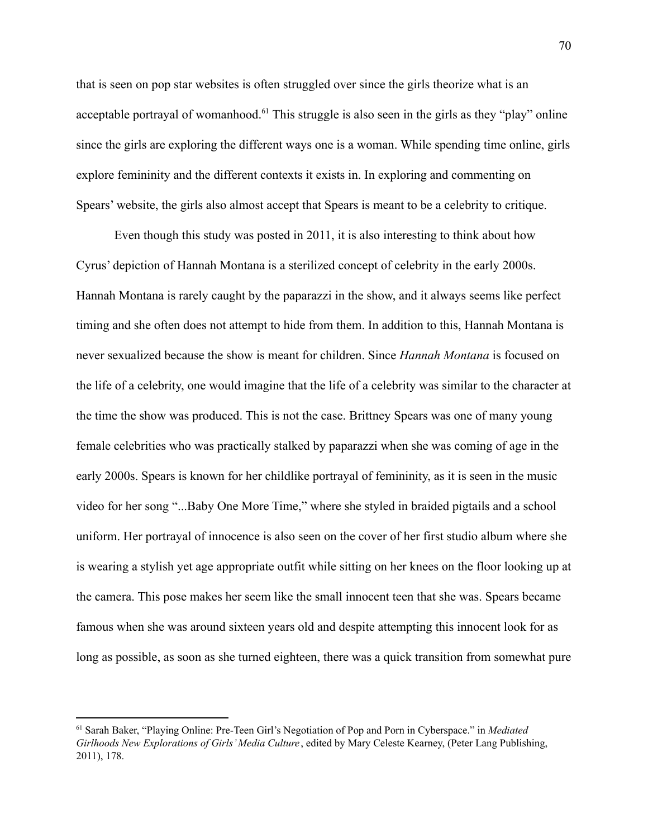that is seen on pop star websites is often struggled over since the girls theorize what is an acceptable portrayal of womanhood.<sup> $61$ </sup> This struggle is also seen in the girls as they "play" online since the girls are exploring the different ways one is a woman. While spending time online, girls explore femininity and the different contexts it exists in. In exploring and commenting on Spears' website, the girls also almost accept that Spears is meant to be a celebrity to critique.

Even though this study was posted in 2011, it is also interesting to think about how Cyrus' depiction of Hannah Montana is a sterilized concept of celebrity in the early 2000s. Hannah Montana is rarely caught by the paparazzi in the show, and it always seems like perfect timing and she often does not attempt to hide from them. In addition to this, Hannah Montana is never sexualized because the show is meant for children. Since *Hannah Montana* is focused on the life of a celebrity, one would imagine that the life of a celebrity was similar to the character at the time the show was produced. This is not the case. Brittney Spears was one of many young female celebrities who was practically stalked by paparazzi when she was coming of age in the early 2000s. Spears is known for her childlike portrayal of femininity, as it is seen in the music video for her song "...Baby One More Time," where she styled in braided pigtails and a school uniform. Her portrayal of innocence is also seen on the cover of her first studio album where she is wearing a stylish yet age appropriate outfit while sitting on her knees on the floor looking up at the camera. This pose makes her seem like the small innocent teen that she was. Spears became famous when she was around sixteen years old and despite attempting this innocent look for as long as possible, as soon as she turned eighteen, there was a quick transition from somewhat pure

<sup>61</sup> Sarah Baker, "Playing Online: Pre-Teen Girl's Negotiation of Pop and Porn in Cyberspace." in *Mediated Girlhoods New Explorations of Girls' Media Culture* , edited by Mary Celeste Kearney, (Peter Lang Publishing, 2011), 178.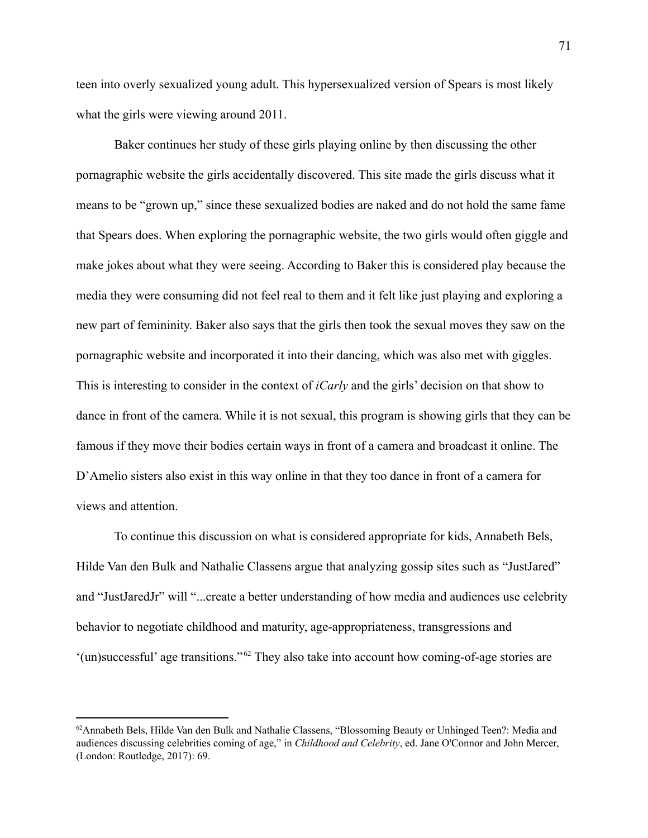teen into overly sexualized young adult. This hypersexualized version of Spears is most likely what the girls were viewing around 2011.

Baker continues her study of these girls playing online by then discussing the other pornagraphic website the girls accidentally discovered. This site made the girls discuss what it means to be "grown up," since these sexualized bodies are naked and do not hold the same fame that Spears does. When exploring the pornagraphic website, the two girls would often giggle and make jokes about what they were seeing. According to Baker this is considered play because the media they were consuming did not feel real to them and it felt like just playing and exploring a new part of femininity. Baker also says that the girls then took the sexual moves they saw on the pornagraphic website and incorporated it into their dancing, which was also met with giggles. This is interesting to consider in the context of *iCarly* and the girls' decision on that show to dance in front of the camera. While it is not sexual, this program is showing girls that they can be famous if they move their bodies certain ways in front of a camera and broadcast it online. The D'Amelio sisters also exist in this way online in that they too dance in front of a camera for views and attention.

To continue this discussion on what is considered appropriate for kids, Annabeth Bels, Hilde Van den Bulk and Nathalie Classens argue that analyzing gossip sites such as "JustJared" and "JustJaredJr" will "...create a better understanding of how media and audiences use celebrity behavior to negotiate childhood and maturity, age-appropriateness, transgressions and  $'(un)$ successful' age transitions."<sup>62</sup> They also take into account how coming-of-age stories are

<sup>&</sup>lt;sup>62</sup>Annabeth Bels, Hilde Van den Bulk and Nathalie Classens, "Blossoming Beauty or Unhinged Teen?: Media and audiences discussing celebrities coming of age," in *Childhood and Celebrity*, ed. Jane O'Connor and John Mercer, (London: Routledge, 2017): 69.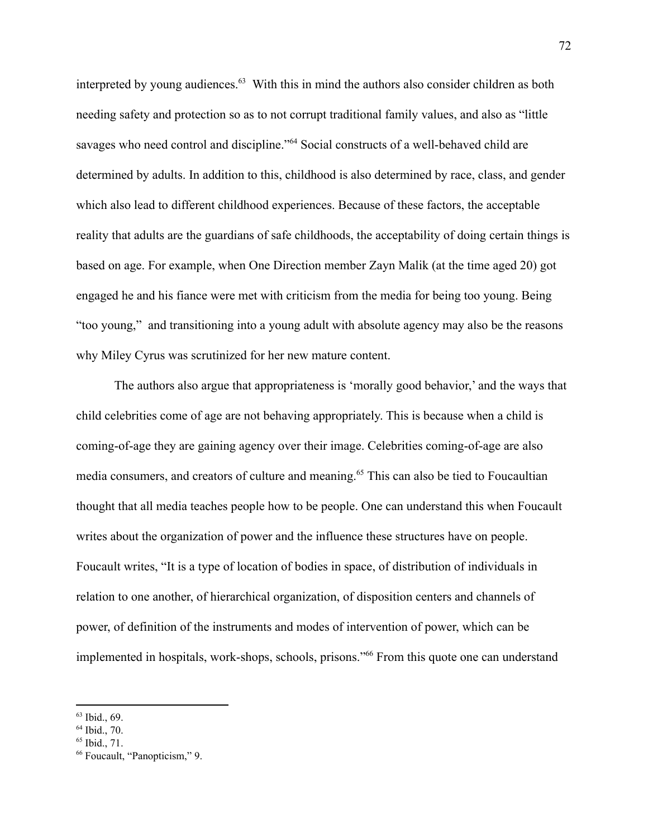interpreted by young audiences. $63$  With this in mind the authors also consider children as both needing safety and protection so as to not corrupt traditional family values, and also as "little savages who need control and discipline."<sup>64</sup> Social constructs of a well-behaved child are determined by adults. In addition to this, childhood is also determined by race, class, and gender which also lead to different childhood experiences. Because of these factors, the acceptable reality that adults are the guardians of safe childhoods, the acceptability of doing certain things is based on age. For example, when One Direction member Zayn Malik (at the time aged 20) got engaged he and his fiance were met with criticism from the media for being too young. Being "too young," and transitioning into a young adult with absolute agency may also be the reasons why Miley Cyrus was scrutinized for her new mature content.

The authors also argue that appropriateness is 'morally good behavior,' and the ways that child celebrities come of age are not behaving appropriately. This is because when a child is coming-of-age they are gaining agency over their image. Celebrities coming-of-age are also media consumers, and creators of culture and meaning.<sup>65</sup> This can also be tied to Foucaultian thought that all media teaches people how to be people. One can understand this when Foucault writes about the organization of power and the influence these structures have on people. Foucault writes, "It is a type of location of bodies in space, of distribution of individuals in relation to one another, of hierarchical organization, of disposition centers and channels of power, of definition of the instruments and modes of intervention of power, which can be implemented in hospitals, work-shops, schools, prisons."<sup>66</sup> From this quote one can understand

 $63$  Ibid., 69.

<sup>64</sup> Ibid., 70.

 $65$  Ibid., 71.

<sup>&</sup>lt;sup>66</sup> Foucault, "Panopticism," 9.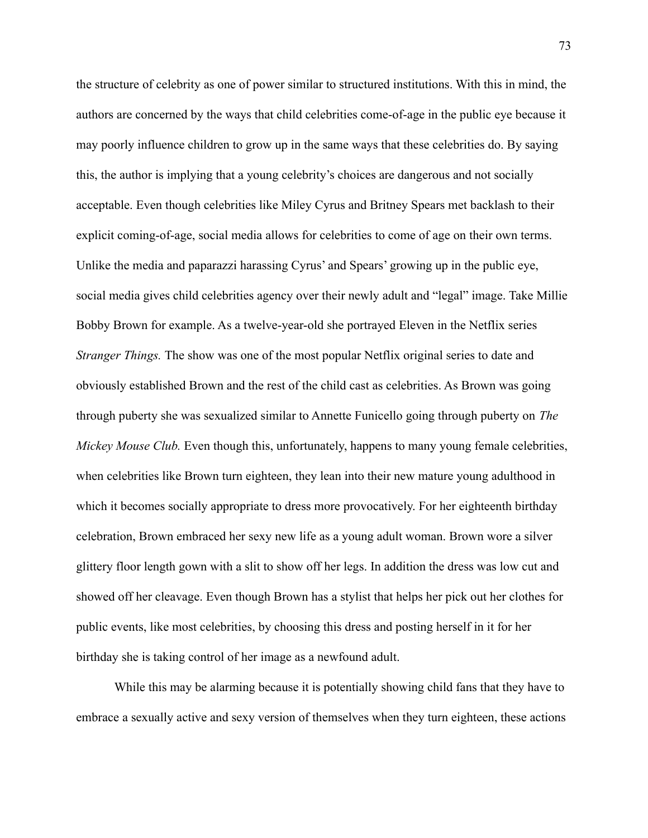the structure of celebrity as one of power similar to structured institutions. With this in mind, the authors are concerned by the ways that child celebrities come-of-age in the public eye because it may poorly influence children to grow up in the same ways that these celebrities do. By saying this, the author is implying that a young celebrity's choices are dangerous and not socially acceptable. Even though celebrities like Miley Cyrus and Britney Spears met backlash to their explicit coming-of-age, social media allows for celebrities to come of age on their own terms. Unlike the media and paparazzi harassing Cyrus' and Spears' growing up in the public eye, social media gives child celebrities agency over their newly adult and "legal" image. Take Millie Bobby Brown for example. As a twelve-year-old she portrayed Eleven in the Netflix series *Stranger Things.* The show was one of the most popular Netflix original series to date and obviously established Brown and the rest of the child cast as celebrities. As Brown was going through puberty she was sexualized similar to Annette Funicello going through puberty on *The Mickey Mouse Club.* Even though this, unfortunately, happens to many young female celebrities, when celebrities like Brown turn eighteen, they lean into their new mature young adulthood in which it becomes socially appropriate to dress more provocatively. For her eighteenth birthday celebration, Brown embraced her sexy new life as a young adult woman. Brown wore a silver glittery floor length gown with a slit to show off her legs. In addition the dress was low cut and showed off her cleavage. Even though Brown has a stylist that helps her pick out her clothes for public events, like most celebrities, by choosing this dress and posting herself in it for her birthday she is taking control of her image as a newfound adult.

While this may be alarming because it is potentially showing child fans that they have to embrace a sexually active and sexy version of themselves when they turn eighteen, these actions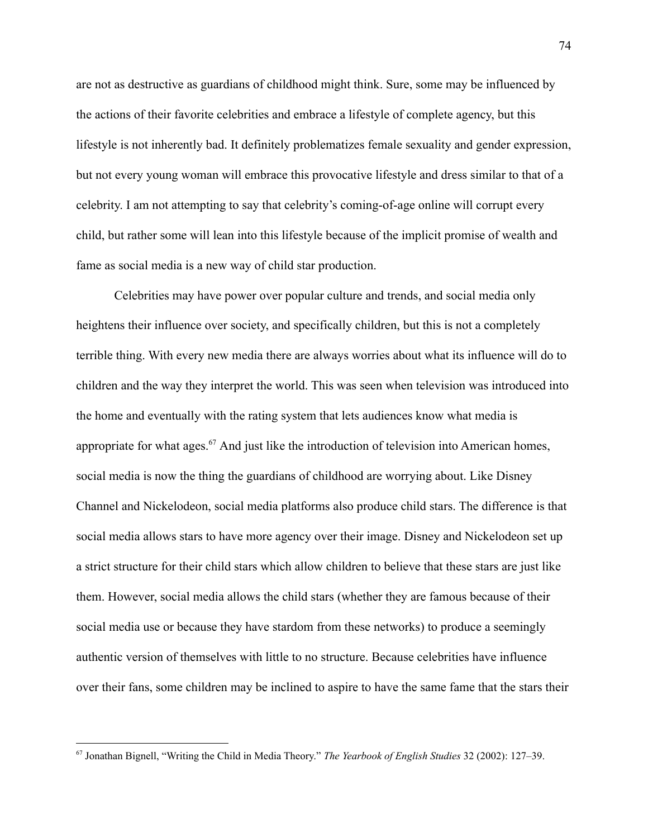are not as destructive as guardians of childhood might think. Sure, some may be influenced by the actions of their favorite celebrities and embrace a lifestyle of complete agency, but this lifestyle is not inherently bad. It definitely problematizes female sexuality and gender expression, but not every young woman will embrace this provocative lifestyle and dress similar to that of a celebrity. I am not attempting to say that celebrity's coming-of-age online will corrupt every child, but rather some will lean into this lifestyle because of the implicit promise of wealth and fame as social media is a new way of child star production.

Celebrities may have power over popular culture and trends, and social media only heightens their influence over society, and specifically children, but this is not a completely terrible thing. With every new media there are always worries about what its influence will do to children and the way they interpret the world. This was seen when television was introduced into the home and eventually with the rating system that lets audiences know what media is appropriate for what ages.<sup>67</sup> And just like the introduction of television into American homes, social media is now the thing the guardians of childhood are worrying about. Like Disney Channel and Nickelodeon, social media platforms also produce child stars. The difference is that social media allows stars to have more agency over their image. Disney and Nickelodeon set up a strict structure for their child stars which allow children to believe that these stars are just like them. However, social media allows the child stars (whether they are famous because of their social media use or because they have stardom from these networks) to produce a seemingly authentic version of themselves with little to no structure. Because celebrities have influence over their fans, some children may be inclined to aspire to have the same fame that the stars their

<sup>67</sup> Jonathan Bignell, "Writing the Child in Media Theory." *The Yearbook of English Studies* 32 (2002): 127–39.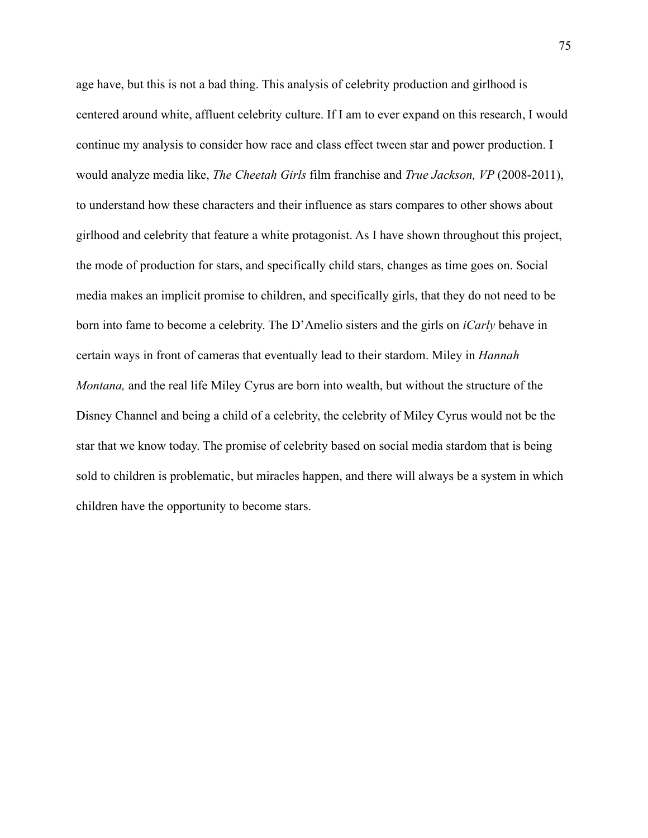age have, but this is not a bad thing. This analysis of celebrity production and girlhood is centered around white, affluent celebrity culture. If I am to ever expand on this research, I would continue my analysis to consider how race and class effect tween star and power production. I would analyze media like, *The Cheetah Girls* film franchise and *True Jackson, VP* (2008-2011), to understand how these characters and their influence as stars compares to other shows about girlhood and celebrity that feature a white protagonist. As I have shown throughout this project, the mode of production for stars, and specifically child stars, changes as time goes on. Social media makes an implicit promise to children, and specifically girls, that they do not need to be born into fame to become a celebrity. The D'Amelio sisters and the girls on *iCarly* behave in certain ways in front of cameras that eventually lead to their stardom. Miley in *Hannah Montana,* and the real life Miley Cyrus are born into wealth, but without the structure of the Disney Channel and being a child of a celebrity, the celebrity of Miley Cyrus would not be the star that we know today. The promise of celebrity based on social media stardom that is being sold to children is problematic, but miracles happen, and there will always be a system in which children have the opportunity to become stars.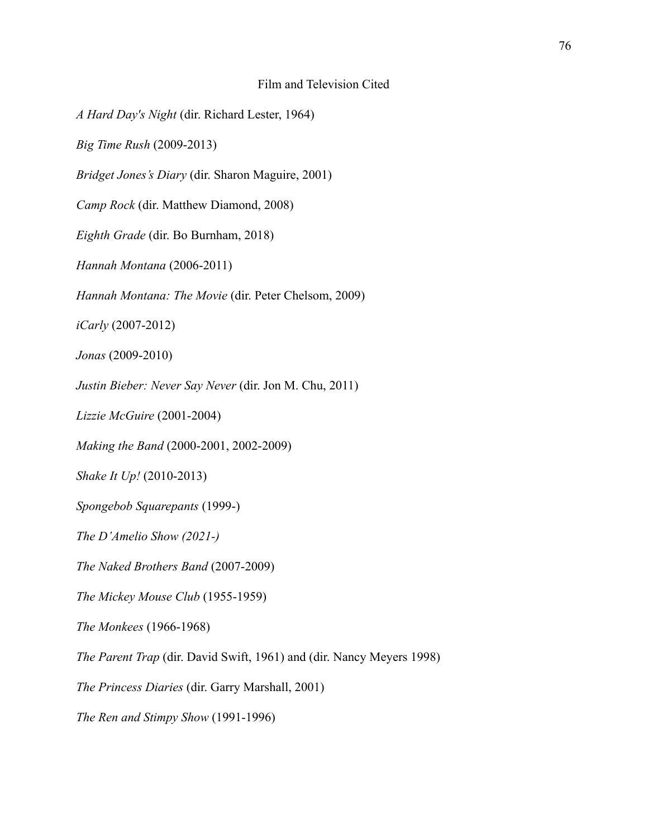## Film and Television Cited

*A Hard Day's Night* (dir. Richard Lester, 1964)

*Big Time Rush* (2009-2013)

*Bridget Jones's Diary* (dir. Sharon Maguire, 2001)

*Camp Rock* (dir. Matthew Diamond, 2008)

*Eighth Grade* (dir. Bo Burnham, 2018)

*Hannah Montana* (2006-2011)

*Hannah Montana: The Movie* (dir. Peter Chelsom, 2009)

*iCarly* (2007-2012)

*Jonas* (2009-2010)

*Justin Bieber: Never Say Never* (dir. Jon M. Chu, 2011)

*Lizzie McGuire* (2001-2004)

*Making the Band* (2000-2001, 2002-2009)

*Shake It Up!* (2010-2013)

*Spongebob Squarepants* (1999-)

*The D'Amelio Show (2021-)*

*The Naked Brothers Band* (2007-2009)

*The Mickey Mouse Club* (1955-1959)

*The Monkees* (1966-1968)

*The Parent Trap* (dir. David Swift, 1961) and (dir. Nancy Meyers 1998)

*The Princess Diaries* (dir. Garry Marshall, 2001)

*The Ren and Stimpy Show* (1991-1996)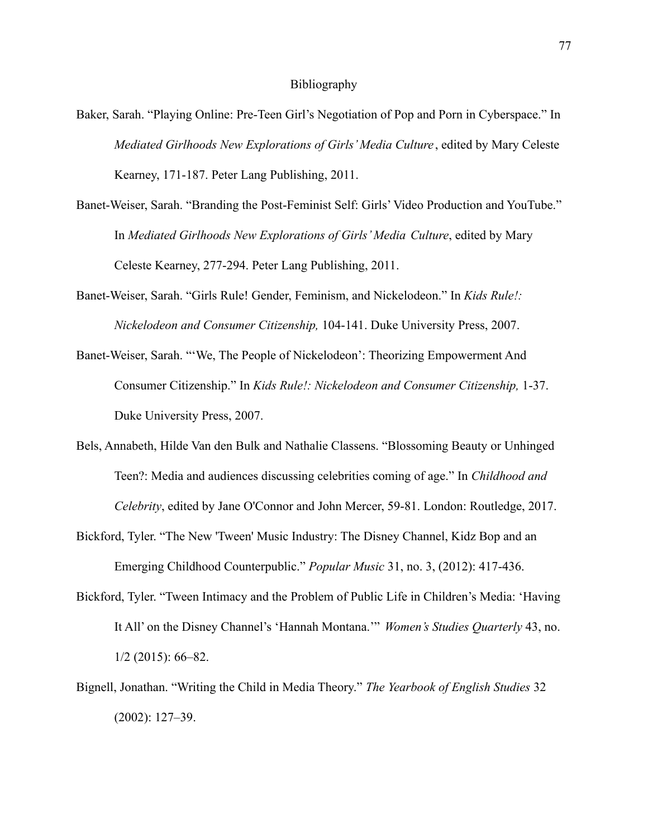## Bibliography

- Baker, Sarah. "Playing Online: Pre-Teen Girl's Negotiation of Pop and Porn in Cyberspace." In *Mediated Girlhoods New Explorations of Girls' Media Culture* , edited by Mary Celeste Kearney, 171-187. Peter Lang Publishing, 2011.
- Banet-Weiser, Sarah. "Branding the Post-Feminist Self: Girls' Video Production and YouTube." In *Mediated Girlhoods New Explorations of Girls' Media Culture*, edited by Mary Celeste Kearney, 277-294. Peter Lang Publishing, 2011.
- Banet-Weiser, Sarah. "Girls Rule! Gender, Feminism, and Nickelodeon." In *Kids Rule!: Nickelodeon and Consumer Citizenship,* 104-141. Duke University Press, 2007.
- Banet-Weiser, Sarah. "'We, The People of Nickelodeon': Theorizing Empowerment And Consumer Citizenship." In *Kids Rule!: Nickelodeon and Consumer Citizenship,* 1-37. Duke University Press, 2007.
- Bels, Annabeth, Hilde Van den Bulk and Nathalie Classens. "Blossoming Beauty or Unhinged Teen?: Media and audiences discussing celebrities coming of age." In *Childhood and Celebrity*, edited by Jane O'Connor and John Mercer, 59-81. London: Routledge, 2017.
- Bickford, Tyler. "The New 'Tween' Music Industry: The Disney Channel, Kidz Bop and an Emerging Childhood Counterpublic." *Popular Music* 31, no. 3, (2012): 417-436.
- Bickford, Tyler. "Tween Intimacy and the Problem of Public Life in Children's Media: 'Having It All' on the Disney Channel's 'Hannah Montana.'" *Women's Studies Quarterly* 43, no. 1/2 (2015): 66–82.
- Bignell, Jonathan. "Writing the Child in Media Theory." *The Yearbook of English Studies* 32 (2002): 127–39.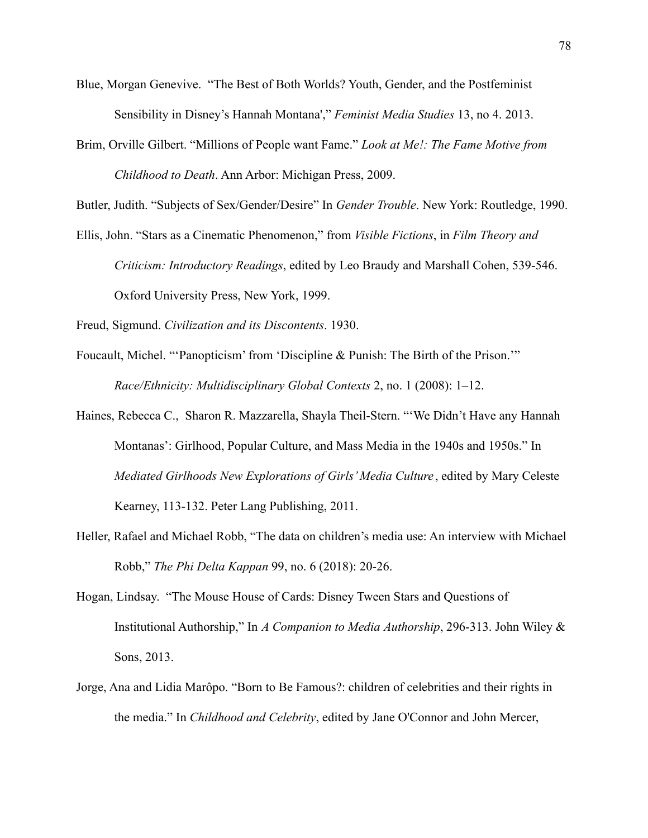- Blue, Morgan Genevive. "The Best of Both Worlds? Youth, Gender, and the Postfeminist Sensibility in Disney's Hannah Montana'," *Feminist Media Studies* 13, no 4. 2013.
- Brim, Orville Gilbert. "Millions of People want Fame." *Look at Me!: The Fame Motive from Childhood to Death*. Ann Arbor: Michigan Press, 2009.

Butler, Judith. "Subjects of Sex/Gender/Desire" In *Gender Trouble*. New York: Routledge, 1990.

Ellis, John. "Stars as a Cinematic Phenomenon," from *Visible Fictions*, in *Film Theory and Criticism: Introductory Readings*, edited by Leo Braudy and Marshall Cohen, 539-546. Oxford University Press, New York, 1999.

Freud, Sigmund. *Civilization and its Discontents*. 1930.

- Foucault, Michel. "'Panopticism' from 'Discipline & Punish: The Birth of the Prison.'" *Race/Ethnicity: Multidisciplinary Global Contexts* 2, no. 1 (2008): 1–12.
- Haines, Rebecca C., Sharon R. Mazzarella, Shayla Theil-Stern. "'We Didn't Have any Hannah Montanas': Girlhood, Popular Culture, and Mass Media in the 1940s and 1950s." In *Mediated Girlhoods New Explorations of Girls' Media Culture* , edited by Mary Celeste Kearney, 113-132. Peter Lang Publishing, 2011.
- Heller, Rafael and Michael Robb, "The data on children's media use: An interview with Michael Robb," *The Phi Delta Kappan* 99, no. 6 (2018): 20-26.
- Hogan, Lindsay. "The Mouse House of Cards: Disney Tween Stars and Questions of Institutional Authorship," In *A Companion to Media Authorship*, 296-313. John Wiley & Sons, 2013.
- Jorge, Ana and Lidia Marôpo. "Born to Be Famous?: children of celebrities and their rights in the media." In *Childhood and Celebrity*, edited by Jane O'Connor and John Mercer,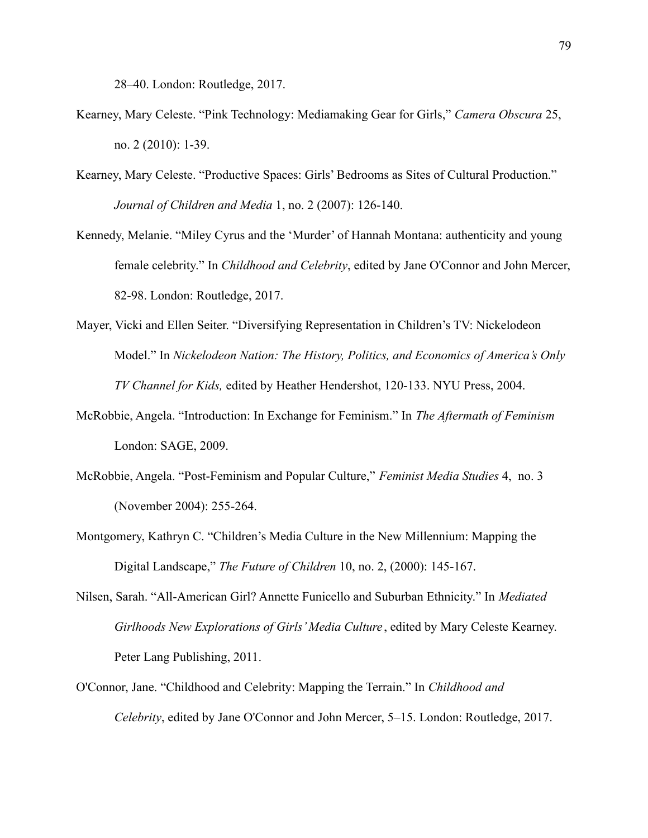28–40. London: Routledge, 2017.

- Kearney, Mary Celeste. "Pink Technology: Mediamaking Gear for Girls," *Camera Obscura* 25, no. 2 (2010): 1-39.
- Kearney, Mary Celeste. "Productive Spaces: Girls' Bedrooms as Sites of Cultural Production." *Journal of Children and Media* 1, no. 2 (2007): 126-140.
- Kennedy, Melanie. "Miley Cyrus and the 'Murder' of Hannah Montana: authenticity and young female celebrity." In *Childhood and Celebrity*, edited by Jane O'Connor and John Mercer, 82-98. London: Routledge, 2017.
- Mayer, Vicki and Ellen Seiter. "Diversifying Representation in Children's TV: Nickelodeon Model." In *Nickelodeon Nation: The History, Politics, and Economics of America's Only TV Channel for Kids,* edited by Heather Hendershot, 120-133. NYU Press, 2004.
- McRobbie, Angela. "Introduction: In Exchange for Feminism." In *The Aftermath of Feminism* London: SAGE, 2009.
- McRobbie, Angela. "Post-Feminism and Popular Culture," *Feminist Media Studies* 4, no. 3 (November 2004): 255-264.
- Montgomery, Kathryn C. "Children's Media Culture in the New Millennium: Mapping the Digital Landscape," *The Future of Children* 10, no. 2, (2000): 145-167.
- Nilsen, Sarah. "All-American Girl? Annette Funicello and Suburban Ethnicity." In *Mediated Girlhoods New Explorations of Girls' Media Culture* , edited by Mary Celeste Kearney. Peter Lang Publishing, 2011.
- O'Connor, Jane. "Childhood and Celebrity: Mapping the Terrain." In *Childhood and Celebrity*, edited by Jane O'Connor and John Mercer, 5–15. London: Routledge, 2017.